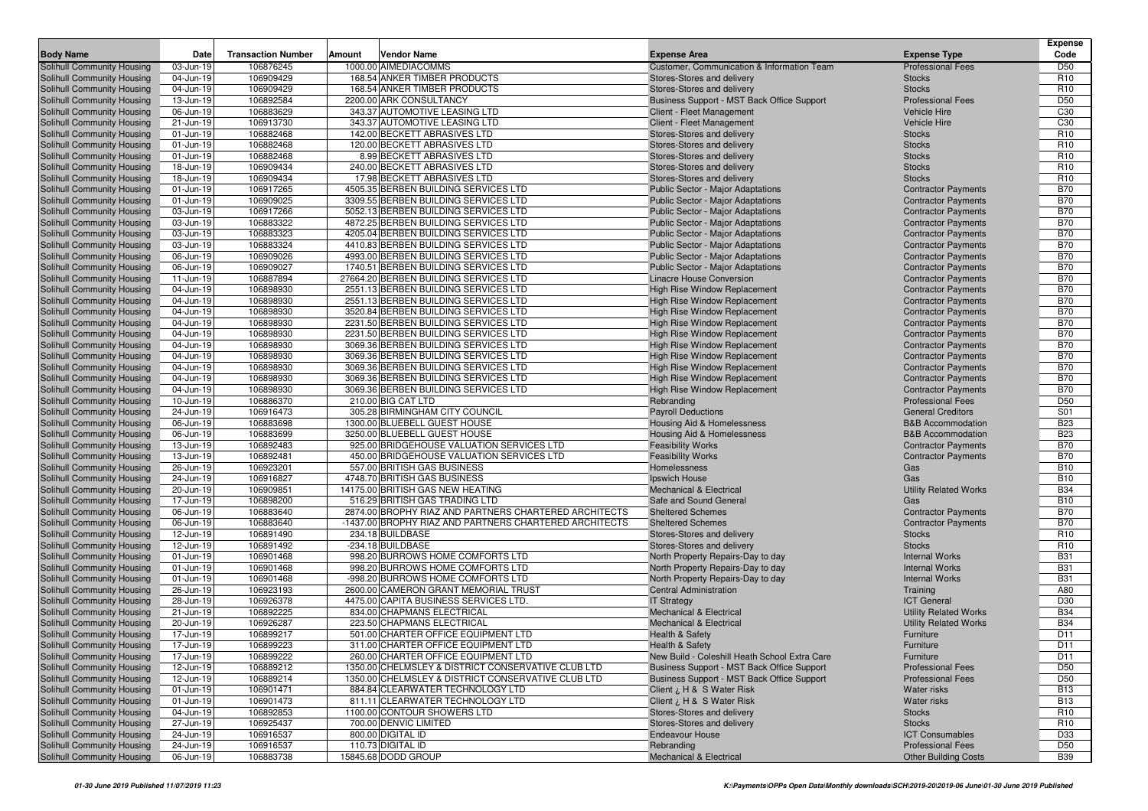|                                                          |                         |                           |        |                                                                              |                                                                        |                                                          | <b>Expense</b>                     |
|----------------------------------------------------------|-------------------------|---------------------------|--------|------------------------------------------------------------------------------|------------------------------------------------------------------------|----------------------------------------------------------|------------------------------------|
| <b>Body Name</b>                                         | Date                    | <b>Transaction Number</b> | Amount | Vendor Name                                                                  | <b>Expense Area</b>                                                    | <b>Expense Type</b>                                      | Code                               |
| Solihull Community Housing                               | 03-Jun-19               | 106876245                 |        | 1000.00 AIMEDIACOMMS                                                         | Customer, Communication & Information Team                             | <b>Professional Fees</b>                                 | D <sub>50</sub>                    |
| Solihull Community Housing                               | 04-Jun-19               | 106909429                 |        | 168.54 ANKER TIMBER PRODUCTS                                                 | Stores-Stores and delivery                                             | <b>Stocks</b>                                            | R <sub>10</sub>                    |
| Solihull Community Housing                               | 04-Jun-19               | 106909429                 |        | 168.54 ANKER TIMBER PRODUCTS                                                 | Stores-Stores and delivery                                             | <b>Stocks</b>                                            | R <sub>10</sub>                    |
| Solihull Community Housing                               | 13-Jun-19               | 106892584                 |        | 2200.00 ARK CONSULTANCY<br>343.37 AUTOMOTIVE LEASING LTD                     | Business Support - MST Back Office Support                             | <b>Professional Fees</b><br><b>Vehicle Hire</b>          | D <sub>50</sub><br>C <sub>30</sub> |
| Solihull Community Housing<br>Solihull Community Housing | 06-Jun-19<br>21-Jun-19  | 106883629<br>106913730    |        | 343.37 AUTOMOTIVE LEASING LTD                                                | Client - Fleet Management<br>Client - Fleet Management                 | <b>Vehicle Hire</b>                                      | C <sub>30</sub>                    |
| Solihull Community Housing                               | 01-Jun-19               | 106882468                 |        | 142.00 BECKETT ABRASIVES LTD                                                 | Stores-Stores and delivery                                             | <b>Stocks</b>                                            | R <sub>10</sub>                    |
| Solihull Community Housing                               | 01-Jun-19               | 106882468                 |        | 120.00 BECKETT ABRASIVES LTD                                                 | Stores-Stores and delivery                                             | <b>Stocks</b>                                            | R <sub>10</sub>                    |
| Solihull Community Housing                               | 01-Jun-19               | 106882468                 |        | 8.99 BECKETT ABRASIVES LTD                                                   | Stores-Stores and delivery                                             | <b>Stocks</b>                                            | R <sub>10</sub>                    |
| Solihull Community Housing                               | 18-Jun-19               | 106909434                 |        | 240.00 BECKETT ABRASIVES LTD                                                 | Stores-Stores and delivery                                             | <b>Stocks</b>                                            | R <sub>10</sub>                    |
| Solihull Community Housing                               | 18-Jun-19               | 106909434                 |        | 17.98 BECKETT ABRASIVES LTD                                                  | Stores-Stores and delivery                                             | <b>Stocks</b>                                            | R <sub>10</sub>                    |
| Solihull Community Housing                               | 01-Jun-19               | 106917265                 |        | 4505.35 BERBEN BUILDING SERVICES LTD                                         | <b>Public Sector - Major Adaptations</b>                               | <b>Contractor Payments</b>                               | <b>B70</b>                         |
| Solihull Community Housing                               | 01-Jun-19               | 106909025                 |        | 3309.55 BERBEN BUILDING SERVICES LTD                                         | Public Sector - Major Adaptations                                      | <b>Contractor Payments</b>                               | <b>B70</b>                         |
| Solihull Community Housing                               | 03-Jun-19               | 106917266                 |        | 5052.13 BERBEN BUILDING SERVICES LTD                                         | <b>Public Sector - Major Adaptations</b>                               | <b>Contractor Payments</b>                               | <b>B70</b>                         |
| Solihull Community Housing                               | 03-Jun-19               | 106883322                 |        | 4872.25 BERBEN BUILDING SERVICES LTD                                         | Public Sector - Major Adaptations                                      | <b>Contractor Payments</b>                               | <b>B70</b>                         |
| Solihull Community Housing                               | 03-Jun-19               | 106883323                 |        | 4205.04 BERBEN BUILDING SERVICES LTD                                         | Public Sector - Major Adaptations                                      | <b>Contractor Payments</b>                               | <b>B70</b>                         |
| Solihull Community Housing                               | $\overline{03}$ -Jun-19 | 106883324                 |        | 4410.83 BERBEN BUILDING SERVICES LTD                                         | Public Sector - Major Adaptations                                      | <b>Contractor Payments</b>                               | <b>B70</b>                         |
| Solihull Community Housing                               | 06-Jun-19               | 106909026                 |        | 4993.00 BERBEN BUILDING SERVICES LTD                                         | Public Sector - Major Adaptations                                      | <b>Contractor Payments</b>                               | <b>B70</b>                         |
| Solihull Community Housing                               | 06-Jun-19               | 106909027                 |        | 1740.51 BERBEN BUILDING SERVICES LTD                                         | Public Sector - Major Adaptations                                      | <b>Contractor Payments</b>                               | <b>B70</b>                         |
| Solihull Community Housing                               | 11-Jun-19               | 106887894                 |        | 27664.20 BERBEN BUILDING SERVICES LTD                                        | Linacre House Conversion                                               | <b>Contractor Payments</b>                               | <b>B70</b>                         |
| Solihull Community Housing                               | 04-Jun-19               | 106898930                 |        | 2551.13 BERBEN BUILDING SERVICES LTD                                         | High Rise Window Replacement                                           | <b>Contractor Payments</b>                               | <b>B70</b>                         |
| Solihull Community Housing                               | 04-Jun-19               | 106898930                 |        | 2551.13 BERBEN BUILDING SERVICES LTD                                         | High Rise Window Replacement                                           | <b>Contractor Payments</b>                               | <b>B70</b>                         |
| Solihull Community Housing                               | 04-Jun-19               | 106898930                 |        | 3520.84 BERBEN BUILDING SERVICES LTD                                         | High Rise Window Replacement                                           | <b>Contractor Payments</b>                               | <b>B70</b>                         |
| Solihull Community Housing                               | 04-Jun-19               | 106898930                 |        | 2231.50 BERBEN BUILDING SERVICES LTD                                         | High Rise Window Replacement                                           | <b>Contractor Payments</b>                               | <b>B70</b>                         |
| <b>Solihull Community Housing</b>                        | 04-Jun-19               | 106898930                 |        | 2231.50 BERBEN BUILDING SERVICES LTD                                         | <b>High Rise Window Replacement</b>                                    | <b>Contractor Payments</b>                               | <b>B70</b>                         |
| Solihull Community Housing                               | 04-Jun-19               | 106898930                 |        | 3069.36 BERBEN BUILDING SERVICES LTD                                         | High Rise Window Replacement<br><b>High Rise Window Replacement</b>    | <b>Contractor Payments</b>                               | <b>B70</b>                         |
| Solihull Community Housing<br>Solihull Community Housing | 04-Jun-19<br>04-Jun-19  | 106898930<br>106898930    |        | 3069.36 BERBEN BUILDING SERVICES LTD<br>3069.36 BERBEN BUILDING SERVICES LTD | High Rise Window Replacement                                           | <b>Contractor Payments</b><br><b>Contractor Payments</b> | <b>B70</b><br><b>B70</b>           |
| Solihull Community Housing                               | 04-Jun-19               | 106898930                 |        | 3069.36 BERBEN BUILDING SERVICES LTD                                         | High Rise Window Replacement                                           | <b>Contractor Payments</b>                               | <b>B70</b>                         |
| Solihull Community Housing                               | 04-Jun-19               | 106898930                 |        | 3069.36 BERBEN BUILDING SERVICES LTD                                         | High Rise Window Replacement                                           | <b>Contractor Payments</b>                               | <b>B70</b>                         |
| Solihull Community Housing                               | 10-Jun-19               | 106886370                 |        | 210.00 BIG CAT LTD                                                           | Rebranding                                                             | <b>Professional Fees</b>                                 | D <sub>50</sub>                    |
| Solihull Community Housing                               | 24-Jun-19               | 106916473                 |        | 305.28 BIRMINGHAM CITY COUNCIL                                               | <b>Payroll Deductions</b>                                              | <b>General Creditors</b>                                 | S01                                |
| Solihull Community Housing                               | 06-Jun-19               | 106883698                 |        | 1300.00 BLUEBELL GUEST HOUSE                                                 | Housing Aid & Homelessness                                             | <b>B&amp;B Accommodation</b>                             | <b>B23</b>                         |
| Solihull Community Housing                               | 06-Jun-19               | 106883699                 |        | 3250.00 BLUEBELL GUEST HOUSE                                                 | Housing Aid & Homelessness                                             | <b>B&amp;B Accommodation</b>                             | <b>B23</b>                         |
| Solihull Community Housing                               | 13-Jun-19               | 106892483                 |        | 925.00 BRIDGEHOUSE VALUATION SERVICES LTD                                    | <b>Feasibility Works</b>                                               | <b>Contractor Payments</b>                               | <b>B70</b>                         |
| Solihull Community Housing                               | 13-Jun-19               | 106892481                 |        | 450.00 BRIDGEHOUSE VALUATION SERVICES LTD                                    | <b>Feasibility Works</b>                                               | <b>Contractor Payments</b>                               | <b>B70</b>                         |
| Solihull Community Housing                               | 26-Jun-19               | 106923201                 |        | 557.00 BRITISH GAS BUSINESS                                                  | Homelessness                                                           | Gas                                                      | <b>B10</b>                         |
| Solihull Community Housing                               | 24-Jun-19               | 106916827                 |        | 4748.70 BRITISH GAS BUSINESS                                                 | Ipswich House                                                          | Gas                                                      | <b>B10</b>                         |
| Solihull Community Housing                               | 20-Jun-19               | 106909851                 |        | 14175.00 BRITISH GAS NEW HEATING                                             | <b>Mechanical &amp; Electrical</b>                                     | <b>Utility Related Works</b>                             | <b>B34</b>                         |
| Solihull Community Housing                               | 17-Jun-19               | 106898200                 |        | 516.29 BRITISH GAS TRADING LTD                                               | Safe and Sound General                                                 | Gas                                                      | <b>B10</b>                         |
| Solihull Community Housing                               | 06-Jun-19               | 106883640                 |        | 2874.00 BROPHY RIAZ AND PARTNERS CHARTERED ARCHITECTS                        | <b>Sheltered Schemes</b>                                               | <b>Contractor Payments</b>                               | <b>B70</b>                         |
| Solihull Community Housing                               | 06-Jun-19               | 106883640                 |        | -1437.00 BROPHY RIAZ AND PARTNERS CHARTERED ARCHITECTS                       | <b>Sheltered Schemes</b>                                               | <b>Contractor Payments</b>                               | <b>B70</b>                         |
| Solihull Community Housing                               | 12-Jun-19               | 106891490                 |        | 234.18 BUILDBASE                                                             | Stores-Stores and delivery                                             | <b>Stocks</b>                                            | R <sub>10</sub>                    |
| Solihull Community Housing                               | 12-Jun-19               | 106891492                 |        | -234.18 BUILDBASE<br>998.20 BURROWS HOME COMFORTS LTD                        | Stores-Stores and delivery                                             | <b>Stocks</b>                                            | R <sub>10</sub><br><b>B31</b>      |
| Solihull Community Housing<br>Solihull Community Housing | 01-Jun-19<br>01-Jun-19  | 106901468<br>106901468    |        | 998.20 BURROWS HOME COMFORTS LTD                                             | North Property Repairs-Day to day                                      | <b>Internal Works</b><br><b>Internal Works</b>           | <b>B31</b>                         |
| Solihull Community Housing                               | 01-Jun-19               | 106901468                 |        | -998.20 BURROWS HOME COMFORTS LTD                                            | North Property Repairs-Day to day<br>North Property Repairs-Day to day | <b>Internal Works</b>                                    | <b>B31</b>                         |
| Solihull Community Housing                               | 26-Jun-19               | 106923193                 |        | 2600.00 CAMERON GRANT MEMORIAL TRUST                                         | <b>Central Administration</b>                                          | Training                                                 | A80                                |
| Solihull Community Housing                               | 28-Jun-19               | 106926378                 |        | 4475.00 CAPITA BUSINESS SERVICES LTD                                         | <b>IT Strategy</b>                                                     | <b>ICT General</b>                                       | D30                                |
| Solihull Community Housing                               | 21-Jun-19               | 106892225                 |        | 834.00 CHAPMANS ELECTRICAL                                                   | <b>Mechanical &amp; Electrical</b>                                     | <b>Utility Related Works</b>                             | <b>B34</b>                         |
| Solihull Community Housing                               | 20-Jun-19               | 106926287                 |        | 223.50 CHAPMANS ELECTRICAL                                                   | <b>Mechanical &amp; Electrical</b>                                     | <b>Utility Related Works</b>                             | <b>B34</b>                         |
| Solihull Community Housing                               | 17-Jun-19               | 106899217                 |        | 501.00 CHARTER OFFICE EQUIPMENT LTD                                          | Health & Safety                                                        | Furniture                                                | D11                                |
| <b>Solihull Community Housing</b>                        | 17-Jun-19               | 106899223                 |        | 311.00 CHARTER OFFICE EQUIPMENT LTD                                          | <b>Health &amp; Safety</b>                                             | Furniture                                                | D11                                |
| Solihull Community Housing                               | 17-Jun-19               | 106899222                 |        | 260.00 CHARTER OFFICE EQUIPMENT LTD                                          | New Build - Coleshill Heath School Extra Care                          | Furniture                                                | D11                                |
| Solihull Community Housing                               | 12-Jun-19               | 106889212                 |        | 1350.00 CHELMSLEY & DISTRICT CONSERVATIVE CLUB LTD                           | Business Support - MST Back Office Support                             | <b>Professional Fees</b>                                 | D <sub>50</sub>                    |
| Solihull Community Housing                               | 12-Jun-19               | 106889214                 |        | 1350.00 CHELMSLEY & DISTRICT CONSERVATIVE CLUB LTD                           | Business Support - MST Back Office Support                             | <b>Professional Fees</b>                                 | D <sub>50</sub>                    |
| Solihull Community Housing                               | 01-Jun-19               | 106901471                 |        | 884.84 CLEARWATER TECHNOLOGY LTD                                             | Client ¿ H & S Water Risk                                              | Water risks                                              | <b>B13</b>                         |
| Solihull Community Housing                               | 01-Jun-19               | 106901473                 |        | 811.11 CLEARWATER TECHNOLOGY LTD                                             | Client ¿ H & S Water Risk                                              | Water risks                                              | <b>B13</b>                         |
| Solihull Community Housing                               | 04-Jun-19               | 106892853                 |        | 1100.00 CONTOUR SHOWERS LTD                                                  | Stores-Stores and delivery                                             | <b>Stocks</b>                                            | R <sub>10</sub>                    |
| Solihull Community Housing                               | 27-Jun-19               | 106925437                 |        | 700.00 DENVIC LIMITED                                                        | Stores-Stores and delivery                                             | <b>Stocks</b>                                            | R <sub>10</sub>                    |
| Solihull Community Housing                               | 24-Jun-19               | 106916537                 |        | 800.00 DIGITAL ID                                                            | Endeavour House                                                        | <b>ICT Consumables</b>                                   | D33                                |
| Solihull Community Housing                               | 24-Jun-19               | 106916537                 |        | 110.73 DIGITAL ID                                                            | Rebranding                                                             | <b>Professional Fees</b>                                 | D <sub>50</sub>                    |
| Solihull Community Housing                               | 06-Jun-19               | 106883738                 |        | 15845.68 DODD GROUP                                                          | <b>Mechanical &amp; Electrical</b>                                     | <b>Other Building Costs</b>                              | <b>B39</b>                         |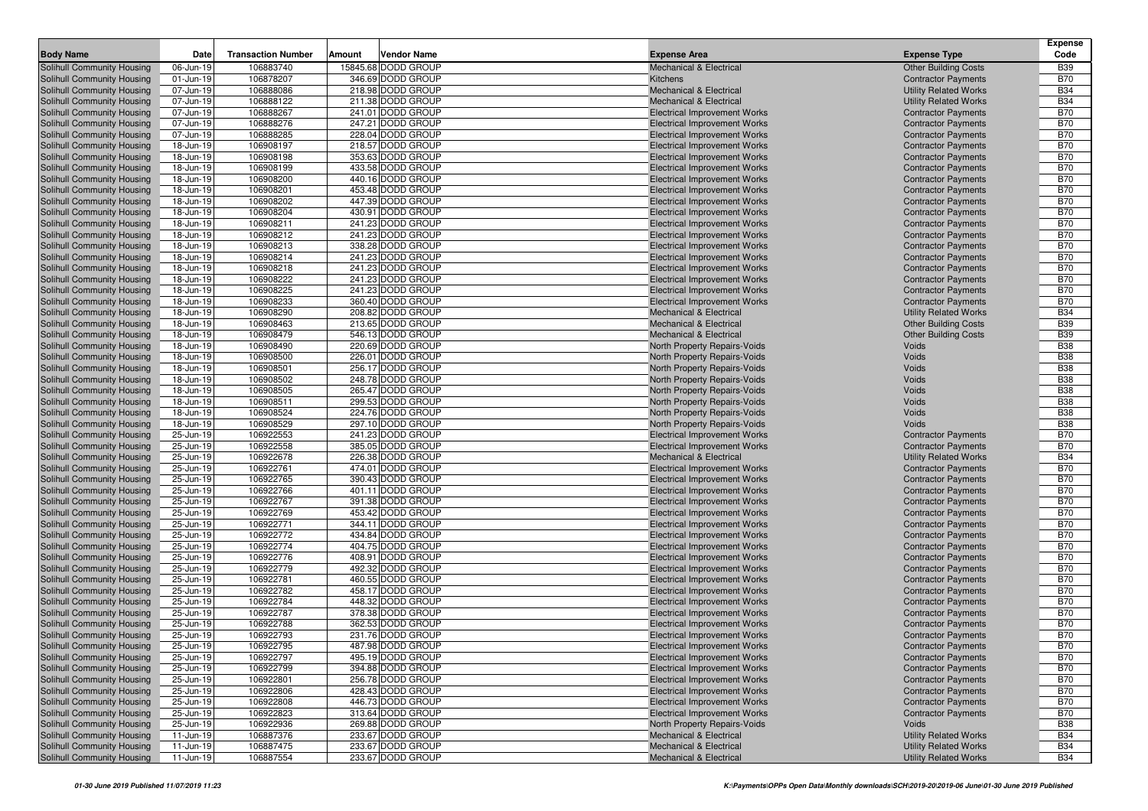|                                                          |                        |                           |        |                                        |                                                                            |                                                            | <b>Expense</b>           |
|----------------------------------------------------------|------------------------|---------------------------|--------|----------------------------------------|----------------------------------------------------------------------------|------------------------------------------------------------|--------------------------|
| <b>Body Name</b>                                         | Date                   | <b>Transaction Number</b> | Amount | Vendor Name                            | <b>Expense Area</b>                                                        | <b>Expense Type</b>                                        | Code                     |
| Solihull Community Housing                               | 06-Jun-19              | 106883740                 |        | 15845.68 DODD GROUP                    | <b>Mechanical &amp; Electrical</b>                                         | <b>Other Building Costs</b>                                | <b>B39</b>               |
| Solihull Community Housing                               | 01-Jun-19              | 106878207                 |        | 346.69 DODD GROUP                      | Kitchens                                                                   | <b>Contractor Payments</b>                                 | <b>B70</b>               |
| Solihull Community Housing                               | 07-Jun-19              | 106888086<br>106888122    |        | 218.98 DODD GROUP<br>211.38 DODD GROUP | <b>Mechanical &amp; Electrical</b>                                         | <b>Utility Related Works</b>                               | <b>B34</b><br><b>B34</b> |
| Solihull Community Housing<br>Solihull Community Housing | 07-Jun-19<br>07-Jun-19 | 106888267                 |        | 241.01 DODD GROUP                      | <b>Mechanical &amp; Electrical</b><br><b>Electrical Improvement Works</b>  | <b>Utility Related Works</b><br><b>Contractor Payments</b> | <b>B70</b>               |
| Solihull Community Housing                               | 07-Jun-19              | 106888276                 |        | 247.21 DODD GROUP                      | <b>Electrical Improvement Works</b>                                        | <b>Contractor Payments</b>                                 | <b>B70</b>               |
| Solihull Community Housing                               | 07-Jun-19              | 106888285                 |        | 228.04 DODD GROUP                      | <b>Electrical Improvement Works</b>                                        | <b>Contractor Payments</b>                                 | <b>B70</b>               |
| Solihull Community Housing                               | 18-Jun-19              | 106908197                 |        | 218.57 DODD GROUP                      | <b>Electrical Improvement Works</b>                                        | <b>Contractor Payments</b>                                 | <b>B70</b>               |
| Solihull Community Housing                               | 18-Jun-19              | 106908198                 |        | 353.63 DODD GROUP                      | <b>Electrical Improvement Works</b>                                        | <b>Contractor Payments</b>                                 | <b>B70</b>               |
| Solihull Community Housing                               | 18-Jun-19              | 106908199                 |        | 433.58 DODD GROUP                      | <b>Electrical Improvement Works</b>                                        | <b>Contractor Payments</b>                                 | <b>B70</b>               |
| Solihull Community Housing                               | 18-Jun-19              | 106908200                 |        | 440.16 DODD GROUP                      | <b>Electrical Improvement Works</b>                                        | <b>Contractor Payments</b>                                 | <b>B70</b>               |
| Solihull Community Housing                               | 18-Jun-19              | 106908201                 |        | 453.48 DODD GROUP                      | <b>Electrical Improvement Works</b>                                        | <b>Contractor Payments</b>                                 | <b>B70</b>               |
| Solihull Community Housing                               | 18-Jun-19              | 106908202                 |        | 447.39 DODD GROUP                      | <b>Electrical Improvement Works</b>                                        | <b>Contractor Payments</b>                                 | <b>B70</b>               |
| Solihull Community Housing                               | 18-Jun-19              | 106908204                 |        | 430.91 DODD GROUP                      | <b>Electrical Improvement Works</b>                                        | <b>Contractor Payments</b>                                 | <b>B70</b>               |
| Solihull Community Housing                               | 18-Jun-19              | 106908211                 |        | 241.23 DODD GROUP                      | <b>Electrical Improvement Works</b>                                        | <b>Contractor Payments</b>                                 | <b>B70</b>               |
| Solihull Community Housing                               | 18-Jun-19              | 106908212                 |        | 241.23 DODD GROUP                      | <b>Electrical Improvement Works</b>                                        | <b>Contractor Payments</b>                                 | <b>B70</b>               |
| Solihull Community Housing                               | 18-Jun-19              | 106908213                 |        | 338.28 DODD GROUP                      | <b>Electrical Improvement Works</b>                                        | <b>Contractor Payments</b>                                 | <b>B70</b>               |
| Solihull Community Housing                               | 18-Jun-19              | 106908214                 |        | 241.23 DODD GROUP                      | <b>Electrical Improvement Works</b>                                        | <b>Contractor Payments</b>                                 | <b>B70</b>               |
| Solihull Community Housing                               | 18-Jun-19              | 106908218                 |        | 241.23 DODD GROUP                      | <b>Electrical Improvement Works</b>                                        | <b>Contractor Payments</b>                                 | <b>B70</b>               |
| Solihull Community Housing                               | 18-Jun-19              | 106908222                 |        | 241.23 DODD GROUP                      | <b>Electrical Improvement Works</b>                                        | <b>Contractor Payments</b>                                 | <b>B70</b>               |
| Solihull Community Housing                               | 18-Jun-19              | 106908225                 |        | 241.23 DODD GROUP                      | <b>Electrical Improvement Works</b>                                        | <b>Contractor Payments</b>                                 | <b>B70</b>               |
| Solihull Community Housing                               | 18-Jun-19              | 106908233                 |        | 360.40 DODD GROUP                      | <b>Electrical Improvement Works</b>                                        | <b>Contractor Payments</b>                                 | <b>B70</b>               |
| Solihull Community Housing                               | 18-Jun-19              | 106908290                 |        | 208.82 DODD GROUP                      | <b>Mechanical &amp; Electrical</b>                                         | <b>Utility Related Works</b>                               | <b>B34</b>               |
| Solihull Community Housing                               | 18-Jun-19              | 106908463                 |        | 213.65 DODD GROUP<br>546.13 DODD GROUP | <b>Mechanical &amp; Electrical</b>                                         | <b>Other Building Costs</b>                                | <b>B39</b>               |
| <b>Solihull Community Housing</b>                        | 18-Jun-19<br>18-Jun-19 | 106908479<br>106908490    |        | 220.69 DODD GROUP                      | <b>Mechanical &amp; Electrical</b>                                         | <b>Other Building Costs</b><br>Voids                       | <b>B39</b><br><b>B38</b> |
| Solihull Community Housing<br>Solihull Community Housing | 18-Jun-19              | 106908500                 |        | 226.01 DODD GROUP                      | North Property Repairs-Voids<br>North Property Repairs-Voids               | Voids                                                      | <b>B38</b>               |
| Solihull Community Housing                               | 18-Jun-19              | 106908501                 |        | 256.17 DODD GROUP                      | North Property Repairs-Voids                                               | Voids                                                      | <b>B38</b>               |
| Solihull Community Housing                               | 18-Jun-19              | 106908502                 |        | 248.78 DODD GROUP                      | North Property Repairs-Voids                                               | Voids                                                      | <b>B38</b>               |
| Solihull Community Housing                               | 18-Jun-19              | 106908505                 |        | 265.47 DODD GROUP                      | North Property Repairs-Voids                                               | Voids                                                      | <b>B38</b>               |
| Solihull Community Housing                               | 18-Jun-19              | 106908511                 |        | 299.53 DODD GROUP                      | North Property Repairs-Voids                                               | Voids                                                      | <b>B38</b>               |
| Solihull Community Housing                               | 18-Jun-19              | 106908524                 |        | 224.76 DODD GROUP                      | North Property Repairs-Voids                                               | Voids                                                      | <b>B38</b>               |
| Solihull Community Housing                               | 18-Jun-19              | 106908529                 |        | 297.10 DODD GROUP                      | North Property Repairs-Voids                                               | Voids                                                      | <b>B38</b>               |
| Solihull Community Housing                               | 25-Jun-19              | 106922553                 |        | 241.23 DODD GROUP                      | <b>Electrical Improvement Works</b>                                        | <b>Contractor Payments</b>                                 | <b>B70</b>               |
| Solihull Community Housing                               | 25-Jun-19              | 106922558                 |        | 385.05 DODD GROUP                      | <b>Electrical Improvement Works</b>                                        | <b>Contractor Payments</b>                                 | <b>B70</b>               |
| Solihull Community Housing                               | 25-Jun-19              | 106922678                 |        | 226.38 DODD GROUP                      | <b>Mechanical &amp; Electrical</b>                                         | <b>Utility Related Works</b>                               | <b>B34</b>               |
| Solihull Community Housing                               | 25-Jun-19              | 106922761                 |        | 474.01 DODD GROUP                      | <b>Electrical Improvement Works</b>                                        | <b>Contractor Payments</b>                                 | <b>B70</b>               |
| Solihull Community Housing                               | 25-Jun-19              | 106922765                 |        | 390.43 DODD GROUP                      | <b>Electrical Improvement Works</b>                                        | <b>Contractor Payments</b>                                 | <b>B70</b>               |
| Solihull Community Housing                               | 25-Jun-19              | 106922766                 |        | 401.11 DODD GROUP                      | <b>Electrical Improvement Works</b>                                        | <b>Contractor Payments</b>                                 | <b>B70</b>               |
| Solihull Community Housing                               | 25-Jun-19              | 106922767                 |        | 391.38 DODD GROUP                      | <b>Electrical Improvement Works</b>                                        | <b>Contractor Payments</b>                                 | <b>B70</b>               |
| Solihull Community Housing                               | 25-Jun-19              | 106922769                 |        | 453.42 DODD GROUP                      | <b>Electrical Improvement Works</b>                                        | <b>Contractor Payments</b>                                 | <b>B70</b>               |
| Solihull Community Housing                               | 25-Jun-19              | 106922771<br>106922772    |        | 344.11 DODD GROUP<br>434.84 DODD GROUP | <b>Electrical Improvement Works</b>                                        | <b>Contractor Payments</b>                                 | <b>B70</b><br><b>B70</b> |
| Solihull Community Housing<br>Solihull Community Housing | 25-Jun-19<br>25-Jun-19 | 106922774                 |        | 404.75 DODD GROUP                      | <b>Electrical Improvement Works</b><br><b>Electrical Improvement Works</b> | <b>Contractor Payments</b><br><b>Contractor Payments</b>   | <b>B70</b>               |
| Solihull Community Housing                               | 25-Jun-19              | 106922776                 |        | 408.91 DODD GROUP                      | <b>Electrical Improvement Works</b>                                        | <b>Contractor Payments</b>                                 | <b>B70</b>               |
| Solihull Community Housing                               | 25-Jun-19              | 106922779                 |        | 492.32 DODD GROUP                      | <b>Electrical Improvement Works</b>                                        | <b>Contractor Payments</b>                                 | <b>B70</b>               |
| Solihull Community Housing                               | 25-Jun-19              | 106922781                 |        | 460.55 DODD GROUP                      | <b>Electrical Improvement Works</b>                                        | <b>Contractor Payments</b>                                 | <b>B70</b>               |
| Solihull Community Housing                               | 25-Jun-19              | 106922782                 |        | 458.17 DODD GROUP                      | <b>Electrical Improvement Works</b>                                        | <b>Contractor Payments</b>                                 | <b>B70</b>               |
| Solihull Community Housing                               | 25-Jun-19              | 106922784                 |        | 448.32 DODD GROUP                      | <b>Electrical Improvement Works</b>                                        | <b>Contractor Payments</b>                                 | <b>B70</b>               |
| <b>Solihull Community Housing</b>                        | 25-Jun-19              | 106922787                 |        | 378.38 DODD GROUP                      | <b>Electrical Improvement Works</b>                                        | <b>Contractor Payments</b>                                 | <b>B70</b>               |
| Solihull Community Housing                               | 25-Jun-19              | 106922788                 |        | 362.53 DODD GROUP                      | <b>Electrical Improvement Works</b>                                        | <b>Contractor Payments</b>                                 | <b>B70</b>               |
| Solihull Community Housing                               | 25-Jun-19              | 106922793                 |        | 231.76 DODD GROUP                      | <b>Electrical Improvement Works</b>                                        | <b>Contractor Payments</b>                                 | <b>B70</b>               |
| Solihull Community Housing                               | 25-Jun-19              | 106922795                 |        | 487.98 DODD GROUP                      | <b>Electrical Improvement Works</b>                                        | <b>Contractor Payments</b>                                 | <b>B70</b>               |
| Solihull Community Housing                               | 25-Jun-19              | 106922797                 |        | 495.19 DODD GROUP                      | <b>Electrical Improvement Works</b>                                        | <b>Contractor Payments</b>                                 | <b>B70</b>               |
| Solihull Community Housing                               | 25-Jun-19              | 106922799                 |        | 394.88 DODD GROUP                      | <b>Electrical Improvement Works</b>                                        | <b>Contractor Payments</b>                                 | <b>B70</b>               |
| Solihull Community Housing                               | 25-Jun-19              | 106922801                 |        | 256.78 DODD GROUP                      | <b>Electrical Improvement Works</b>                                        | <b>Contractor Payments</b>                                 | <b>B70</b>               |
| Solihull Community Housing                               | 25-Jun-19              | 106922806                 |        | 428.43 DODD GROUP                      | <b>Electrical Improvement Works</b>                                        | <b>Contractor Payments</b>                                 | <b>B70</b>               |
| Solihull Community Housing                               | 25-Jun-19              | 106922808                 |        | 446.73 DODD GROUP                      | <b>Electrical Improvement Works</b>                                        | <b>Contractor Payments</b>                                 | <b>B70</b>               |
| Solihull Community Housing                               | 25-Jun-19              | 106922823                 |        | 313.64 DODD GROUP                      | <b>Electrical Improvement Works</b>                                        | <b>Contractor Payments</b>                                 | <b>B70</b>               |
| Solihull Community Housing                               | 25-Jun-19              | 106922936                 |        | 269.88 DODD GROUP                      | North Property Repairs-Voids                                               | Voids                                                      | <b>B38</b>               |
| Solihull Community Housing                               | 11-Jun-19              | 106887376                 |        | 233.67 DODD GROUP                      | <b>Mechanical &amp; Electrical</b>                                         | <b>Utility Related Works</b>                               | <b>B34</b>               |
| Solihull Community Housing<br>Solihull Community Housing | 11-Jun-19              | 106887475                 |        | 233.67 DODD GROUP                      | Mechanical & Electrical                                                    | <b>Utility Related Works</b>                               | <b>B34</b>               |
|                                                          | 11-Jun-19              | 106887554                 |        | 233.67 DODD GROUP                      | <b>Mechanical &amp; Electrical</b>                                         | <b>Utility Related Works</b>                               | <b>B34</b>               |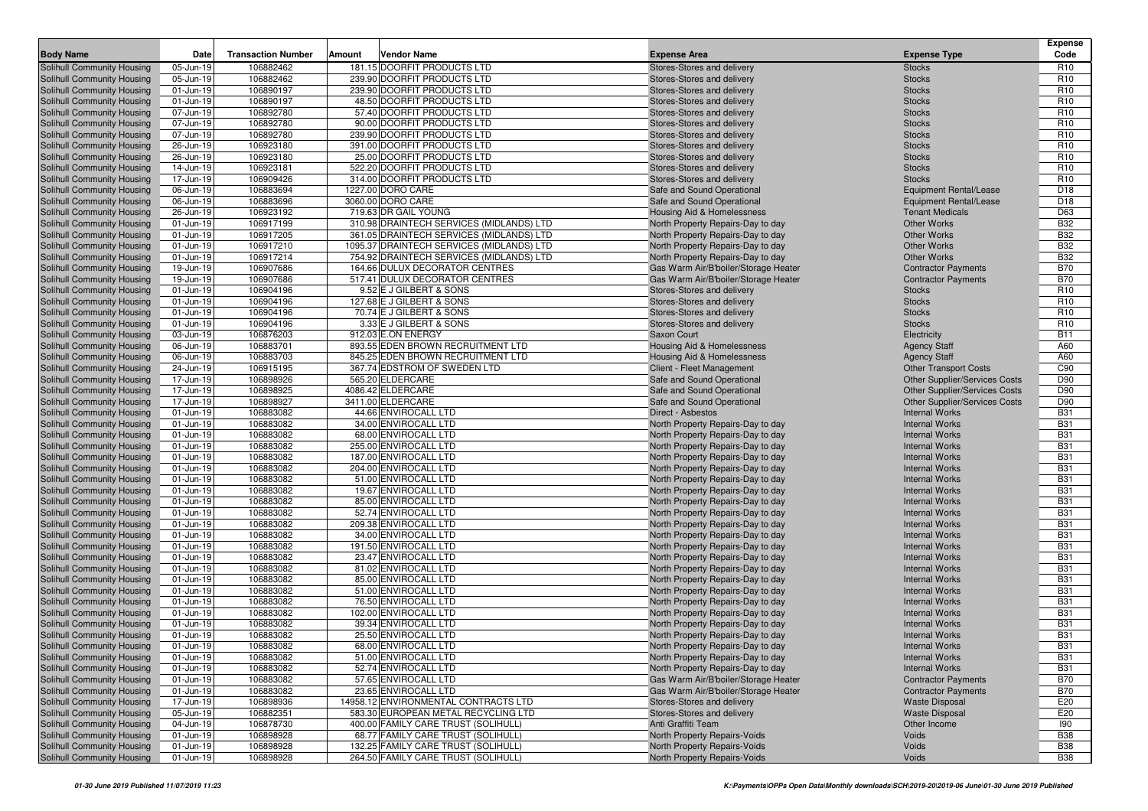| <b>Body Name</b>                                         | Date                   | <b>Transaction Number</b> | Amount | <b>Vendor Name</b>                            | <b>Expense Area</b>                                                    | <b>Expense Type</b>                            | <b>Expense</b><br>Code   |
|----------------------------------------------------------|------------------------|---------------------------|--------|-----------------------------------------------|------------------------------------------------------------------------|------------------------------------------------|--------------------------|
| Solihull Community Housing                               | 05-Jun-19              | 106882462                 |        | 181.15 DOORFIT PRODUCTS LTD                   | Stores-Stores and delivery                                             | <b>Stocks</b>                                  | R <sub>10</sub>          |
| Solihull Community Housing                               | 05-Jun-19              | 106882462                 |        | 239.90 DOORFIT PRODUCTS LTD                   | Stores-Stores and delivery                                             | <b>Stocks</b>                                  | R <sub>10</sub>          |
| Solihull Community Housing                               | 01-Jun-19              | 106890197                 |        | 239.90 DOORFIT PRODUCTS LTD                   | Stores-Stores and delivery                                             | <b>Stocks</b>                                  | R <sub>10</sub>          |
| Solihull Community Housing                               | 01-Jun-19              | 106890197                 |        | 48.50 DOORFIT PRODUCTS LTD                    | Stores-Stores and delivery                                             | <b>Stocks</b>                                  | R <sub>10</sub>          |
| Solihull Community Housing                               | 07-Jun-19              | 106892780                 |        | 57.40 DOORFIT PRODUCTS LTD                    | Stores-Stores and delivery                                             | <b>Stocks</b>                                  | R <sub>10</sub>          |
| Solihull Community Housing                               | 07-Jun-19              | 106892780                 |        | 90.00 DOORFIT PRODUCTS LTD                    | Stores-Stores and delivery                                             | <b>Stocks</b>                                  | R <sub>10</sub>          |
| Solihull Community Housing                               | 07-Jun-19              | 106892780                 |        | 239.90 DOORFIT PRODUCTS LTD                   | Stores-Stores and delivery                                             | <b>Stocks</b>                                  | R <sub>10</sub>          |
| Solihull Community Housing                               | 26-Jun-19              | 106923180                 |        | 391.00 DOORFIT PRODUCTS LTD                   | Stores-Stores and delivery                                             | <b>Stocks</b>                                  | R <sub>10</sub>          |
| Solihull Community Housing                               | 26-Jun-19              | 106923180                 |        | 25.00 DOORFIT PRODUCTS LTD                    | Stores-Stores and delivery                                             | <b>Stocks</b>                                  | R <sub>10</sub>          |
| Solihull Community Housing                               | 14-Jun-19              | 106923181                 |        | 522.20 DOORFIT PRODUCTS LTD                   | Stores-Stores and delivery                                             | <b>Stocks</b>                                  | R <sub>10</sub>          |
| Solihull Community Housing                               | 17-Jun-19              | 106909426                 |        | 314.00 DOORFIT PRODUCTS LTD                   | Stores-Stores and delivery                                             | <b>Stocks</b>                                  | R <sub>10</sub>          |
| Solihull Community Housing                               | 06-Jun-19              | 106883694                 |        | 1227.00 DORO CARE                             | Safe and Sound Operational                                             | <b>Equipment Rental/Lease</b>                  | D18                      |
| Solihull Community Housing                               | 06-Jun-19              | 106883696                 |        | 3060.00 DORO CARE                             | Safe and Sound Operational                                             | <b>Equipment Rental/Lease</b>                  | D <sub>18</sub>          |
| Solihull Community Housing                               | 26-Jun-19              | 106923192                 |        | 719.63 DR GAIL YOUNG                          | <b>Housing Aid &amp; Homelessness</b>                                  | <b>Tenant Medicals</b>                         | D63                      |
| Solihull Community Housing                               | 01-Jun-19              | 106917199                 |        | 310.98 DRAINTECH SERVICES (MIDLANDS) LTD      | North Property Repairs-Day to day                                      | <b>Other Works</b>                             | <b>B32</b>               |
| Solihull Community Housing                               | 01-Jun-19              | 106917205                 |        | 361.05 DRAINTECH SERVICES (MIDLANDS) LTD      | North Property Repairs-Day to day                                      | <b>Other Works</b>                             | <b>B32</b>               |
| Solihull Community Housing                               | 01-Jun-19              | 106917210                 |        | 1095.37 DRAINTECH SERVICES (MIDLANDS) LTD     | North Property Repairs-Day to day                                      | <b>Other Works</b>                             | <b>B32</b>               |
| Solihull Community Housing                               | 01-Jun-19              | 106917214                 |        | 754.92 DRAINTECH SERVICES (MIDLANDS) LTD      | North Property Repairs-Day to day                                      | <b>Other Works</b>                             | <b>B32</b>               |
| Solihull Community Housing                               | 19-Jun-19              | 106907686                 |        | 164.66 DULUX DECORATOR CENTRES                | Gas Warm Air/B'boiler/Storage Heater                                   | <b>Contractor Payments</b>                     | <b>B70</b>               |
| Solihull Community Housing                               | 19-Jun-19              | 106907686                 |        | 517.41 DULUX DECORATOR CENTRES                | Gas Warm Air/B'boiler/Storage Heater                                   | <b>Contractor Payments</b>                     | <b>B70</b>               |
| Solihull Community Housing                               | 01-Jun-19              | 106904196                 |        | 9.52 E J GILBERT & SONS                       | Stores-Stores and delivery                                             | <b>Stocks</b>                                  | R <sub>10</sub>          |
| Solihull Community Housing                               | 01-Jun-19              | 106904196                 |        | 127.68 E J GILBERT & SONS                     | Stores-Stores and delivery                                             | <b>Stocks</b>                                  | R <sub>10</sub>          |
| Solihull Community Housing                               | 01-Jun-19              | 106904196                 |        | 70.74 E J GILBERT & SONS                      | Stores-Stores and delivery                                             | <b>Stocks</b>                                  | R <sub>10</sub>          |
| Solihull Community Housing                               | 01-Jun-19              | 106904196                 |        | 3.33 E J GILBERT & SONS                       | Stores-Stores and delivery                                             | <b>Stocks</b>                                  | R <sub>10</sub>          |
| Solihull Community Housing                               | 03-Jun-19              | 106876203                 |        | 912.03 E.ON ENERGY                            | Saxon Court                                                            | Electricity                                    | <b>B11</b>               |
| Solihull Community Housing                               | 06-Jun-19              | 106883701                 |        | 893.55 EDEN BROWN RECRUITMENT LTD             | Housing Aid & Homelessness                                             | <b>Agency Staff</b>                            | A60                      |
| Solihull Community Housing                               | 06-Jun-19              | 106883703                 |        | 845.25 EDEN BROWN RECRUITMENT LTD             | Housing Aid & Homelessness                                             | <b>Agency Staff</b>                            | A60                      |
| Solihull Community Housing                               | 24-Jun-19              | 106915195                 |        | 367.74 EDSTROM OF SWEDEN LTD                  | Client - Fleet Management                                              | <b>Other Transport Costs</b>                   | C90                      |
| Solihull Community Housing                               | 17-Jun-19              | 106898926                 |        | 565.20 ELDERCARE                              | Safe and Sound Operational                                             | Other Supplier/Services Costs                  | D90                      |
| Solihull Community Housing                               | 17-Jun-19              | 106898925                 |        | 4086.42 ELDERCARE                             | Safe and Sound Operational                                             | Other Supplier/Services Costs                  | D90                      |
| Solihull Community Housing                               | 17-Jun-19              | 106898927                 |        | 3411.00 ELDERCARE                             | Safe and Sound Operational                                             | <b>Other Supplier/Services Costs</b>           | D90                      |
| Solihull Community Housing                               | 01-Jun-19              | 106883082                 |        | 44.66 ENVIROCALL LTD                          | Direct - Asbestos                                                      | <b>Internal Works</b>                          | <b>B31</b>               |
| Solihull Community Housing                               | 01-Jun-19              | 106883082                 |        | 34.00 ENVIROCALL LTD                          | North Property Repairs-Day to day                                      | <b>Internal Works</b>                          | <b>B31</b>               |
| Solihull Community Housing                               | 01-Jun-19              | 106883082                 |        | 68.00 ENVIROCALL LTD                          | North Property Repairs-Day to day                                      | <b>Internal Works</b>                          | <b>B31</b>               |
| Solihull Community Housing                               | 01-Jun-19              | 106883082                 |        | 255.00 ENVIROCALL LTD                         | North Property Repairs-Day to day                                      | <b>Internal Works</b>                          | <b>B31</b>               |
| Solihull Community Housing                               | 01-Jun-19              | 106883082                 |        | 187.00 ENVIROCALL LTD                         | North Property Repairs-Day to day                                      | <b>Internal Works</b>                          | <b>B31</b>               |
| Solihull Community Housing                               | 01-Jun-19<br>01-Jun-19 | 106883082<br>106883082    |        | 204.00 ENVIROCALL LTD<br>51.00 ENVIROCALL LTD | North Property Repairs-Day to day                                      | <b>Internal Works</b><br><b>Internal Works</b> | <b>B31</b><br><b>B31</b> |
| Solihull Community Housing<br>Solihull Community Housing | 01-Jun-19              | 106883082                 |        | 19.67 ENVIROCALL LTD                          | North Property Repairs-Day to day<br>North Property Repairs-Day to day | <b>Internal Works</b>                          | <b>B31</b>               |
| Solihull Community Housing                               | 01-Jun-19              | 106883082                 |        | 85.00 ENVIROCALL LTD                          | North Property Repairs-Day to day                                      | <b>Internal Works</b>                          | <b>B31</b>               |
| Solihull Community Housing                               | 01-Jun-19              | 106883082                 |        | 52.74 ENVIROCALL LTD                          | North Property Repairs-Day to day                                      | <b>Internal Works</b>                          | <b>B31</b>               |
| Solihull Community Housing                               | 01-Jun-19              | 106883082                 |        | 209.38 ENVIROCALL LTD                         | North Property Repairs-Day to day                                      | <b>Internal Works</b>                          | <b>B31</b>               |
| Solihull Community Housing                               | 01-Jun-19              | 106883082                 |        | 34.00 ENVIROCALL LTD                          | North Property Repairs-Day to day                                      | <b>Internal Works</b>                          | <b>B31</b>               |
| Solihull Community Housing                               | 01-Jun-19              | 106883082                 |        | 191.50 ENVIROCALL LTD                         | North Property Repairs-Day to day                                      | <b>Internal Works</b>                          | <b>B31</b>               |
| Solihull Community Housing                               | 01-Jun-19              | 106883082                 |        | 23.47 ENVIROCALL LTD                          | North Property Repairs-Day to day                                      | <b>Internal Works</b>                          | <b>B31</b>               |
| Solihull Community Housing                               | 01-Jun-19              | 106883082                 |        | 81.02 ENVIROCALL LTD                          | North Property Repairs-Day to day                                      | <b>Internal Works</b>                          | <b>B31</b>               |
| Solihull Community Housing                               | 01-Jun-19              | 106883082                 |        | 85.00 ENVIROCALL LTD                          | North Property Repairs-Day to day                                      | <b>Internal Works</b>                          | <b>B31</b>               |
| Solihull Community Housing                               | 01-Jun-19              | 106883082                 |        | 51.00 ENVIROCALL LTD                          | North Property Repairs-Day to day                                      | <b>Internal Works</b>                          | <b>B31</b>               |
| Solihull Community Housing                               | 01-Jun-19              | 106883082                 |        | 76.50 ENVIROCALL LTD                          | North Property Repairs-Day to day                                      | <b>Internal Works</b>                          | <b>B31</b>               |
| Solihull Community Housing                               | 01-Jun-19              | 106883082                 |        | 102.00 ENVIROCALL LTD                         | North Property Repairs-Day to day                                      | <b>Internal Works</b>                          | <b>B31</b>               |
| Solihull Community Housing                               | 01-Jun-19              | 106883082                 |        | 39.34 ENVIROCALL LTD                          | North Property Repairs-Day to day                                      | <b>Internal Works</b>                          | <b>B31</b>               |
| <b>Solihull Community Housing</b>                        | 01-Jun-19              | 106883082                 |        | 25.50 ENVIROCALL LTD                          | North Property Repairs-Day to day                                      | <b>Internal Works</b>                          | <b>B31</b>               |
| Solihull Community Housing                               | 01-Jun-19              | 106883082                 |        | 68.00 ENVIROCALL LTD                          | North Property Repairs-Day to day                                      | <b>Internal Works</b>                          | <b>B31</b>               |
| Solihull Community Housing                               | 01-Jun-19              | 106883082                 |        | 51.00 ENVIROCALL LTD                          | North Property Repairs-Day to day                                      | <b>Internal Works</b>                          | <b>B31</b>               |
| Solihull Community Housing                               | 01-Jun-19              | 106883082                 |        | 52.74 ENVIROCALL LTD                          | North Property Repairs-Day to day                                      | <b>Internal Works</b>                          | <b>B31</b>               |
| Solihull Community Housing                               | 01-Jun-19              | 106883082                 |        | 57.65 ENVIROCALL LTD                          | Gas Warm Air/B'boiler/Storage Heater                                   | <b>Contractor Payments</b>                     | <b>B70</b>               |
| Solihull Community Housing                               | 01-Jun-19              | 106883082                 |        | 23.65 ENVIROCALL LTD                          | Gas Warm Air/B'boiler/Storage Heater                                   | <b>Contractor Payments</b>                     | <b>B70</b>               |
| Solihull Community Housing                               | 17-Jun-19              | 106898936                 |        | 14958.12 ENVIRONMENTAL CONTRACTS LTD          | Stores-Stores and delivery                                             | <b>Waste Disposal</b>                          | E20                      |
| Solihull Community Housing                               | 05-Jun-19              | 106882351                 |        | 583.30 EUROPEAN METAL RECYCLING LTD           | Stores-Stores and delivery                                             | <b>Waste Disposal</b>                          | E20                      |
| Solihull Community Housing                               | 04-Jun-19              | 106878730                 |        | 400.00 FAMILY CARE TRUST (SOLIHULL)           | Anti Graffiti Team                                                     | Other Income                                   | 190                      |
| Solihull Community Housing                               | 01-Jun-19              | 106898928                 |        | 68.77 FAMILY CARE TRUST (SOLIHULL)            | North Property Repairs-Voids                                           | Voids                                          | <b>B38</b>               |
| Solihull Community Housing                               | 01-Jun-19              | 106898928                 |        | 132.25 FAMILY CARE TRUST (SOLIHULL)           | North Property Repairs-Voids                                           | Voids                                          | <b>B38</b>               |
| Solihull Community Housing                               | 01-Jun-19              | 106898928                 |        | 264.50 FAMILY CARE TRUST (SOLIHULL)           | North Property Repairs-Voids                                           | Voids                                          | <b>B38</b>               |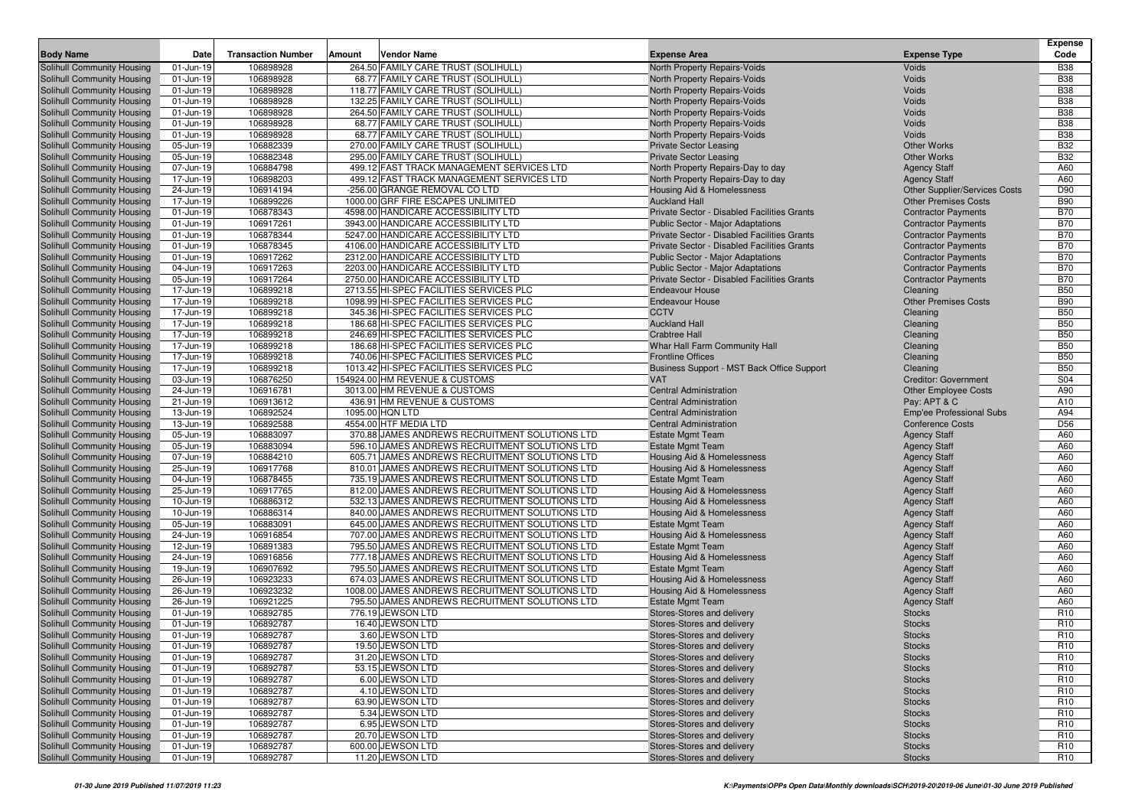| <b>Body Name</b>           | Date      | <b>Transaction Number</b> | Amount | <b>Vendor Name</b>                              | <b>Expense Area</b>                                | <b>Expense Type</b>                  | <b>Expense</b><br>Code |
|----------------------------|-----------|---------------------------|--------|-------------------------------------------------|----------------------------------------------------|--------------------------------------|------------------------|
| Solihull Community Housing | 01-Jun-19 | 106898928                 |        | 264.50 FAMILY CARE TRUST (SOLIHULL)             | North Property Repairs-Voids                       | Voids                                | <b>B38</b>             |
| Solihull Community Housing | 01-Jun-19 | 106898928                 |        | 68.77 FAMILY CARE TRUST (SOLIHULL)              | North Property Repairs-Voids                       | Voids                                | <b>B38</b>             |
| Solihull Community Housing | 01-Jun-19 | 106898928                 |        | 118.77 FAMILY CARE TRUST (SOLIHULL)             | North Property Repairs-Voids                       | Voids                                | <b>B38</b>             |
| Solihull Community Housing | 01-Jun-19 | 106898928                 |        | 132.25 FAMILY CARE TRUST (SOLIHULL)             | North Property Repairs-Voids                       | Voids                                | <b>B38</b>             |
| Solihull Community Housing | 01-Jun-19 | 106898928                 |        | 264.50 FAMILY CARE TRUST (SOLIHULL)             | North Property Repairs-Voids                       | Voids                                | <b>B38</b>             |
| Solihull Community Housing | 01-Jun-19 | 106898928                 |        | 68.77 FAMILY CARE TRUST (SOLIHULL)              | North Property Repairs-Voids                       | Voids                                | <b>B38</b>             |
| Solihull Community Housing | 01-Jun-19 | 106898928                 |        | 68.77 FAMILY CARE TRUST (SOLIHULL)              | North Property Repairs-Voids                       | Voids                                | <b>B38</b>             |
| Solihull Community Housing | 05-Jun-19 | 106882339                 |        | 270.00 FAMILY CARE TRUST (SOLIHULL)             | <b>Private Sector Leasing</b>                      | <b>Other Works</b>                   | <b>B32</b>             |
| Solihull Community Housing | 05-Jun-19 | 106882348                 |        | 295.00 FAMILY CARE TRUST (SOLIHULL)             | <b>Private Sector Leasing</b>                      | <b>Other Works</b>                   | <b>B32</b>             |
| Solihull Community Housing | 07-Jun-19 | 106884798                 |        | 499.12 FAST TRACK MANAGEMENT SERVICES LTD       | North Property Repairs-Day to day                  | <b>Agency Staff</b>                  | A60                    |
| Solihull Community Housing | 17-Jun-19 | 106898203                 |        | 499.12 FAST TRACK MANAGEMENT SERVICES LTD       | North Property Repairs-Day to day                  | <b>Agency Staff</b>                  | A60                    |
| Solihull Community Housing | 24-Jun-19 | 106914194                 |        | -256.00 GRANGE REMOVAL CO LTD                   | <b>Housing Aid &amp; Homelessness</b>              | <b>Other Supplier/Services Costs</b> | D90                    |
| Solihull Community Housing | 17-Jun-19 | 106899226                 |        | 1000.00 GRF FIRE ESCAPES UNLIMITED              | <b>Auckland Hall</b>                               | <b>Other Premises Costs</b>          | <b>B90</b>             |
| Solihull Community Housing | 01-Jun-19 | 106878343                 |        | 4598.00 HANDICARE ACCESSIBILITY LTD             | Private Sector - Disabled Facilities Grants        | <b>Contractor Payments</b>           | <b>B70</b>             |
| Solihull Community Housing | 01-Jun-19 | 106917261                 |        | 3943.00 HANDICARE ACCESSIBILITY LTD             | Public Sector - Major Adaptations                  | <b>Contractor Payments</b>           | <b>B70</b>             |
| Solihull Community Housing | 01-Jun-19 | 106878344                 |        | 5247.00 HANDICARE ACCESSIBILITY LTD             | <b>Private Sector - Disabled Facilities Grants</b> | <b>Contractor Payments</b>           | <b>B70</b>             |
| Solihull Community Housing | 01-Jun-19 | 106878345                 |        | 4106.00 HANDICARE ACCESSIBILITY LTD             | Private Sector - Disabled Facilities Grants        | <b>Contractor Payments</b>           | <b>B70</b>             |
| Solihull Community Housing | 01-Jun-19 | 106917262                 |        | 2312.00 HANDICARE ACCESSIBILITY LTD             | Public Sector - Major Adaptations                  | <b>Contractor Payments</b>           | <b>B70</b>             |
| Solihull Community Housing | 04-Jun-19 | 106917263                 |        | 2203.00 HANDICARE ACCESSIBILITY LTD             | Public Sector - Major Adaptations                  | <b>Contractor Payments</b>           | <b>B70</b>             |
| Solihull Community Housing | 05-Jun-19 | 106917264                 |        | 2750.00 HANDICARE ACCESSIBILITY LTD             | Private Sector - Disabled Facilities Grants        | <b>Contractor Payments</b>           | <b>B70</b>             |
| Solihull Community Housing | 17-Jun-19 | 106899218                 |        | 2713.55 HI-SPEC FACILITIES SERVICES PLC         | <b>Endeavour House</b>                             | Cleaning                             | <b>B50</b>             |
| Solihull Community Housing | 17-Jun-19 | 106899218                 |        | 1098.99 HI-SPEC FACILITIES SERVICES PLC         | <b>Endeavour House</b>                             | <b>Other Premises Costs</b>          | <b>B90</b>             |
| Solihull Community Housing | 17-Jun-19 | 106899218                 |        | 345.36 HI-SPEC FACILITIES SERVICES PLC          | <b>CCTV</b>                                        | Cleaning                             | <b>B50</b>             |
| Solihull Community Housing | 17-Jun-19 | 106899218                 |        | 186.68 HI-SPEC FACILITIES SERVICES PLC          | <b>Auckland Hall</b>                               | Cleaning                             | <b>B50</b>             |
| Solihull Community Housing | 17-Jun-19 | 106899218                 |        | 246.69 HI-SPEC FACILITIES SERVICES PLC          | <b>Crabtree Hall</b>                               | Cleaning                             | <b>B50</b>             |
| Solihull Community Housing | 17-Jun-19 | 106899218                 |        | 186.68 HI-SPEC FACILITIES SERVICES PLC          | Whar Hall Farm Community Hall                      | Cleaning                             | <b>B50</b>             |
| Solihull Community Housing | 17-Jun-19 | 106899218                 |        | 740.06 HI-SPEC FACILITIES SERVICES PLC          | <b>Frontline Offices</b>                           | Cleaning                             | <b>B50</b>             |
| Solihull Community Housing | 17-Jun-19 | 106899218                 |        | 1013.42 HI-SPEC FACILITIES SERVICES PLC         | Business Support - MST Back Office Support         | Cleaning                             | <b>B50</b>             |
| Solihull Community Housing | 03-Jun-19 | 106876250                 |        | 154924.00 HM REVENUE & CUSTOMS                  | <b>VAT</b>                                         | <b>Creditor: Government</b>          | S04                    |
| Solihull Community Housing | 24-Jun-19 | 106916781                 |        | 3013.00 HM REVENUE & CUSTOMS                    | <b>Central Administration</b>                      | <b>Other Employee Costs</b>          | A90                    |
| Solihull Community Housing | 21-Jun-19 | 106913612                 |        | 436.91 HM REVENUE & CUSTOMS                     | <b>Central Administration</b>                      | Pay: APT & C                         | A10                    |
| Solihull Community Housing | 13-Jun-19 | 106892524                 |        | 1095.00 HQN LTD                                 | <b>Central Administration</b>                      | <b>Emp'ee Professional Subs</b>      | A94                    |
| Solihull Community Housing | 13-Jun-19 | 106892588                 |        | 4554.00 HTF MEDIA LTD                           | <b>Central Administration</b>                      | <b>Conference Costs</b>              | D <sub>56</sub>        |
| Solihull Community Housing | 05-Jun-19 | 106883097                 |        | 370.88 JAMES ANDREWS RECRUITMENT SOLUTIONS LTD  | <b>Estate Mgmt Team</b>                            | <b>Agency Staff</b>                  | A60                    |
| Solihull Community Housing | 05-Jun-19 | 106883094                 |        | 596.10 JAMES ANDREWS RECRUITMENT SOLUTIONS LTD  | <b>Estate Mgmt Team</b>                            | <b>Agency Staff</b>                  | A60                    |
| Solihull Community Housing | 07-Jun-19 | 106884210                 |        | 605.71 JAMES ANDREWS RECRUITMENT SOLUTIONS LTD  | Housing Aid & Homelessness                         | <b>Agency Staff</b>                  | A60                    |
| Solihull Community Housing | 25-Jun-19 | 106917768                 |        | 810.01 JAMES ANDREWS RECRUITMENT SOLUTIONS LTD  | Housing Aid & Homelessness                         | <b>Agency Staff</b>                  | A60                    |
| Solihull Community Housing | 04-Jun-19 | 106878455                 |        | 735.19 JAMES ANDREWS RECRUITMENT SOLUTIONS LTD  | <b>Estate Mgmt Team</b>                            | <b>Agency Staff</b>                  | A60                    |
| Solihull Community Housing | 25-Jun-19 | 106917765                 |        | 812.00 JAMES ANDREWS RECRUITMENT SOLUTIONS LTD  | Housing Aid & Homelessness                         | <b>Agency Staff</b>                  | A60                    |
| Solihull Community Housing | 10-Jun-19 | 106886312                 |        | 532.13 JAMES ANDREWS RECRUITMENT SOLUTIONS LTD  | Housing Aid & Homelessness                         | <b>Agency Staff</b>                  | A60                    |
| Solihull Community Housing | 10-Jun-19 | 106886314                 |        | 840.00 JAMES ANDREWS RECRUITMENT SOLUTIONS LTD  | Housing Aid & Homelessness                         | <b>Agency Staff</b>                  | A60                    |
| Solihull Community Housing | 05-Jun-19 | 106883091                 |        | 645.00 JAMES ANDREWS RECRUITMENT SOLUTIONS LTD  | <b>Estate Mgmt Team</b>                            | <b>Agency Staff</b>                  | A60                    |
| Solihull Community Housing | 24-Jun-19 | 106916854                 |        | 707.00 JAMES ANDREWS RECRUITMENT SOLUTIONS LTD  | Housing Aid & Homelessness                         | <b>Agency Staff</b>                  | A60                    |
| Solihull Community Housing | 12-Jun-19 | 106891383                 |        | 795.50 JAMES ANDREWS RECRUITMENT SOLUTIONS LTD  | <b>Estate Mgmt Team</b>                            | <b>Agency Staff</b>                  | A60                    |
| Solihull Community Housing | 24-Jun-19 | 106916856                 |        | 777.18 JAMES ANDREWS RECRUITMENT SOLUTIONS LTD  | Housing Aid & Homelessness                         | <b>Agency Staff</b>                  | A60                    |
| Solihull Community Housing | 19-Jun-19 | 106907692                 |        | 795.50 JAMES ANDREWS RECRUITMENT SOLUTIONS LTD  | <b>Estate Mgmt Team</b>                            | <b>Agency Staff</b>                  | A60                    |
| Solihull Community Housing | 26-Jun-19 | 106923233                 |        | 674.03 JAMES ANDREWS RECRUITMENT SOLUTIONS LTD  | Housing Aid & Homelessness                         | <b>Agency Staff</b>                  | A60                    |
| Solihull Community Housing | 26-Jun-19 | 106923232                 |        | 1008.00 JAMES ANDREWS RECRUITMENT SOLUTIONS LTD | Housing Aid & Homelessness                         | <b>Agency Staff</b>                  | A60                    |
| Solihull Community Housing | 26-Jun-19 | 106921225                 |        | 795.50 JAMES ANDREWS RECRUITMENT SOLUTIONS LTD  | <b>Estate Mgmt Team</b>                            | <b>Agency Staff</b>                  | A60                    |
| Solihull Community Housing | 01-Jun-19 | 106892785                 |        | 776.19 JEWSON LTD                               | Stores-Stores and delivery                         | <b>Stocks</b>                        | R <sub>10</sub>        |
| Solihull Community Housing | 01-Jun-19 | 106892787                 |        | 16.40 JEWSON LTD                                | Stores-Stores and delivery                         | <b>Stocks</b>                        | R <sub>10</sub>        |
| Solihull Community Housing | 01-Jun-19 | 106892787                 |        | 3.60 JEWSON LTD                                 | Stores-Stores and delivery                         | <b>Stocks</b>                        | R <sub>10</sub>        |
| Solihull Community Housing | 01-Jun-19 | 106892787                 |        | 19.50 JEWSON LTD                                | Stores-Stores and delivery                         | <b>Stocks</b>                        | R <sub>10</sub>        |
| Solihull Community Housing | 01-Jun-19 | 106892787                 |        | 31.20 JEWSON LTD                                | Stores-Stores and delivery                         | <b>Stocks</b>                        | R <sub>10</sub>        |
| Solihull Community Housing | 01-Jun-19 | 106892787                 |        | 53.15 JEWSON LTD                                | Stores-Stores and delivery                         | <b>Stocks</b>                        | R <sub>10</sub>        |
| Solihull Community Housing | 01-Jun-19 | 106892787                 |        | 6.00 JEWSON LTD                                 | Stores-Stores and delivery                         | <b>Stocks</b>                        | R <sub>10</sub>        |
| Solihull Community Housing | 01-Jun-19 | 106892787                 |        | 4.10 JEWSON LTD                                 | Stores-Stores and delivery                         | <b>Stocks</b>                        | R <sub>10</sub>        |
| Solihull Community Housing | 01-Jun-19 | 106892787                 |        | 63.90 JEWSON LTD                                | Stores-Stores and delivery                         | <b>Stocks</b>                        | R <sub>10</sub>        |
| Solihull Community Housing | 01-Jun-19 | 106892787                 |        | 5.34 JEWSON LTD                                 | Stores-Stores and delivery                         | <b>Stocks</b>                        | R <sub>10</sub>        |
| Solihull Community Housing | 01-Jun-19 | 106892787                 |        | 6.95 JEWSON LTD                                 | Stores-Stores and delivery                         | <b>Stocks</b>                        | R <sub>10</sub>        |
| Solihull Community Housing | 01-Jun-19 | 106892787                 |        | 20.70 JEWSON LTD                                | Stores-Stores and delivery                         | <b>Stocks</b>                        | R <sub>10</sub>        |
| Solihull Community Housing | 01-Jun-19 | 106892787                 |        | 600.00 JEWSON LTD                               | Stores-Stores and delivery                         | <b>Stocks</b>                        | R <sub>10</sub>        |
| Solihull Community Housing | 01-Jun-19 | 106892787                 |        | 11.20 JEWSON LTD                                | Stores-Stores and delivery                         | <b>Stocks</b>                        | R <sub>10</sub>        |
|                            |           |                           |        |                                                 |                                                    |                                      |                        |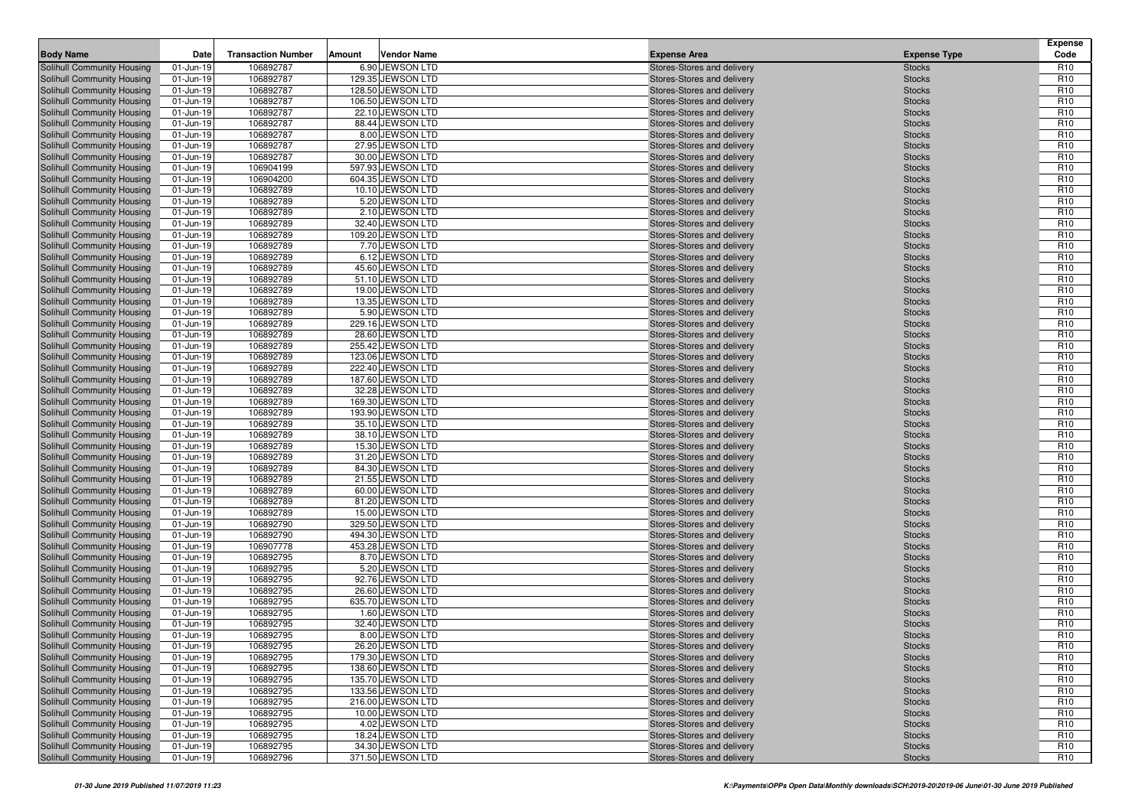| <b>Body Name</b>                                         | Date                   | <b>Transaction Number</b> | Amount | <b>Vendor Name</b>                     | <b>Expense Area</b>                                      | <b>Expense Type</b>            | <b>Expense</b><br>Code             |
|----------------------------------------------------------|------------------------|---------------------------|--------|----------------------------------------|----------------------------------------------------------|--------------------------------|------------------------------------|
| Solihull Community Housing                               | 01-Jun-19              | 106892787                 |        | 6.90 JEWSON LTD                        | Stores-Stores and delivery                               | <b>Stocks</b>                  | R <sub>10</sub>                    |
| Solihull Community Housing                               | 01-Jun-19              | 106892787                 |        | 129.35 JEWSON LTD                      | Stores-Stores and delivery                               | <b>Stocks</b>                  | R <sub>10</sub>                    |
| Solihull Community Housing                               | 01-Jun-19              | 106892787                 |        | 128.50 JEWSON LTD                      | Stores-Stores and delivery                               | <b>Stocks</b>                  | R <sub>10</sub>                    |
| Solihull Community Housing                               | 01-Jun-19              | 106892787                 |        | 106.50 JEWSON LTD                      | Stores-Stores and delivery                               | <b>Stocks</b>                  | R <sub>10</sub>                    |
| Solihull Community Housing                               | 01-Jun-19              | 106892787                 |        | 22.10 JEWSON LTD                       | Stores-Stores and delivery                               | <b>Stocks</b>                  | R <sub>10</sub>                    |
| Solihull Community Housing                               | 01-Jun-19              | 106892787                 |        | 88.44 JEWSON LTD                       | Stores-Stores and delivery                               | <b>Stocks</b>                  | R <sub>10</sub>                    |
| Solihull Community Housing                               | 01-Jun-19              | 106892787                 |        | 8.00 JEWSON LTD                        | Stores-Stores and delivery                               | <b>Stocks</b>                  | R <sub>10</sub>                    |
| Solihull Community Housing                               | 01-Jun-19              | 106892787                 |        | 27.95 JEWSON LTD                       | Stores-Stores and delivery                               | <b>Stocks</b>                  | R <sub>10</sub>                    |
| Solihull Community Housing                               | 01-Jun-19              | 106892787                 |        | 30.00 JEWSON LTD                       | Stores-Stores and delivery                               | <b>Stocks</b>                  | R <sub>10</sub>                    |
| <b>Solihull Community Housing</b>                        | 01-Jun-19              | 106904199                 |        | 597.93 JEWSON LTD                      | Stores-Stores and delivery                               | <b>Stocks</b>                  | R <sub>10</sub>                    |
| Solihull Community Housing                               | 01-Jun-19              | 106904200                 |        | 604.35 JEWSON LTD                      | Stores-Stores and delivery                               | <b>Stocks</b>                  | R <sub>10</sub>                    |
| Solihull Community Housing                               | 01-Jun-19              | 106892789                 |        | 10.10 JEWSON LTD                       | Stores-Stores and delivery                               | <b>Stocks</b>                  | R <sub>10</sub>                    |
| Solihull Community Housing                               | 01-Jun-19              | 106892789                 |        | 5.20 JEWSON LTD                        | Stores-Stores and delivery                               | <b>Stocks</b>                  | R <sub>10</sub>                    |
| Solihull Community Housing                               | 01-Jun-19              | 106892789                 |        | 2.10 JEWSON LTD                        | Stores-Stores and delivery                               | <b>Stocks</b>                  | R <sub>10</sub>                    |
| Solihull Community Housing                               | 01-Jun-19              | 106892789                 |        | 32.40 JEWSON LTD                       | Stores-Stores and delivery                               | <b>Stocks</b>                  | R <sub>10</sub>                    |
| Solihull Community Housing                               | 01-Jun-19              | 106892789                 |        | 109.20 JEWSON LTD                      | Stores-Stores and delivery                               | <b>Stocks</b>                  | R <sub>10</sub>                    |
| Solihull Community Housing                               | 01-Jun-19              | 106892789                 |        | 7.70 JEWSON LTD                        | Stores-Stores and delivery                               | <b>Stocks</b>                  | R <sub>10</sub>                    |
| Solihull Community Housing                               | 01-Jun-19              | 106892789                 |        | 6.12 JEWSON LTD                        | Stores-Stores and delivery                               | <b>Stocks</b>                  | R <sub>10</sub>                    |
| Solihull Community Housing                               | 01-Jun-19              | 106892789                 |        | 45.60 JEWSON LTD                       | Stores-Stores and delivery                               | <b>Stocks</b>                  | R <sub>10</sub>                    |
| Solihull Community Housing                               | 01-Jun-19              | 106892789                 |        | 51.10 JEWSON LTD                       | Stores-Stores and delivery                               | <b>Stocks</b>                  | R <sub>10</sub>                    |
| Solihull Community Housing                               | 01-Jun-19              | 106892789                 |        | 19.00 JEWSON LTD                       | Stores-Stores and delivery                               | <b>Stocks</b>                  | R <sub>10</sub>                    |
| Solihull Community Housing                               | 01-Jun-19              | 106892789                 |        | 13.35 JEWSON LTD                       | Stores-Stores and delivery                               | <b>Stocks</b>                  | R <sub>10</sub>                    |
| Solihull Community Housing                               | 01-Jun-19              | 106892789                 |        | 5.90 JEWSON LTD                        | Stores-Stores and delivery                               | <b>Stocks</b>                  | R <sub>10</sub>                    |
| Solihull Community Housing                               | 01-Jun-19              | 106892789                 |        | 229.16 JEWSON LTD                      | Stores-Stores and delivery                               | <b>Stocks</b>                  | R <sub>10</sub>                    |
| Solihull Community Housing                               | 01-Jun-19              | 106892789                 |        | 28.60 JEWSON LTD                       | Stores-Stores and delivery                               | <b>Stocks</b>                  | R <sub>10</sub>                    |
| Solihull Community Housing                               | 01-Jun-19              | 106892789                 |        | 255.42 JEWSON LTD                      | Stores-Stores and delivery<br>Stores-Stores and delivery | <b>Stocks</b>                  | R <sub>10</sub>                    |
| Solihull Community Housing                               | 01-Jun-19              | 106892789<br>106892789    |        | 123.06 JEWSON LTD<br>222.40 JEWSON LTD | Stores-Stores and delivery                               | <b>Stocks</b>                  | R <sub>10</sub><br>R <sub>10</sub> |
| Solihull Community Housing<br>Solihull Community Housing | 01-Jun-19<br>01-Jun-19 | 106892789                 |        | 187.60 JEWSON LTD                      | Stores-Stores and delivery                               | <b>Stocks</b><br><b>Stocks</b> | R <sub>10</sub>                    |
| Solihull Community Housing                               | 01-Jun-19              | 106892789                 |        | 32.28 JEWSON LTD                       | Stores-Stores and delivery                               | <b>Stocks</b>                  | R <sub>10</sub>                    |
| Solihull Community Housing                               | 01-Jun-19              | 106892789                 |        | 169.30 JEWSON LTD                      | Stores-Stores and delivery                               | <b>Stocks</b>                  | R <sub>10</sub>                    |
| Solihull Community Housing                               | 01-Jun-19              | 106892789                 |        | 193.90 JEWSON LTD                      | Stores-Stores and delivery                               | <b>Stocks</b>                  | R <sub>10</sub>                    |
| Solihull Community Housing                               | 01-Jun-19              | 106892789                 |        | 35.10 JEWSON LTD                       | Stores-Stores and delivery                               | <b>Stocks</b>                  | R <sub>10</sub>                    |
| Solihull Community Housing                               | 01-Jun-19              | 106892789                 |        | 38.10 JEWSON LTD                       | Stores-Stores and delivery                               | <b>Stocks</b>                  | R <sub>10</sub>                    |
| <b>Solihull Community Housing</b>                        | 01-Jun-19              | 106892789                 |        | 15.30 JEWSON LTD                       | Stores-Stores and delivery                               | <b>Stocks</b>                  | R <sub>10</sub>                    |
| Solihull Community Housing                               | 01-Jun-19              | 106892789                 |        | 31.20 JEWSON LTD                       | Stores-Stores and delivery                               | <b>Stocks</b>                  | R <sub>10</sub>                    |
| Solihull Community Housing                               | 01-Jun-19              | 106892789                 |        | 84.30 JEWSON LTD                       | Stores-Stores and delivery                               | <b>Stocks</b>                  | R <sub>10</sub>                    |
| Solihull Community Housing                               | $01 - Jun-19$          | 106892789                 |        | 21.55 JEWSON LTD                       | Stores-Stores and delivery                               | <b>Stocks</b>                  | R <sub>10</sub>                    |
| <b>Solihull Community Housing</b>                        | 01-Jun-19              | 106892789                 |        | 60.00 JEWSON LTD                       | Stores-Stores and delivery                               | <b>Stocks</b>                  | R <sub>10</sub>                    |
| Solihull Community Housing                               | 01-Jun-19              | 106892789                 |        | 81.20 JEWSON LTD                       | Stores-Stores and delivery                               | <b>Stocks</b>                  | R <sub>10</sub>                    |
| Solihull Community Housing                               | 01-Jun-19              | 106892789                 |        | 15.00 JEWSON LTD                       | Stores-Stores and delivery                               | <b>Stocks</b>                  | R <sub>10</sub>                    |
| Solihull Community Housing                               | 01-Jun-19              | 106892790                 |        | 329.50 JEWSON LTD                      | Stores-Stores and delivery                               | <b>Stocks</b>                  | R <sub>10</sub>                    |
| Solihull Community Housing                               | 01-Jun-19              | 106892790                 |        | 494.30 JEWSON LTD                      | Stores-Stores and delivery                               | <b>Stocks</b>                  | R <sub>10</sub>                    |
| Solihull Community Housing                               | 01-Jun-19              | 106907778                 |        | 453.28 JEWSON LTD                      | Stores-Stores and delivery                               | <b>Stocks</b>                  | R <sub>10</sub>                    |
| Solihull Community Housing                               | 01-Jun-19              | 106892795                 |        | 8.70 JEWSON LTD                        | Stores-Stores and delivery                               | <b>Stocks</b>                  | R <sub>10</sub>                    |
| Solihull Community Housing                               | 01-Jun-19              | 106892795                 |        | 5.20 JEWSON LTD                        | Stores-Stores and delivery                               | <b>Stocks</b>                  | R <sub>10</sub>                    |
| Solihull Community Housing                               | 01-Jun-19              | 106892795                 |        | 92.76 JEWSON LTD                       | Stores-Stores and delivery                               | <b>Stocks</b>                  | R <sub>10</sub>                    |
| Solihull Community Housing                               | 01-Jun-19              | 106892795                 |        | 26.60 JEWSON LTD                       | Stores-Stores and delivery                               | <b>Stocks</b>                  | R <sub>10</sub>                    |
| Solihull Community Housing                               | 01-Jun-19              | 106892795                 |        | 635.70 JEWSON LTD                      | Stores-Stores and delivery                               | <b>Stocks</b>                  | R <sub>10</sub>                    |
| Solihull Community Housing                               | 01-Jun-19              | 106892795                 |        | 1.60 JEWSON LTD                        | Stores-Stores and delivery                               | <b>Stocks</b>                  | R <sub>10</sub>                    |
| Solihull Community Housing                               | 01-Jun-19              | 106892795                 |        | 32.40 JEWSON LTD                       | Stores-Stores and delivery                               | <b>Stocks</b>                  | R <sub>10</sub>                    |
| Solihull Community Housing                               | 01-Jun-19              | 106892795                 |        | 8.00 JEWSON LTD                        | Stores-Stores and delivery                               | <b>Stocks</b>                  | R <sub>10</sub>                    |
| Solihull Community Housing                               | 01-Jun-19              | 106892795                 |        | 26.20 JEWSON LTD                       | Stores-Stores and delivery                               | <b>Stocks</b>                  | R <sub>10</sub>                    |
| Solihull Community Housing                               | 01-Jun-19              | 106892795                 |        | 179.30 JEWSON LTD                      | Stores-Stores and delivery                               | <b>Stocks</b>                  | R <sub>10</sub>                    |
| Solihull Community Housing                               | 01-Jun-19              | 106892795                 |        | 138.60 JEWSON LTD                      | Stores-Stores and delivery                               | <b>Stocks</b>                  | R <sub>10</sub>                    |
| Solihull Community Housing                               | 01-Jun-19              | 106892795                 |        | 135.70 JEWSON LTD                      | Stores-Stores and delivery                               | <b>Stocks</b>                  | R <sub>10</sub>                    |
| Solihull Community Housing                               | 01-Jun-19              | 106892795                 |        | 133.56 JEWSON LTD                      | Stores-Stores and delivery                               | <b>Stocks</b>                  | R <sub>10</sub>                    |
| Solihull Community Housing                               | 01-Jun-19              | 106892795                 |        | 216.00 JEWSON LTD                      | Stores-Stores and delivery                               | <b>Stocks</b>                  | R <sub>10</sub>                    |
| Solihull Community Housing                               | 01-Jun-19              | 106892795                 |        | 10.00 JEWSON LTD                       | Stores-Stores and delivery                               | <b>Stocks</b>                  | R <sub>10</sub>                    |
| <b>Solihull Community Housing</b>                        | 01-Jun-19              | 106892795                 |        | 4.02 JEWSON LTD                        | Stores-Stores and delivery                               | <b>Stocks</b>                  | R <sub>10</sub>                    |
| Solihull Community Housing                               | 01-Jun-19              | 106892795                 |        | 18.24 JEWSON LTD                       | Stores-Stores and delivery                               | <b>Stocks</b>                  | R <sub>10</sub>                    |
| Solihull Community Housing                               | 01-Jun-19              | 106892795                 |        | 34.30 JEWSON LTD                       | Stores-Stores and delivery                               | <b>Stocks</b>                  | R <sub>10</sub>                    |
| Solihull Community Housing                               | 01-Jun-19              | 106892796                 |        | 371.50 JEWSON LTD                      | Stores-Stores and delivery                               | <b>Stocks</b>                  | R <sub>10</sub>                    |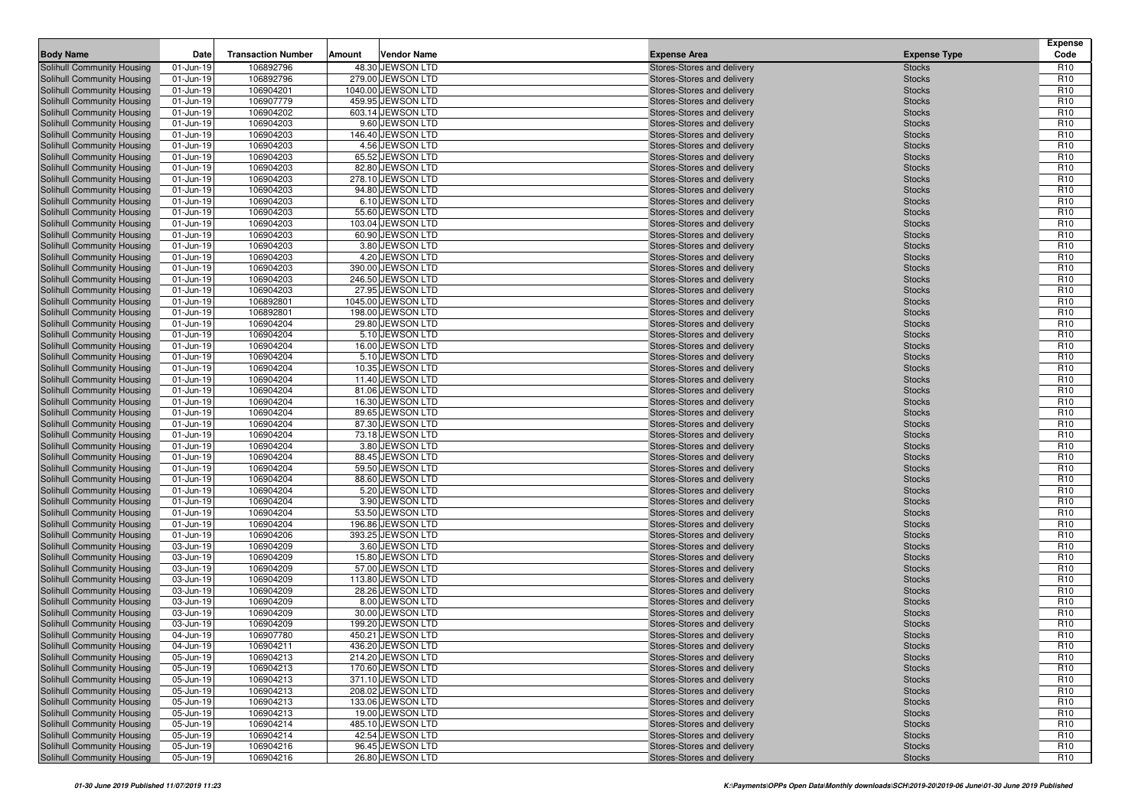| <b>Body Name</b>                                         | Date                   | <b>Transaction Number</b> | Amount | <b>Vendor Name</b>                     | <b>Expense Area</b>                                      | <b>Expense Type</b>            | <b>Expense</b><br>Code             |
|----------------------------------------------------------|------------------------|---------------------------|--------|----------------------------------------|----------------------------------------------------------|--------------------------------|------------------------------------|
| Solihull Community Housing                               | 01-Jun-19              | 106892796                 |        | 48.30 JEWSON LTD                       | Stores-Stores and delivery                               | <b>Stocks</b>                  | R <sub>10</sub>                    |
| Solihull Community Housing                               | 01-Jun-19              | 106892796                 |        | 279.00 JEWSON LTD                      | Stores-Stores and delivery                               | <b>Stocks</b>                  | R <sub>10</sub>                    |
| Solihull Community Housing                               | 01-Jun-19              | 106904201                 |        | 1040.00 JEWSON LTD                     | Stores-Stores and delivery                               | <b>Stocks</b>                  | R <sub>10</sub>                    |
| Solihull Community Housing                               | 01-Jun-19              | 106907779                 |        | 459.95 JEWSON LTD                      | Stores-Stores and delivery                               | <b>Stocks</b>                  | R <sub>10</sub>                    |
| Solihull Community Housing                               | 01-Jun-19              | 106904202                 |        | 603.14 JEWSON LTD                      | Stores-Stores and delivery                               | <b>Stocks</b>                  | R <sub>10</sub>                    |
| Solihull Community Housing                               | 01-Jun-19              | 106904203                 |        | 9.60 JEWSON LTD                        | Stores-Stores and delivery                               | <b>Stocks</b>                  | R <sub>10</sub>                    |
| Solihull Community Housing                               | 01-Jun-19              | 106904203                 |        | 146.40 JEWSON LTD                      | Stores-Stores and delivery                               | <b>Stocks</b>                  | R <sub>10</sub>                    |
| Solihull Community Housing                               | 01-Jun-19              | 106904203                 |        | 4.56 JEWSON LTD                        | Stores-Stores and delivery                               | <b>Stocks</b>                  | R <sub>10</sub>                    |
| Solihull Community Housing                               | 01-Jun-19              | 106904203                 |        | 65.52 JEWSON LTD                       | Stores-Stores and delivery                               | <b>Stocks</b>                  | R <sub>10</sub>                    |
| <b>Solihull Community Housing</b>                        | 01-Jun-19              | 106904203                 |        | 82.80 JEWSON LTD                       | Stores-Stores and delivery                               | <b>Stocks</b>                  | R <sub>10</sub>                    |
| Solihull Community Housing                               | 01-Jun-19              | 106904203                 |        | 278.10 JEWSON LTD                      | Stores-Stores and delivery                               | <b>Stocks</b>                  | R <sub>10</sub>                    |
| Solihull Community Housing                               | 01-Jun-19              | 106904203                 |        | 94.80 JEWSON LTD                       | Stores-Stores and delivery                               | <b>Stocks</b>                  | R <sub>10</sub>                    |
| Solihull Community Housing                               | 01-Jun-19              | 106904203                 |        | 6.10 JEWSON LTD                        | Stores-Stores and delivery                               | <b>Stocks</b>                  | R <sub>10</sub>                    |
| Solihull Community Housing                               | 01-Jun-19              | 106904203                 |        | 55.60 JEWSON LTD                       | Stores-Stores and delivery                               | <b>Stocks</b>                  | R <sub>10</sub>                    |
| Solihull Community Housing                               | 01-Jun-19              | 106904203                 |        | 103.04 JEWSON LTD                      | Stores-Stores and delivery                               | <b>Stocks</b>                  | R <sub>10</sub>                    |
| Solihull Community Housing                               | 01-Jun-19              | 106904203                 |        | 60.90 JEWSON LTD                       | Stores-Stores and delivery                               | <b>Stocks</b>                  | R <sub>10</sub>                    |
| Solihull Community Housing                               | 01-Jun-19              | 106904203                 |        | 3.80 JEWSON LTD                        | Stores-Stores and delivery                               | <b>Stocks</b>                  | R <sub>10</sub>                    |
| Solihull Community Housing                               | 01-Jun-19              | 106904203                 |        | 4.20 JEWSON LTD<br>390.00 JEWSON LTD   | Stores-Stores and delivery                               | <b>Stocks</b>                  | R <sub>10</sub><br>R <sub>10</sub> |
| Solihull Community Housing<br>Solihull Community Housing | 01-Jun-19<br>01-Jun-19 | 106904203<br>106904203    |        | 246.50 JEWSON LTD                      | Stores-Stores and delivery<br>Stores-Stores and delivery | <b>Stocks</b><br><b>Stocks</b> | R <sub>10</sub>                    |
| Solihull Community Housing                               | 01-Jun-19              | 106904203                 |        | 27.95 JEWSON LTD                       | Stores-Stores and delivery                               | <b>Stocks</b>                  | R <sub>10</sub>                    |
| Solihull Community Housing                               | 01-Jun-19              | 106892801                 |        | 1045.00 JEWSON LTD                     | Stores-Stores and delivery                               | <b>Stocks</b>                  | R <sub>10</sub>                    |
| Solihull Community Housing                               | 01-Jun-19              | 106892801                 |        | 198.00 JEWSON LTD                      | Stores-Stores and delivery                               | <b>Stocks</b>                  | R <sub>10</sub>                    |
| Solihull Community Housing                               | 01-Jun-19              | 106904204                 |        | 29.80 JEWSON LTD                       | Stores-Stores and delivery                               | <b>Stocks</b>                  | R <sub>10</sub>                    |
| Solihull Community Housing                               | 01-Jun-19              | 106904204                 |        | 5.10 JEWSON LTD                        | Stores-Stores and delivery                               | <b>Stocks</b>                  | R <sub>10</sub>                    |
| Solihull Community Housing                               | 01-Jun-19              | 106904204                 |        | 16.00 JEWSON LTD                       | Stores-Stores and delivery                               | <b>Stocks</b>                  | R <sub>10</sub>                    |
| Solihull Community Housing                               | 01-Jun-19              | 106904204                 |        | 5.10 JEWSON LTD                        | Stores-Stores and delivery                               | <b>Stocks</b>                  | R <sub>10</sub>                    |
| Solihull Community Housing                               | 01-Jun-19              | 106904204                 |        | 10.35 JEWSON LTD                       | Stores-Stores and delivery                               | <b>Stocks</b>                  | R <sub>10</sub>                    |
| Solihull Community Housing                               | 01-Jun-19              | 106904204                 |        | 11.40 JEWSON LTD                       | Stores-Stores and delivery                               | <b>Stocks</b>                  | R <sub>10</sub>                    |
| Solihull Community Housing                               | 01-Jun-19              | 106904204                 |        | 81.06 JEWSON LTD                       | Stores-Stores and delivery                               | <b>Stocks</b>                  | R <sub>10</sub>                    |
| Solihull Community Housing                               | 01-Jun-19              | 106904204                 |        | 16.30 JEWSON LTD                       | Stores-Stores and delivery                               | <b>Stocks</b>                  | R <sub>10</sub>                    |
| Solihull Community Housing                               | 01-Jun-19              | 106904204                 |        | 89.65 JEWSON LTD                       | Stores-Stores and delivery                               | <b>Stocks</b>                  | R <sub>10</sub>                    |
| Solihull Community Housing                               | 01-Jun-19              | 106904204                 |        | 87.30 JEWSON LTD                       | Stores-Stores and delivery                               | <b>Stocks</b>                  | R <sub>10</sub>                    |
| Solihull Community Housing                               | 01-Jun-19              | 106904204                 |        | 73.18 JEWSON LTD                       | Stores-Stores and delivery                               | <b>Stocks</b>                  | R <sub>10</sub>                    |
| <b>Solihull Community Housing</b>                        | 01-Jun-19              | 106904204                 |        | 3.80 JEWSON LTD                        | Stores-Stores and delivery                               | <b>Stocks</b>                  | R <sub>10</sub>                    |
| Solihull Community Housing                               | 01-Jun-19              | 106904204                 |        | 88.45 JEWSON LTD                       | Stores-Stores and delivery                               | <b>Stocks</b>                  | R <sub>10</sub>                    |
| Solihull Community Housing                               | 01-Jun-19              | 106904204                 |        | 59.50 JEWSON LTD                       | Stores-Stores and delivery                               | <b>Stocks</b>                  | R <sub>10</sub>                    |
| Solihull Community Housing                               | $01$ -Jun-19           | 106904204                 |        | 88.60 JEWSON LTD                       | Stores-Stores and delivery                               | <b>Stocks</b>                  | R <sub>10</sub>                    |
| <b>Solihull Community Housing</b>                        | 01-Jun-19              | 106904204                 |        | 5.20 JEWSON LTD                        | Stores-Stores and delivery                               | <b>Stocks</b>                  | R <sub>10</sub>                    |
| Solihull Community Housing                               | 01-Jun-19              | 106904204                 |        | 3.90 JEWSON LTD                        | Stores-Stores and delivery                               | <b>Stocks</b>                  | R <sub>10</sub>                    |
| Solihull Community Housing                               | 01-Jun-19              | 106904204                 |        | 53.50 JEWSON LTD                       | Stores-Stores and delivery                               | <b>Stocks</b>                  | R <sub>10</sub>                    |
| Solihull Community Housing<br>Solihull Community Housing | 01-Jun-19<br>01-Jun-19 | 106904204<br>106904206    |        | 196.86 JEWSON LTD<br>393.25 JEWSON LTD | Stores-Stores and delivery<br>Stores-Stores and delivery | <b>Stocks</b><br><b>Stocks</b> | R <sub>10</sub><br>R <sub>10</sub> |
| Solihull Community Housing                               | 03-Jun-19              | 106904209                 |        | 3.60 JEWSON LTD                        | Stores-Stores and delivery                               | <b>Stocks</b>                  | R <sub>10</sub>                    |
| Solihull Community Housing                               | 03-Jun-19              | 106904209                 |        | 15.80 JEWSON LTD                       | Stores-Stores and delivery                               | <b>Stocks</b>                  | R <sub>10</sub>                    |
| Solihull Community Housing                               | 03-Jun-19              | 106904209                 |        | 57.00 JEWSON LTD                       | Stores-Stores and delivery                               | <b>Stocks</b>                  | R <sub>10</sub>                    |
| Solihull Community Housing                               | 03-Jun-19              | 106904209                 |        | 113.80 JEWSON LTD                      | Stores-Stores and delivery                               | <b>Stocks</b>                  | R <sub>10</sub>                    |
| Solihull Community Housing                               | 03-Jun-19              | 106904209                 |        | 28.26 JEWSON LTD                       | Stores-Stores and delivery                               | <b>Stocks</b>                  | R <sub>10</sub>                    |
| Solihull Community Housing                               | 03-Jun-19              | 106904209                 |        | 8.00 JEWSON LTD                        | Stores-Stores and delivery                               | <b>Stocks</b>                  | R <sub>10</sub>                    |
| Solihull Community Housing                               | 03-Jun-19              | 106904209                 |        | 30.00 JEWSON LTD                       | Stores-Stores and delivery                               | <b>Stocks</b>                  | R <sub>10</sub>                    |
| Solihull Community Housing                               | 03-Jun-19              | 106904209                 |        | 199.20 JEWSON LTD                      | Stores-Stores and delivery                               | <b>Stocks</b>                  | R <sub>10</sub>                    |
| Solihull Community Housing                               | 04-Jun-19              | 106907780                 |        | 450.21 JEWSON LTD                      | Stores-Stores and delivery                               | <b>Stocks</b>                  | R <sub>10</sub>                    |
| Solihull Community Housing                               | 04-Jun-19              | 106904211                 |        | 436.20 JEWSON LTD                      | Stores-Stores and delivery                               | <b>Stocks</b>                  | R <sub>10</sub>                    |
| Solihull Community Housing                               | 05-Jun-19              | 106904213                 |        | 214.20 JEWSON LTD                      | Stores-Stores and delivery                               | <b>Stocks</b>                  | R <sub>10</sub>                    |
| Solihull Community Housing                               | 05-Jun-19              | 106904213                 |        | 170.60 JEWSON LTD                      | Stores-Stores and delivery                               | <b>Stocks</b>                  | R <sub>10</sub>                    |
| Solihull Community Housing                               | 05-Jun-19              | 106904213                 |        | 371.10 JEWSON LTD                      | Stores-Stores and delivery                               | <b>Stocks</b>                  | R <sub>10</sub>                    |
| Solihull Community Housing                               | 05-Jun-19              | 106904213                 |        | 208.02 JEWSON LTD                      | Stores-Stores and delivery                               | <b>Stocks</b>                  | R <sub>10</sub>                    |
| Solihull Community Housing                               | 05-Jun-19              | 106904213                 |        | 133.06 JEWSON LTD                      | Stores-Stores and delivery                               | <b>Stocks</b>                  | R <sub>10</sub>                    |
| Solihull Community Housing                               | 05-Jun-19              | 106904213                 |        | 19.00 JEWSON LTD                       | Stores-Stores and delivery                               | <b>Stocks</b>                  | R <sub>10</sub>                    |
| <b>Solihull Community Housing</b>                        | 05-Jun-19              | 106904214                 |        | 485.10 JEWSON LTD                      | Stores-Stores and delivery                               | <b>Stocks</b>                  | R <sub>10</sub>                    |
| Solihull Community Housing                               | 05-Jun-19              | 106904214                 |        | 42.54 JEWSON LTD                       | Stores-Stores and delivery                               | <b>Stocks</b>                  | R <sub>10</sub>                    |
| Solihull Community Housing                               | 05-Jun-19              | 106904216                 |        | 96.45 JEWSON LTD                       | Stores-Stores and delivery                               | <b>Stocks</b>                  | R <sub>10</sub>                    |
| Solihull Community Housing                               | 05-Jun-19              | 106904216                 |        | 26.80 JEWSON LTD                       | Stores-Stores and delivery                               | <b>Stocks</b>                  | R <sub>10</sub>                    |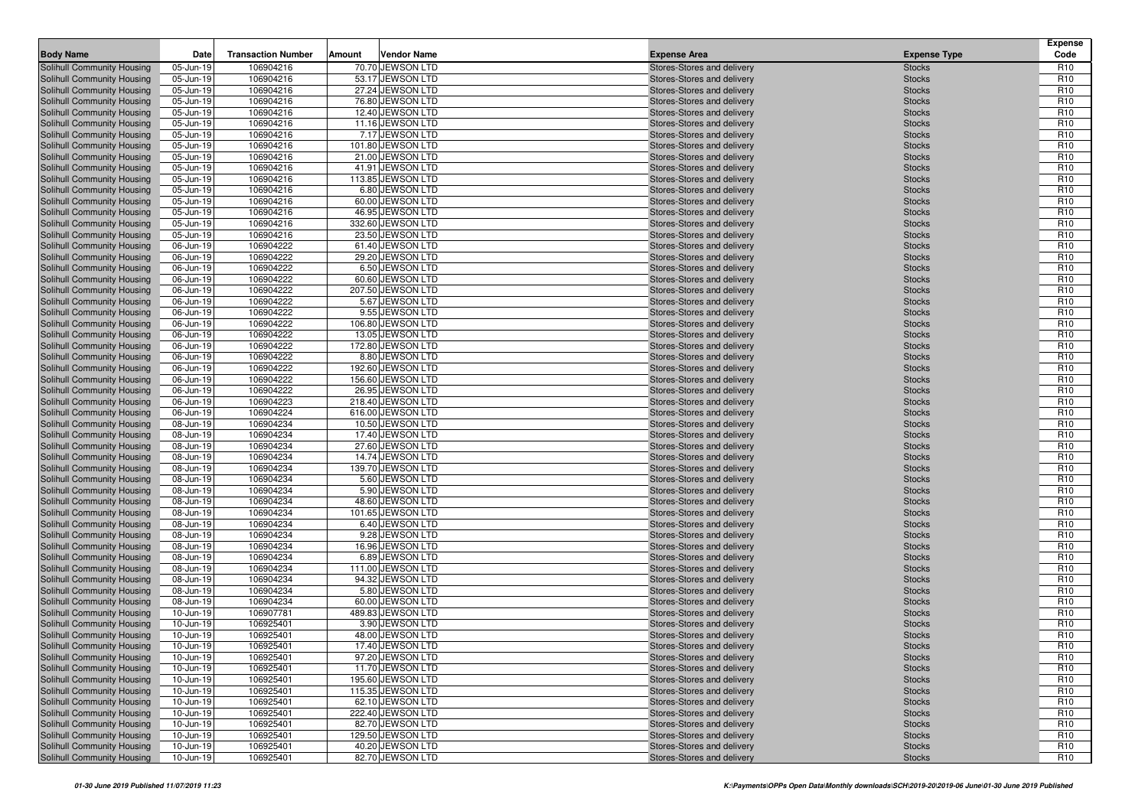| <b>Body Name</b>                                         | Date                   | <b>Transaction Number</b> | Amount | <b>Vendor Name</b>                   | <b>Expense Area</b>                                      | <b>Expense Type</b>            | <b>Expense</b><br>Code             |
|----------------------------------------------------------|------------------------|---------------------------|--------|--------------------------------------|----------------------------------------------------------|--------------------------------|------------------------------------|
| Solihull Community Housing                               | 05-Jun-19              | 106904216                 |        | 70.70 JEWSON LTD                     | Stores-Stores and delivery                               | <b>Stocks</b>                  | R <sub>10</sub>                    |
| Solihull Community Housing                               | 05-Jun-19              | 106904216                 |        | 53.17 JEWSON LTD                     | Stores-Stores and delivery                               | <b>Stocks</b>                  | R <sub>10</sub>                    |
| Solihull Community Housing                               | 05-Jun-19              | 106904216                 |        | 27.24 JEWSON LTD                     | Stores-Stores and delivery                               | <b>Stocks</b>                  | R <sub>10</sub>                    |
| Solihull Community Housing                               | 05-Jun-19              | 106904216                 |        | 76.80 JEWSON LTD                     | Stores-Stores and delivery                               | <b>Stocks</b>                  | R <sub>10</sub>                    |
| Solihull Community Housing                               | 05-Jun-19              | 106904216                 |        | 12.40 JEWSON LTD                     | Stores-Stores and delivery                               | <b>Stocks</b>                  | R <sub>10</sub>                    |
| Solihull Community Housing                               | 05-Jun-19              | 106904216                 |        | 11.16 JEWSON LTD                     | Stores-Stores and delivery                               | <b>Stocks</b>                  | R <sub>10</sub>                    |
| Solihull Community Housing                               | 05-Jun-19              | 106904216                 |        | 7.17 JEWSON LTD                      | Stores-Stores and delivery                               | <b>Stocks</b>                  | R <sub>10</sub>                    |
| Solihull Community Housing                               | 05-Jun-19              | 106904216                 |        | 101.80 JEWSON LTD                    | Stores-Stores and delivery                               | <b>Stocks</b>                  | R <sub>10</sub>                    |
| Solihull Community Housing                               | 05-Jun-19              | 106904216                 |        | 21.00 JEWSON LTD                     | Stores-Stores and delivery                               | <b>Stocks</b>                  | R <sub>10</sub>                    |
| <b>Solihull Community Housing</b>                        | 05-Jun-19              | 106904216                 |        | 41.91 JEWSON LTD                     | Stores-Stores and delivery                               | <b>Stocks</b>                  | R <sub>10</sub>                    |
| Solihull Community Housing                               | 05-Jun-19              | 106904216                 |        | 113.85 JEWSON LTD                    | Stores-Stores and delivery                               | <b>Stocks</b>                  | R <sub>10</sub>                    |
| Solihull Community Housing                               | 05-Jun-19              | 106904216                 |        | 6.80 JEWSON LTD                      | Stores-Stores and delivery                               | <b>Stocks</b>                  | R <sub>10</sub>                    |
| Solihull Community Housing                               | 05-Jun-19              | 106904216                 |        | 60.00 JEWSON LTD                     | Stores-Stores and delivery                               | <b>Stocks</b>                  | R <sub>10</sub>                    |
| Solihull Community Housing                               | 05-Jun-19              | 106904216                 |        | 46.95 JEWSON LTD                     | Stores-Stores and delivery                               | <b>Stocks</b>                  | R <sub>10</sub>                    |
| Solihull Community Housing                               | 05-Jun-19              | 106904216                 |        | 332.60 JEWSON LTD                    | Stores-Stores and delivery                               | <b>Stocks</b>                  | R <sub>10</sub>                    |
| Solihull Community Housing                               | 05-Jun-19              | 106904216                 |        | 23.50 JEWSON LTD                     | Stores-Stores and delivery                               | <b>Stocks</b>                  | R <sub>10</sub>                    |
| Solihull Community Housing                               | 06-Jun-19              | 106904222                 |        | 61.40 JEWSON LTD                     | Stores-Stores and delivery                               | <b>Stocks</b>                  | R <sub>10</sub>                    |
| Solihull Community Housing                               | 06-Jun-19              | 106904222                 |        | 29.20 JEWSON LTD                     | Stores-Stores and delivery                               | <b>Stocks</b>                  | R <sub>10</sub>                    |
| Solihull Community Housing                               | 06-Jun-19              | 106904222                 |        | 6.50 JEWSON LTD                      | Stores-Stores and delivery                               | <b>Stocks</b>                  | R <sub>10</sub>                    |
| Solihull Community Housing                               | 06-Jun-19              | 106904222                 |        | 60.60 JEWSON LTD                     | Stores-Stores and delivery                               | <b>Stocks</b>                  | R <sub>10</sub>                    |
| Solihull Community Housing                               | 06-Jun-19              | 106904222                 |        | 207.50 JEWSON LTD                    | Stores-Stores and delivery                               | <b>Stocks</b>                  | R <sub>10</sub>                    |
| Solihull Community Housing                               | 06-Jun-19              | 106904222                 |        | 5.67 JEWSON LTD                      | Stores-Stores and delivery                               | <b>Stocks</b>                  | R <sub>10</sub>                    |
| Solihull Community Housing                               | 06-Jun-19              | 106904222                 |        | 9.55 JEWSON LTD                      | Stores-Stores and delivery                               | <b>Stocks</b>                  | R <sub>10</sub>                    |
| Solihull Community Housing                               | 06-Jun-19              | 106904222                 |        | 106.80 JEWSON LTD                    | Stores-Stores and delivery                               | <b>Stocks</b>                  | R <sub>10</sub>                    |
| Solihull Community Housing                               | 06-Jun-19              | 106904222                 |        | 13.05 JEWSON LTD                     | Stores-Stores and delivery                               | <b>Stocks</b>                  | R <sub>10</sub>                    |
| Solihull Community Housing                               | 06-Jun-19              | 106904222                 |        | 172.80 JEWSON LTD                    | Stores-Stores and delivery<br>Stores-Stores and delivery | <b>Stocks</b>                  | R <sub>10</sub>                    |
| Solihull Community Housing                               | 06-Jun-19<br>06-Jun-19 | 106904222<br>106904222    |        | 8.80 JEWSON LTD<br>192.60 JEWSON LTD |                                                          | <b>Stocks</b>                  | R <sub>10</sub><br>R <sub>10</sub> |
| Solihull Community Housing<br>Solihull Community Housing | 06-Jun-19              | 106904222                 |        | 156.60 JEWSON LTD                    | Stores-Stores and delivery<br>Stores-Stores and delivery | <b>Stocks</b><br><b>Stocks</b> | R <sub>10</sub>                    |
| Solihull Community Housing                               | 06-Jun-19              | 106904222                 |        | 26.95 JEWSON LTD                     | Stores-Stores and delivery                               | <b>Stocks</b>                  | R <sub>10</sub>                    |
| Solihull Community Housing                               | 06-Jun-19              | 106904223                 |        | 218.40 JEWSON LTD                    | Stores-Stores and delivery                               | <b>Stocks</b>                  | R <sub>10</sub>                    |
| Solihull Community Housing                               | 06-Jun-19              | 106904224                 |        | 616.00 JEWSON LTD                    | Stores-Stores and delivery                               | <b>Stocks</b>                  | R <sub>10</sub>                    |
| Solihull Community Housing                               | 08-Jun-19              | 106904234                 |        | 10.50 JEWSON LTD                     | Stores-Stores and delivery                               | <b>Stocks</b>                  | R <sub>10</sub>                    |
| Solihull Community Housing                               | 08-Jun-19              | 106904234                 |        | 17.40 JEWSON LTD                     | Stores-Stores and delivery                               | <b>Stocks</b>                  | R <sub>10</sub>                    |
| <b>Solihull Community Housing</b>                        | 08-Jun-19              | 106904234                 |        | 27.60 JEWSON LTD                     | Stores-Stores and delivery                               | <b>Stocks</b>                  | R <sub>10</sub>                    |
| Solihull Community Housing                               | 08-Jun-19              | 106904234                 |        | 14.74 JEWSON LTD                     | Stores-Stores and delivery                               | <b>Stocks</b>                  | R <sub>10</sub>                    |
| Solihull Community Housing                               | 08-Jun-19              | 106904234                 |        | 139.70 JEWSON LTD                    | Stores-Stores and delivery                               | <b>Stocks</b>                  | R <sub>10</sub>                    |
| Solihull Community Housing                               | 08-Jun-19              | 106904234                 |        | 5.60 JEWSON LTD                      | Stores-Stores and delivery                               | <b>Stocks</b>                  | R <sub>10</sub>                    |
| <b>Solihull Community Housing</b>                        | 08-Jun-19              | 106904234                 |        | 5.90 JEWSON LTD                      | Stores-Stores and delivery                               | <b>Stocks</b>                  | R <sub>10</sub>                    |
| Solihull Community Housing                               | 08-Jun-19              | 106904234                 |        | 48.60 JEWSON LTD                     | Stores-Stores and delivery                               | <b>Stocks</b>                  | R <sub>10</sub>                    |
| Solihull Community Housing                               | 08-Jun-19              | 106904234                 |        | 101.65 JEWSON LTD                    | Stores-Stores and delivery                               | <b>Stocks</b>                  | R <sub>10</sub>                    |
| Solihull Community Housing                               | 08-Jun-19              | 106904234                 |        | 6.40 JEWSON LTD                      | Stores-Stores and delivery                               | <b>Stocks</b>                  | R <sub>10</sub>                    |
| Solihull Community Housing                               | 08-Jun-19              | 106904234                 |        | 9.28 JEWSON LTD                      | Stores-Stores and delivery                               | <b>Stocks</b>                  | R <sub>10</sub>                    |
| Solihull Community Housing                               | 08-Jun-19              | 106904234                 |        | 16.96 JEWSON LTD                     | Stores-Stores and delivery                               | <b>Stocks</b>                  | R <sub>10</sub>                    |
| Solihull Community Housing                               | 08-Jun-19              | 106904234                 |        | 6.89 JEWSON LTD                      | Stores-Stores and delivery                               | <b>Stocks</b>                  | R <sub>10</sub>                    |
| Solihull Community Housing                               | 08-Jun-19              | 106904234                 |        | 111.00 JEWSON LTD                    | Stores-Stores and delivery                               | <b>Stocks</b>                  | R <sub>10</sub>                    |
| Solihull Community Housing                               | 08-Jun-19              | 106904234                 |        | 94.32 JEWSON LTD                     | Stores-Stores and delivery                               | <b>Stocks</b>                  | R <sub>10</sub>                    |
| Solihull Community Housing                               | 08-Jun-19              | 106904234                 |        | 5.80 JEWSON LTD                      | Stores-Stores and delivery                               | <b>Stocks</b>                  | R <sub>10</sub>                    |
| Solihull Community Housing                               | 08-Jun-19              | 106904234                 |        | 60.00 JEWSON LTD                     | Stores-Stores and delivery                               | <b>Stocks</b>                  | R <sub>10</sub>                    |
| Solihull Community Housing                               | 10-Jun-19              | 106907781                 |        | 489.83 JEWSON LTD                    | Stores-Stores and delivery                               | <b>Stocks</b>                  | R <sub>10</sub>                    |
| <b>Solihull Community Housing</b>                        | 10-Jun-19              | 106925401                 |        | 3.90 JEWSON LTD                      | Stores-Stores and delivery                               | <b>Stocks</b>                  | R <sub>10</sub>                    |
| Solihull Community Housing                               | 10-Jun-19              | 106925401                 |        | 48.00 JEWSON LTD                     | Stores-Stores and delivery                               | <b>Stocks</b>                  | R <sub>10</sub>                    |
| Solihull Community Housing                               | 10-Jun-19              | 106925401                 |        | 17.40 JEWSON LTD                     | Stores-Stores and delivery                               | <b>Stocks</b>                  | R <sub>10</sub>                    |
| Solihull Community Housing                               | 10-Jun-19              | 106925401                 |        | 97.20 JEWSON LTD                     | Stores-Stores and delivery                               | <b>Stocks</b>                  | R <sub>10</sub>                    |
| Solihull Community Housing                               | 10-Jun-19              | 106925401                 |        | 11.70 JEWSON LTD                     | Stores-Stores and delivery                               | <b>Stocks</b>                  | R <sub>10</sub>                    |
| Solihull Community Housing                               | 10-Jun-19              | 106925401                 |        | 195.60 JEWSON LTD                    | Stores-Stores and delivery                               | <b>Stocks</b>                  | R <sub>10</sub>                    |
| Solihull Community Housing                               | 10-Jun-19              | 106925401                 |        | 115.35 JEWSON LTD                    | Stores-Stores and delivery                               | <b>Stocks</b>                  | R <sub>10</sub>                    |
| Solihull Community Housing                               | 10-Jun-19              | 106925401                 |        | 62.10 JEWSON LTD                     | Stores-Stores and delivery                               | <b>Stocks</b>                  | R <sub>10</sub>                    |
| Solihull Community Housing                               | 10-Jun-19              | 106925401                 |        | 222.40 JEWSON LTD                    | Stores-Stores and delivery                               | <b>Stocks</b>                  | R <sub>10</sub>                    |
| <b>Solihull Community Housing</b>                        | 10-Jun-19              | 106925401                 |        | 82.70 JEWSON LTD                     | Stores-Stores and delivery                               | <b>Stocks</b>                  | R <sub>10</sub>                    |
| Solihull Community Housing                               | 10-Jun-19              | 106925401                 |        | 129.50 JEWSON LTD                    | Stores-Stores and delivery                               | <b>Stocks</b>                  | R <sub>10</sub>                    |
| Solihull Community Housing                               | 10-Jun-19              | 106925401                 |        | 40.20 JEWSON LTD                     | Stores-Stores and delivery                               | <b>Stocks</b>                  | R <sub>10</sub>                    |
| Solihull Community Housing                               | 10-Jun-19              | 106925401                 |        | 82.70 JEWSON LTD                     | Stores-Stores and delivery                               | <b>Stocks</b>                  | R <sub>10</sub>                    |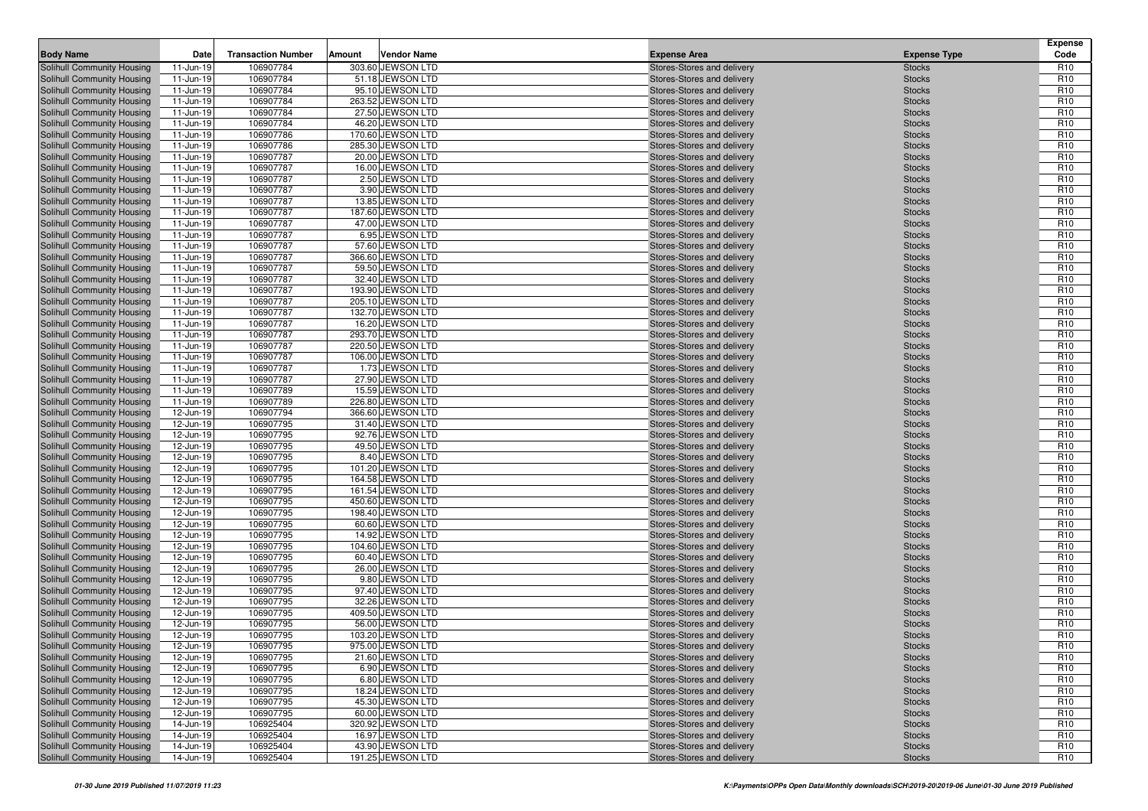| <b>Body Name</b>                                         | Date                   | <b>Transaction Number</b> | Amount | <b>Vendor Name</b>                    | <b>Expense Area</b>                                      | <b>Expense Type</b>            | <b>Expense</b><br>Code             |
|----------------------------------------------------------|------------------------|---------------------------|--------|---------------------------------------|----------------------------------------------------------|--------------------------------|------------------------------------|
| Solihull Community Housing                               | 11-Jun-19              | 106907784                 |        | 303.60 JEWSON LTD                     | Stores-Stores and delivery                               | <b>Stocks</b>                  | R <sub>10</sub>                    |
| Solihull Community Housing                               | 11-Jun-19              | 106907784                 |        | 51.18 JEWSON LTD                      | Stores-Stores and delivery                               | <b>Stocks</b>                  | R <sub>10</sub>                    |
| Solihull Community Housing                               | 11-Jun-19              | 106907784                 |        | 95.10 JEWSON LTD                      | Stores-Stores and delivery                               | <b>Stocks</b>                  | R <sub>10</sub>                    |
| Solihull Community Housing                               | 11-Jun-19              | 106907784                 |        | 263.52 JEWSON LTD                     | Stores-Stores and delivery                               | <b>Stocks</b>                  | R <sub>10</sub>                    |
| Solihull Community Housing                               | 11-Jun-19              | 106907784                 |        | 27.50 JEWSON LTD                      | Stores-Stores and delivery                               | <b>Stocks</b>                  | R <sub>10</sub>                    |
| Solihull Community Housing                               | 11-Jun-19              | 106907784                 |        | 46.20 JEWSON LTD                      | Stores-Stores and delivery                               | <b>Stocks</b>                  | R <sub>10</sub>                    |
| Solihull Community Housing                               | 11-Jun-19              | 106907786                 |        | 170.60 JEWSON LTD                     | Stores-Stores and delivery                               | <b>Stocks</b>                  | R <sub>10</sub>                    |
| Solihull Community Housing                               | 11-Jun-19              | 106907786                 |        | 285.30 JEWSON LTD                     | Stores-Stores and delivery                               | <b>Stocks</b>                  | R <sub>10</sub>                    |
| Solihull Community Housing                               | 11-Jun-19              | 106907787                 |        | 20.00 JEWSON LTD                      | Stores-Stores and delivery                               | <b>Stocks</b>                  | R <sub>10</sub>                    |
| <b>Solihull Community Housing</b>                        | 11-Jun-19              | 106907787                 |        | 16.00 JEWSON LTD                      | Stores-Stores and delivery                               | <b>Stocks</b>                  | R <sub>10</sub>                    |
| Solihull Community Housing                               | 11-Jun-19              | 106907787                 |        | 2.50 JEWSON LTD                       | Stores-Stores and delivery                               | <b>Stocks</b>                  | R <sub>10</sub>                    |
| Solihull Community Housing                               | 11-Jun-19              | 106907787                 |        | 3.90 JEWSON LTD                       | Stores-Stores and delivery                               | <b>Stocks</b>                  | R <sub>10</sub>                    |
| Solihull Community Housing                               | 11-Jun-19              | 106907787                 |        | 13.85 JEWSON LTD                      | Stores-Stores and delivery                               | <b>Stocks</b>                  | R <sub>10</sub>                    |
| Solihull Community Housing                               | 11-Jun-19              | 106907787                 |        | 187.60 JEWSON LTD                     | Stores-Stores and delivery                               | <b>Stocks</b>                  | R <sub>10</sub>                    |
| Solihull Community Housing                               | 11-Jun-19              | 106907787                 |        | 47.00 JEWSON LTD                      | Stores-Stores and delivery                               | <b>Stocks</b>                  | R <sub>10</sub>                    |
| Solihull Community Housing                               | 11-Jun-19              | 106907787                 |        | 6.95 JEWSON LTD                       | Stores-Stores and delivery                               | <b>Stocks</b>                  | R <sub>10</sub>                    |
| Solihull Community Housing                               | 11-Jun-19              | 106907787<br>106907787    |        | 57.60 JEWSON LTD<br>366.60 JEWSON LTD | Stores-Stores and delivery                               | <b>Stocks</b>                  | R <sub>10</sub><br>R <sub>10</sub> |
| Solihull Community Housing<br>Solihull Community Housing | 11-Jun-19<br>11-Jun-19 | 106907787                 |        | 59.50 JEWSON LTD                      | Stores-Stores and delivery<br>Stores-Stores and delivery | <b>Stocks</b><br><b>Stocks</b> | R <sub>10</sub>                    |
| Solihull Community Housing                               | 11-Jun-19              | 106907787                 |        | 32.40 JEWSON LTD                      | Stores-Stores and delivery                               | <b>Stocks</b>                  | R <sub>10</sub>                    |
| Solihull Community Housing                               | 11-Jun-19              | 106907787                 |        | 193.90 JEWSON LTD                     | Stores-Stores and delivery                               | <b>Stocks</b>                  | R <sub>10</sub>                    |
| Solihull Community Housing                               | 11-Jun-19              | 106907787                 |        | 205.10 JEWSON LTD                     | Stores-Stores and delivery                               | <b>Stocks</b>                  | R <sub>10</sub>                    |
| Solihull Community Housing                               | 11-Jun-19              | 106907787                 |        | 132.70 JEWSON LTD                     | Stores-Stores and delivery                               | <b>Stocks</b>                  | R <sub>10</sub>                    |
| Solihull Community Housing                               | 11-Jun-19              | 106907787                 |        | 16.20 JEWSON LTD                      | Stores-Stores and delivery                               | <b>Stocks</b>                  | R <sub>10</sub>                    |
| Solihull Community Housing                               | 11-Jun-19              | 106907787                 |        | 293.70 JEWSON LTD                     | Stores-Stores and delivery                               | <b>Stocks</b>                  | R <sub>10</sub>                    |
| Solihull Community Housing                               | 11-Jun-19              | 106907787                 |        | 220.50 JEWSON LTD                     | Stores-Stores and delivery                               | <b>Stocks</b>                  | R <sub>10</sub>                    |
| Solihull Community Housing                               | 11-Jun-19              | 106907787                 |        | 106.00 JEWSON LTD                     | Stores-Stores and delivery                               | <b>Stocks</b>                  | R <sub>10</sub>                    |
| Solihull Community Housing                               | 11-Jun-19              | 106907787                 |        | 1.73 JEWSON LTD                       | Stores-Stores and delivery                               | <b>Stocks</b>                  | R <sub>10</sub>                    |
| Solihull Community Housing                               | 11-Jun-19              | 106907787                 |        | 27.90 JEWSON LTD                      | Stores-Stores and delivery                               | <b>Stocks</b>                  | R <sub>10</sub>                    |
| Solihull Community Housing                               | 11-Jun-19              | 106907789                 |        | 15.59 JEWSON LTD                      | Stores-Stores and delivery                               | <b>Stocks</b>                  | R <sub>10</sub>                    |
| Solihull Community Housing                               | 11-Jun-19              | 106907789                 |        | 226.80 JEWSON LTD                     | Stores-Stores and delivery                               | <b>Stocks</b>                  | R <sub>10</sub>                    |
| Solihull Community Housing                               | 12-Jun-19              | 106907794                 |        | 366.60 JEWSON LTD                     | Stores-Stores and delivery                               | <b>Stocks</b>                  | R <sub>10</sub>                    |
| Solihull Community Housing                               | 12-Jun-19              | 106907795                 |        | 31.40 JEWSON LTD                      | Stores-Stores and delivery                               | <b>Stocks</b>                  | R <sub>10</sub>                    |
| Solihull Community Housing                               | 12-Jun-19              | 106907795                 |        | 92.76 JEWSON LTD                      | Stores-Stores and delivery                               | <b>Stocks</b>                  | R <sub>10</sub>                    |
| <b>Solihull Community Housing</b>                        | 12-Jun-19              | 106907795                 |        | 49.50 JEWSON LTD                      | Stores-Stores and delivery                               | <b>Stocks</b>                  | R <sub>10</sub>                    |
| Solihull Community Housing                               | 12-Jun-19              | 106907795                 |        | 8.40 JEWSON LTD                       | Stores-Stores and delivery                               | <b>Stocks</b>                  | R <sub>10</sub>                    |
| Solihull Community Housing                               | 12-Jun-19              | 106907795                 |        | 101.20 JEWSON LTD                     | Stores-Stores and delivery                               | <b>Stocks</b>                  | R <sub>10</sub>                    |
| Solihull Community Housing                               | 12-Jun-19              | 106907795                 |        | 164.58 JEWSON LTD                     | Stores-Stores and delivery                               | <b>Stocks</b>                  | R <sub>10</sub>                    |
| <b>Solihull Community Housing</b>                        | 12-Jun-19              | 106907795                 |        | 161.54 JEWSON LTD                     | Stores-Stores and delivery                               | <b>Stocks</b>                  | R <sub>10</sub>                    |
| Solihull Community Housing                               | 12-Jun-19              | 106907795                 |        | 450.60 JEWSON LTD                     | Stores-Stores and delivery                               | <b>Stocks</b>                  | R <sub>10</sub>                    |
| Solihull Community Housing                               | 12-Jun-19              | 106907795                 |        | 198.40 JEWSON LTD                     | Stores-Stores and delivery                               | <b>Stocks</b>                  | R <sub>10</sub>                    |
| Solihull Community Housing                               | 12-Jun-19              | 106907795                 |        | 60.60 JEWSON LTD                      | Stores-Stores and delivery                               | <b>Stocks</b>                  | R <sub>10</sub>                    |
| Solihull Community Housing                               | 12-Jun-19              | 106907795                 |        | 14.92 JEWSON LTD                      | Stores-Stores and delivery                               | <b>Stocks</b>                  | R <sub>10</sub>                    |
| Solihull Community Housing                               | 12-Jun-19              | 106907795<br>106907795    |        | 104.60 JEWSON LTD<br>60.40 JEWSON LTD | Stores-Stores and delivery                               | <b>Stocks</b>                  | R <sub>10</sub><br>R <sub>10</sub> |
| Solihull Community Housing<br>Solihull Community Housing | 12-Jun-19<br>12-Jun-19 | 106907795                 |        | 26.00 JEWSON LTD                      | Stores-Stores and delivery<br>Stores-Stores and delivery | <b>Stocks</b><br><b>Stocks</b> | R <sub>10</sub>                    |
| Solihull Community Housing                               | 12-Jun-19              | 106907795                 |        | 9.80 JEWSON LTD                       | Stores-Stores and delivery                               | <b>Stocks</b>                  | R <sub>10</sub>                    |
| Solihull Community Housing                               | 12-Jun-19              | 106907795                 |        | 97.40 JEWSON LTD                      | Stores-Stores and delivery                               | <b>Stocks</b>                  | R <sub>10</sub>                    |
| Solihull Community Housing                               | 12-Jun-19              | 106907795                 |        | 32.26 JEWSON LTD                      | Stores-Stores and delivery                               | <b>Stocks</b>                  | R <sub>10</sub>                    |
| Solihull Community Housing                               | 12-Jun-19              | 106907795                 |        | 409.50 JEWSON LTD                     | Stores-Stores and delivery                               | <b>Stocks</b>                  | R <sub>10</sub>                    |
| Solihull Community Housing                               | 12-Jun-19              | 106907795                 |        | 56.00 JEWSON LTD                      | Stores-Stores and delivery                               | <b>Stocks</b>                  | R <sub>10</sub>                    |
| Solihull Community Housing                               | 12-Jun-19              | 106907795                 |        | 103.20 JEWSON LTD                     | Stores-Stores and delivery                               | <b>Stocks</b>                  | R <sub>10</sub>                    |
| Solihull Community Housing                               | $12$ -Jun-19           | 106907795                 |        | 975.00 JEWSON LTD                     | Stores-Stores and delivery                               | <b>Stocks</b>                  | R <sub>10</sub>                    |
| Solihull Community Housing                               | 12-Jun-19              | 106907795                 |        | 21.60 JEWSON LTD                      | Stores-Stores and delivery                               | <b>Stocks</b>                  | R <sub>10</sub>                    |
| Solihull Community Housing                               | 12-Jun-19              | 106907795                 |        | 6.90 JEWSON LTD                       | Stores-Stores and delivery                               | <b>Stocks</b>                  | R <sub>10</sub>                    |
| Solihull Community Housing                               | 12-Jun-19              | 106907795                 |        | 6.80 JEWSON LTD                       | Stores-Stores and delivery                               | <b>Stocks</b>                  | R <sub>10</sub>                    |
| Solihull Community Housing                               | 12-Jun-19              | 106907795                 |        | 18.24 JEWSON LTD                      | Stores-Stores and delivery                               | <b>Stocks</b>                  | R <sub>10</sub>                    |
| Solihull Community Housing                               | 12-Jun-19              | 106907795                 |        | 45.30 JEWSON LTD                      | Stores-Stores and delivery                               | <b>Stocks</b>                  | R <sub>10</sub>                    |
| Solihull Community Housing                               | 12-Jun-19              | 106907795                 |        | 60.00 JEWSON LTD                      | Stores-Stores and delivery                               | <b>Stocks</b>                  | R <sub>10</sub>                    |
| <b>Solihull Community Housing</b>                        | 14-Jun-19              | 106925404                 |        | 320.92 JEWSON LTD                     | Stores-Stores and delivery                               | <b>Stocks</b>                  | R <sub>10</sub>                    |
| Solihull Community Housing                               | 14-Jun-19              | 106925404                 |        | 16.97 JEWSON LTD                      | Stores-Stores and delivery                               | <b>Stocks</b>                  | R <sub>10</sub>                    |
| Solihull Community Housing                               | 14-Jun-19              | 106925404                 |        | 43.90 JEWSON LTD                      | Stores-Stores and delivery                               | <b>Stocks</b>                  | R <sub>10</sub>                    |
| Solihull Community Housing                               | 14-Jun-19              | 106925404                 |        | 191.25 JEWSON LTD                     | Stores-Stores and delivery                               | <b>Stocks</b>                  | R <sub>10</sub>                    |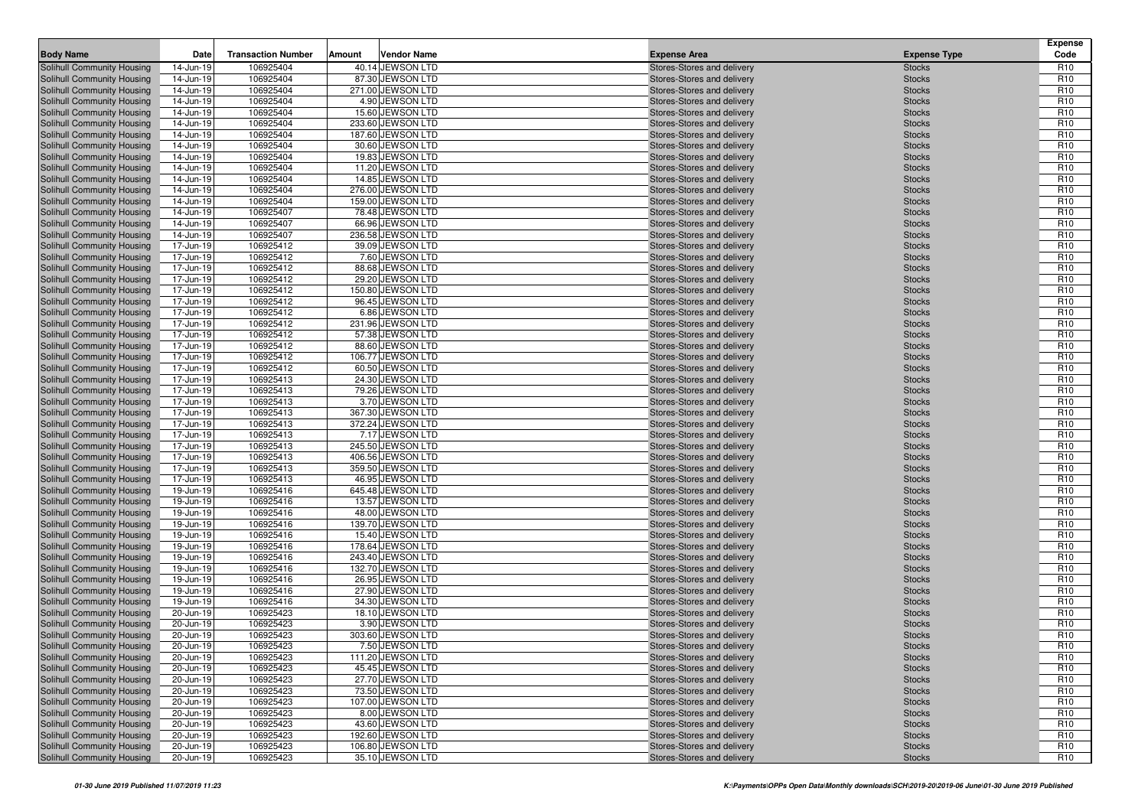| <b>Body Name</b>                                         | Date                   | <b>Transaction Number</b> | Amount | <b>Vendor Name</b>                     | <b>Expense Area</b>                                      | <b>Expense Type</b>            | <b>Expense</b><br>Code             |
|----------------------------------------------------------|------------------------|---------------------------|--------|----------------------------------------|----------------------------------------------------------|--------------------------------|------------------------------------|
| Solihull Community Housing                               | 14-Jun-19              | 106925404                 |        | 40.14 JEWSON LTD                       | Stores-Stores and delivery                               | <b>Stocks</b>                  | R <sub>10</sub>                    |
| Solihull Community Housing                               | 14-Jun-19              | 106925404                 |        | 87.30 JEWSON LTD                       | Stores-Stores and delivery                               | <b>Stocks</b>                  | R <sub>10</sub>                    |
| Solihull Community Housing                               | 14-Jun-19              | 106925404                 |        | 271.00 JEWSON LTD                      | Stores-Stores and delivery                               | <b>Stocks</b>                  | R <sub>10</sub>                    |
| Solihull Community Housing                               | 14-Jun-19              | 106925404                 |        | 4.90 JEWSON LTD                        | Stores-Stores and delivery                               | <b>Stocks</b>                  | R <sub>10</sub>                    |
| Solihull Community Housing                               | 14-Jun-19              | 106925404                 |        | 15.60 JEWSON LTD                       | Stores-Stores and delivery                               | <b>Stocks</b>                  | R <sub>10</sub>                    |
| Solihull Community Housing                               | 14-Jun-19              | 106925404                 |        | 233.60 JEWSON LTD                      | Stores-Stores and delivery                               | <b>Stocks</b>                  | R <sub>10</sub>                    |
| Solihull Community Housing                               | 14-Jun-19              | 106925404                 |        | 187.60 JEWSON LTD                      | Stores-Stores and delivery                               | <b>Stocks</b>                  | R <sub>10</sub>                    |
| Solihull Community Housing                               | 14-Jun-19              | 106925404                 |        | 30.60 JEWSON LTD                       | Stores-Stores and delivery                               | <b>Stocks</b>                  | R <sub>10</sub>                    |
| Solihull Community Housing                               | 14-Jun-19              | 106925404                 |        | 19.83 JEWSON LTD                       | Stores-Stores and delivery                               | <b>Stocks</b>                  | R <sub>10</sub>                    |
| <b>Solihull Community Housing</b>                        | 14-Jun-19              | 106925404                 |        | 11.20 JEWSON LTD                       | Stores-Stores and delivery                               | <b>Stocks</b>                  | R <sub>10</sub>                    |
| Solihull Community Housing                               | 14-Jun-19              | 106925404                 |        | 14.85 JEWSON LTD                       | Stores-Stores and delivery                               | <b>Stocks</b>                  | R <sub>10</sub>                    |
| Solihull Community Housing                               | 14-Jun-19              | 106925404                 |        | 276.00 JEWSON LTD                      | Stores-Stores and delivery                               | <b>Stocks</b>                  | R <sub>10</sub>                    |
| Solihull Community Housing                               | 14-Jun-19              | 106925404                 |        | 159.00 JEWSON LTD                      | Stores-Stores and delivery                               | <b>Stocks</b>                  | R <sub>10</sub>                    |
| Solihull Community Housing                               | 14-Jun-19              | 106925407                 |        | 78.48 JEWSON LTD                       | Stores-Stores and delivery                               | <b>Stocks</b>                  | R <sub>10</sub>                    |
| Solihull Community Housing                               | 14-Jun-19              | 106925407                 |        | 66.96 JEWSON LTD                       | Stores-Stores and delivery                               | <b>Stocks</b>                  | R <sub>10</sub>                    |
| Solihull Community Housing                               | 14-Jun-19              | 106925407                 |        | 236.58 JEWSON LTD                      | Stores-Stores and delivery                               | <b>Stocks</b>                  | R <sub>10</sub>                    |
| Solihull Community Housing                               | 17-Jun-19              | 106925412                 |        | 39.09 JEWSON LTD                       | Stores-Stores and delivery                               | <b>Stocks</b>                  | R <sub>10</sub><br>R <sub>10</sub> |
| Solihull Community Housing                               | 17-Jun-19              | 106925412<br>106925412    |        | 7.60 JEWSON LTD<br>88.68 JEWSON LTD    | Stores-Stores and delivery                               | <b>Stocks</b>                  | R <sub>10</sub>                    |
| Solihull Community Housing<br>Solihull Community Housing | 17-Jun-19<br>17-Jun-19 | 106925412                 |        | 29.20 JEWSON LTD                       | Stores-Stores and delivery<br>Stores-Stores and delivery | <b>Stocks</b><br><b>Stocks</b> | R <sub>10</sub>                    |
| Solihull Community Housing                               | 17-Jun-19              | 106925412                 |        | 150.80 JEWSON LTD                      | Stores-Stores and delivery                               | <b>Stocks</b>                  | R <sub>10</sub>                    |
| Solihull Community Housing                               | 17-Jun-19              | 106925412                 |        | 96.45 JEWSON LTD                       | Stores-Stores and delivery                               | <b>Stocks</b>                  | R <sub>10</sub>                    |
| Solihull Community Housing                               | 17-Jun-19              | 106925412                 |        | 6.86 JEWSON LTD                        | Stores-Stores and delivery                               | <b>Stocks</b>                  | R <sub>10</sub>                    |
| Solihull Community Housing                               | 17-Jun-19              | 106925412                 |        | 231.96 JEWSON LTD                      | Stores-Stores and delivery                               | <b>Stocks</b>                  | R <sub>10</sub>                    |
| Solihull Community Housing                               | 17-Jun-19              | 106925412                 |        | 57.38 JEWSON LTD                       | Stores-Stores and delivery                               | <b>Stocks</b>                  | R <sub>10</sub>                    |
| Solihull Community Housing                               | 17-Jun-19              | 106925412                 |        | 88.60 JEWSON LTD                       | Stores-Stores and delivery                               | <b>Stocks</b>                  | R <sub>10</sub>                    |
| Solihull Community Housing                               | 17-Jun-19              | 106925412                 |        | 106.77 JEWSON LTD                      | Stores-Stores and delivery                               | <b>Stocks</b>                  | R <sub>10</sub>                    |
| Solihull Community Housing                               | 17-Jun-19              | 106925412                 |        | 60.50 JEWSON LTD                       | Stores-Stores and delivery                               | <b>Stocks</b>                  | R <sub>10</sub>                    |
| Solihull Community Housing                               | 17-Jun-19              | 106925413                 |        | 24.30 JEWSON LTD                       | Stores-Stores and delivery                               | <b>Stocks</b>                  | R <sub>10</sub>                    |
| Solihull Community Housing                               | 17-Jun-19              | 106925413                 |        | 79.26 JEWSON LTD                       | Stores-Stores and delivery                               | <b>Stocks</b>                  | R <sub>10</sub>                    |
| Solihull Community Housing                               | 17-Jun-19              | 106925413                 |        | 3.70 JEWSON LTD                        | Stores-Stores and delivery                               | <b>Stocks</b>                  | R <sub>10</sub>                    |
| Solihull Community Housing                               | 17-Jun-19              | 106925413                 |        | 367.30 JEWSON LTD                      | Stores-Stores and delivery                               | <b>Stocks</b>                  | R <sub>10</sub>                    |
| Solihull Community Housing                               | 17-Jun-19              | 106925413                 |        | 372.24 JEWSON LTD                      | Stores-Stores and delivery                               | <b>Stocks</b>                  | R <sub>10</sub>                    |
| Solihull Community Housing                               | 17-Jun-19              | 106925413                 |        | 7.17 JEWSON LTD                        | Stores-Stores and delivery                               | <b>Stocks</b>                  | R <sub>10</sub>                    |
| <b>Solihull Community Housing</b>                        | 17-Jun-19              | 106925413                 |        | 245.50 JEWSON LTD                      | Stores-Stores and delivery                               | <b>Stocks</b>                  | R <sub>10</sub>                    |
| Solihull Community Housing                               | 17-Jun-19              | 106925413                 |        | 406.56 JEWSON LTD                      | Stores-Stores and delivery                               | <b>Stocks</b>                  | R <sub>10</sub>                    |
| Solihull Community Housing                               | 17-Jun-19              | 106925413                 |        | 359.50 JEWSON LTD                      | Stores-Stores and delivery                               | <b>Stocks</b>                  | R <sub>10</sub>                    |
| Solihull Community Housing                               | 17-Jun-19              | 106925413                 |        | 46.95 JEWSON LTD                       | Stores-Stores and delivery                               | <b>Stocks</b>                  | R <sub>10</sub>                    |
| <b>Solihull Community Housing</b>                        | 19-Jun-19              | 106925416                 |        | 645.48 JEWSON LTD                      | Stores-Stores and delivery                               | <b>Stocks</b>                  | R <sub>10</sub>                    |
| Solihull Community Housing                               | 19-Jun-19              | 106925416                 |        | 13.57 JEWSON LTD                       | Stores-Stores and delivery                               | <b>Stocks</b>                  | R <sub>10</sub>                    |
| Solihull Community Housing                               | 19-Jun-19              | 106925416                 |        | 48.00 JEWSON LTD                       | Stores-Stores and delivery                               | <b>Stocks</b>                  | R <sub>10</sub>                    |
| Solihull Community Housing                               | 19-Jun-19              | 106925416                 |        | 139.70 JEWSON LTD                      | Stores-Stores and delivery                               | <b>Stocks</b>                  | R <sub>10</sub>                    |
| Solihull Community Housing                               | 19-Jun-19              | 106925416                 |        | 15.40 JEWSON LTD                       | Stores-Stores and delivery                               | <b>Stocks</b>                  | R <sub>10</sub>                    |
| Solihull Community Housing                               | 19-Jun-19              | 106925416<br>106925416    |        | 178.64 JEWSON LTD<br>243.40 JEWSON LTD | Stores-Stores and delivery                               | <b>Stocks</b>                  | R <sub>10</sub><br>R <sub>10</sub> |
| Solihull Community Housing<br>Solihull Community Housing | 19-Jun-19<br>19-Jun-19 | 106925416                 |        | 132.70 JEWSON LTD                      | Stores-Stores and delivery<br>Stores-Stores and delivery | <b>Stocks</b><br><b>Stocks</b> | R <sub>10</sub>                    |
| Solihull Community Housing                               | 19-Jun-19              | 106925416                 |        | 26.95 JEWSON LTD                       | Stores-Stores and delivery                               | <b>Stocks</b>                  | R <sub>10</sub>                    |
| Solihull Community Housing                               | 19-Jun-19              | 106925416                 |        | 27.90 JEWSON LTD                       | Stores-Stores and delivery                               | <b>Stocks</b>                  | R <sub>10</sub>                    |
| Solihull Community Housing                               | 19-Jun-19              | 106925416                 |        | 34.30 JEWSON LTD                       | Stores-Stores and delivery                               | <b>Stocks</b>                  | R <sub>10</sub>                    |
| Solihull Community Housing                               | 20-Jun-19              | 106925423                 |        | 18.10 JEWSON LTD                       | Stores-Stores and delivery                               | <b>Stocks</b>                  | R <sub>10</sub>                    |
| <b>Solihull Community Housing</b>                        | 20-Jun-19              | 106925423                 |        | 3.90 JEWSON LTD                        | Stores-Stores and delivery                               | <b>Stocks</b>                  | R <sub>10</sub>                    |
| Solihull Community Housing                               | 20-Jun-19              | 106925423                 |        | 303.60 JEWSON LTD                      | Stores-Stores and delivery                               | <b>Stocks</b>                  | R <sub>10</sub>                    |
| Solihull Community Housing                               | 20-Jun-19              | 106925423                 |        | 7.50 JEWSON LTD                        | Stores-Stores and delivery                               | <b>Stocks</b>                  | R <sub>10</sub>                    |
| Solihull Community Housing                               | 20-Jun-19              | 106925423                 |        | 111.20 JEWSON LTD                      | Stores-Stores and delivery                               | <b>Stocks</b>                  | R <sub>10</sub>                    |
| Solihull Community Housing                               | 20-Jun-19              | 106925423                 |        | 45.45 JEWSON LTD                       | Stores-Stores and delivery                               | <b>Stocks</b>                  | R <sub>10</sub>                    |
| Solihull Community Housing                               | 20-Jun-19              | 106925423                 |        | 27.70 JEWSON LTD                       | Stores-Stores and delivery                               | <b>Stocks</b>                  | R <sub>10</sub>                    |
| Solihull Community Housing                               | 20-Jun-19              | 106925423                 |        | 73.50 JEWSON LTD                       | Stores-Stores and delivery                               | <b>Stocks</b>                  | R <sub>10</sub>                    |
| Solihull Community Housing                               | 20-Jun-19              | 106925423                 |        | 107.00 JEWSON LTD                      | Stores-Stores and delivery                               | <b>Stocks</b>                  | R <sub>10</sub>                    |
| Solihull Community Housing                               | 20-Jun-19              | 106925423                 |        | 8.00 JEWSON LTD                        | Stores-Stores and delivery                               | <b>Stocks</b>                  | R <sub>10</sub>                    |
| <b>Solihull Community Housing</b>                        | 20-Jun-19              | 106925423                 |        | 43.60 JEWSON LTD                       | Stores-Stores and delivery                               | <b>Stocks</b>                  | R <sub>10</sub>                    |
| Solihull Community Housing                               | 20-Jun-19              | 106925423                 |        | 192.60 JEWSON LTD                      | Stores-Stores and delivery                               | <b>Stocks</b>                  | R <sub>10</sub>                    |
| Solihull Community Housing                               | 20-Jun-19              | 106925423                 |        | 106.80 JEWSON LTD                      | Stores-Stores and delivery                               | <b>Stocks</b>                  | R <sub>10</sub>                    |
| Solihull Community Housing                               | 20-Jun-19              | 106925423                 |        | 35.10 JEWSON LTD                       | Stores-Stores and delivery                               | <b>Stocks</b>                  | R <sub>10</sub>                    |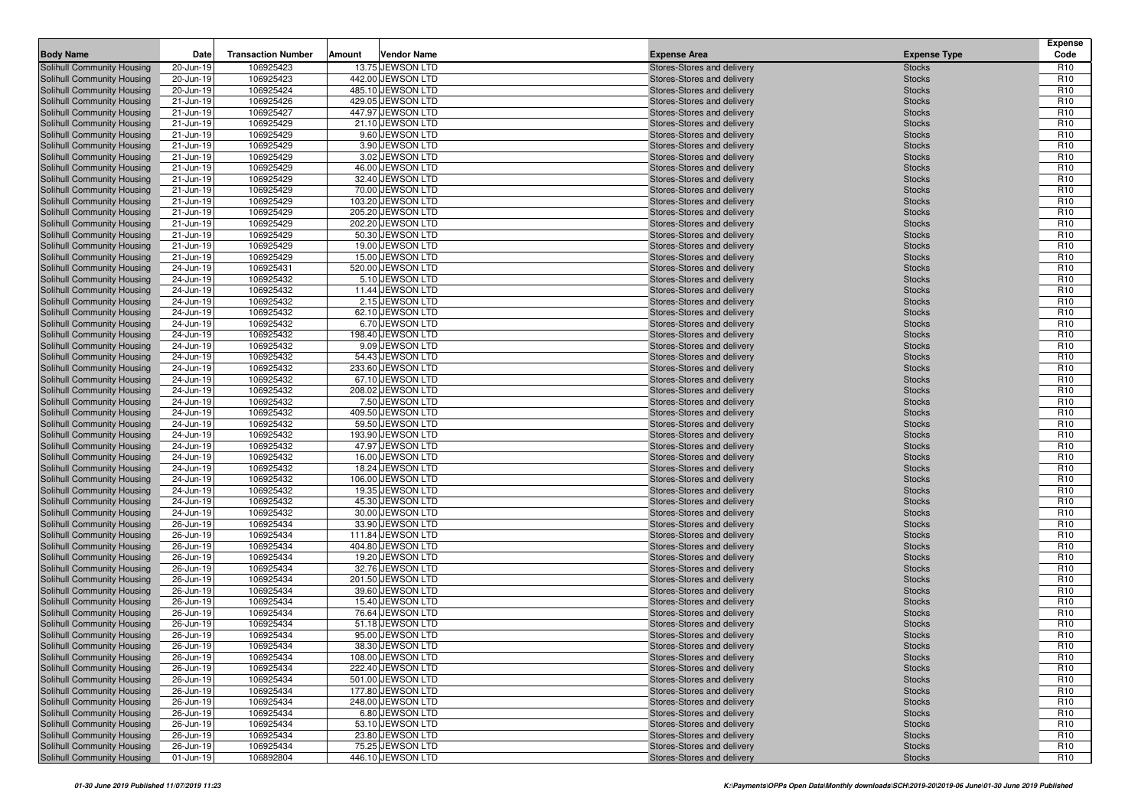| <b>Body Name</b>                                         | Date                   | <b>Transaction Number</b> | Amount | <b>Vendor Name</b>                    | <b>Expense Area</b>                                      | <b>Expense Type</b>            | <b>Expense</b><br>Code             |
|----------------------------------------------------------|------------------------|---------------------------|--------|---------------------------------------|----------------------------------------------------------|--------------------------------|------------------------------------|
| Solihull Community Housing                               | 20-Jun-19              | 106925423                 |        | 13.75 JEWSON LTD                      | Stores-Stores and delivery                               | <b>Stocks</b>                  | R <sub>10</sub>                    |
| Solihull Community Housing                               | 20-Jun-19              | 106925423                 |        | 442.00 JEWSON LTD                     | Stores-Stores and delivery                               | <b>Stocks</b>                  | R <sub>10</sub>                    |
| Solihull Community Housing                               | 20-Jun-19              | 106925424                 |        | 485.10 JEWSON LTD                     | Stores-Stores and delivery                               | <b>Stocks</b>                  | R <sub>10</sub>                    |
| Solihull Community Housing                               | 21-Jun-19              | 106925426                 |        | 429.05 JEWSON LTD                     | Stores-Stores and delivery                               | <b>Stocks</b>                  | R <sub>10</sub>                    |
| Solihull Community Housing                               | 21-Jun-19              | 106925427                 |        | 447.97 JEWSON LTD                     | Stores-Stores and delivery                               | <b>Stocks</b>                  | R <sub>10</sub>                    |
| Solihull Community Housing                               | 21-Jun-19              | 106925429                 |        | 21.10 JEWSON LTD                      | Stores-Stores and delivery                               | <b>Stocks</b>                  | R <sub>10</sub>                    |
| Solihull Community Housing                               | 21-Jun-19              | 106925429                 |        | 9.60 JEWSON LTD                       | Stores-Stores and delivery                               | <b>Stocks</b>                  | R <sub>10</sub>                    |
| Solihull Community Housing                               | 21-Jun-19              | 106925429                 |        | 3.90 JEWSON LTD                       | Stores-Stores and delivery                               | <b>Stocks</b>                  | R <sub>10</sub>                    |
| Solihull Community Housing                               | 21-Jun-19              | 106925429                 |        | 3.02 JEWSON LTD                       | Stores-Stores and delivery                               | <b>Stocks</b>                  | R <sub>10</sub>                    |
| Solihull Community Housing                               | 21-Jun-19              | 106925429                 |        | 46.00 JEWSON LTD                      | Stores-Stores and delivery                               | <b>Stocks</b>                  | R <sub>10</sub>                    |
| Solihull Community Housing                               | 21-Jun-19              | 106925429                 |        | 32.40 JEWSON LTD                      | Stores-Stores and delivery                               | <b>Stocks</b>                  | R <sub>10</sub>                    |
| Solihull Community Housing                               | 21-Jun-19              | 106925429                 |        | 70.00 JEWSON LTD                      | Stores-Stores and delivery                               | <b>Stocks</b>                  | R <sub>10</sub>                    |
| Solihull Community Housing                               | 21-Jun-19              | 106925429                 |        | 103.20 JEWSON LTD                     | Stores-Stores and delivery                               | <b>Stocks</b>                  | R <sub>10</sub>                    |
| Solihull Community Housing                               | 21-Jun-19              | 106925429                 |        | 205.20 JEWSON LTD                     | Stores-Stores and delivery                               | <b>Stocks</b>                  | R <sub>10</sub>                    |
| Solihull Community Housing                               | 21-Jun-19              | 106925429                 |        | 202.20 JEWSON LTD                     | Stores-Stores and delivery                               | <b>Stocks</b>                  | R <sub>10</sub>                    |
| Solihull Community Housing                               | 21-Jun-19              | 106925429                 |        | 50.30 JEWSON LTD                      | Stores-Stores and delivery                               | <b>Stocks</b>                  | R <sub>10</sub>                    |
| Solihull Community Housing                               | 21-Jun-19              | 106925429                 |        | 19.00 JEWSON LTD                      | Stores-Stores and delivery                               | <b>Stocks</b>                  | R <sub>10</sub>                    |
| Solihull Community Housing                               | 21-Jun-19              | 106925429                 |        | 15.00 JEWSON LTD                      | Stores-Stores and delivery                               | <b>Stocks</b>                  | R <sub>10</sub>                    |
| Solihull Community Housing                               | 24-Jun-19              | 106925431                 |        | 520.00 JEWSON LTD                     | Stores-Stores and delivery                               | <b>Stocks</b>                  | R <sub>10</sub>                    |
| Solihull Community Housing                               | 24-Jun-19              | 106925432                 |        | 5.10 JEWSON LTD                       | Stores-Stores and delivery                               | <b>Stocks</b>                  | R <sub>10</sub>                    |
| Solihull Community Housing                               | 24-Jun-19              | 106925432                 |        | 11.44 JEWSON LTD                      | Stores-Stores and delivery                               | <b>Stocks</b>                  | R <sub>10</sub>                    |
| Solihull Community Housing                               | 24-Jun-19              | 106925432                 |        | 2.15 JEWSON LTD                       | Stores-Stores and delivery                               | <b>Stocks</b>                  | R <sub>10</sub>                    |
| Solihull Community Housing                               | 24-Jun-19              | 106925432                 |        | 62.10 JEWSON LTD                      | Stores-Stores and delivery                               | <b>Stocks</b>                  | R <sub>10</sub>                    |
| Solihull Community Housing                               | 24-Jun-19              | 106925432                 |        | 6.70 JEWSON LTD                       | Stores-Stores and delivery                               | <b>Stocks</b>                  | R <sub>10</sub>                    |
| Solihull Community Housing                               | 24-Jun-19              | 106925432                 |        | 198.40 JEWSON LTD                     | Stores-Stores and delivery                               | <b>Stocks</b>                  | R <sub>10</sub>                    |
| Solihull Community Housing                               | 24-Jun-19              | 106925432                 |        | 9.09 JEWSON LTD                       | Stores-Stores and delivery                               | <b>Stocks</b>                  | R <sub>10</sub>                    |
| Solihull Community Housing                               | 24-Jun-19              | 106925432                 |        | 54.43 JEWSON LTD                      | Stores-Stores and delivery                               | <b>Stocks</b>                  | R <sub>10</sub>                    |
| Solihull Community Housing                               | 24-Jun-19              | 106925432                 |        | 233.60 JEWSON LTD                     | Stores-Stores and delivery                               | <b>Stocks</b>                  | R <sub>10</sub>                    |
| Solihull Community Housing                               | 24-Jun-19              | 106925432                 |        | 67.10 JEWSON LTD                      | Stores-Stores and delivery                               | <b>Stocks</b>                  | R <sub>10</sub>                    |
| Solihull Community Housing                               | 24-Jun-19              | 106925432                 |        | 208.02 JEWSON LTD                     | Stores-Stores and delivery                               | <b>Stocks</b>                  | R <sub>10</sub>                    |
| Solihull Community Housing                               | 24-Jun-19              | 106925432                 |        | 7.50 JEWSON LTD                       | Stores-Stores and delivery                               | <b>Stocks</b>                  | R <sub>10</sub>                    |
| Solihull Community Housing                               | 24-Jun-19              | 106925432                 |        | 409.50 JEWSON LTD                     | Stores-Stores and delivery                               | <b>Stocks</b>                  | R <sub>10</sub>                    |
| Solihull Community Housing                               | 24-Jun-19              | 106925432                 |        | 59.50 JEWSON LTD                      | Stores-Stores and delivery                               | <b>Stocks</b>                  | R <sub>10</sub>                    |
| Solihull Community Housing                               | 24-Jun-19              | 106925432                 |        | 193.90 JEWSON LTD                     | Stores-Stores and delivery                               | <b>Stocks</b>                  | R <sub>10</sub>                    |
| Solihull Community Housing                               | 24-Jun-19              | 106925432                 |        | 47.97 JEWSON LTD                      | Stores-Stores and delivery                               | <b>Stocks</b>                  | R <sub>10</sub>                    |
| Solihull Community Housing                               | 24-Jun-19              | 106925432                 |        | 16.00 JEWSON LTD                      | Stores-Stores and delivery                               | <b>Stocks</b>                  | R <sub>10</sub>                    |
| Solihull Community Housing                               | 24-Jun-19              | 106925432                 |        | 18.24 JEWSON LTD                      | Stores-Stores and delivery                               | <b>Stocks</b>                  | R <sub>10</sub><br>R <sub>10</sub> |
| Solihull Community Housing<br>Solihull Community Housing | 24-Jun-19<br>24-Jun-19 | 106925432<br>106925432    |        | 106.00 JEWSON LTD<br>19.35 JEWSON LTD | Stores-Stores and delivery<br>Stores-Stores and delivery | <b>Stocks</b><br><b>Stocks</b> | R <sub>10</sub>                    |
| Solihull Community Housing                               | 24-Jun-19              | 106925432                 |        | 45.30 JEWSON LTD                      | Stores-Stores and delivery                               | <b>Stocks</b>                  | R <sub>10</sub>                    |
| Solihull Community Housing                               | 24-Jun-19              | 106925432                 |        | 30.00 JEWSON LTD                      | Stores-Stores and delivery                               | <b>Stocks</b>                  | R <sub>10</sub>                    |
| Solihull Community Housing                               | 26-Jun-19              | 106925434                 |        | 33.90 JEWSON LTD                      | Stores-Stores and delivery                               | <b>Stocks</b>                  | R <sub>10</sub>                    |
| Solihull Community Housing                               | 26-Jun-19              | 106925434                 |        | 111.84 JEWSON LTD                     | Stores-Stores and delivery                               | <b>Stocks</b>                  | R <sub>10</sub>                    |
| Solihull Community Housing                               | 26-Jun-19              | 106925434                 |        | 404.80 JEWSON LTD                     | Stores-Stores and delivery                               | <b>Stocks</b>                  | R <sub>10</sub>                    |
| Solihull Community Housing                               | 26-Jun-19              | 106925434                 |        | 19.20 JEWSON LTD                      | Stores-Stores and delivery                               | <b>Stocks</b>                  | R <sub>10</sub>                    |
| Solihull Community Housing                               | 26-Jun-19              | 106925434                 |        | 32.76 JEWSON LTD                      | Stores-Stores and delivery                               | <b>Stocks</b>                  | R <sub>10</sub>                    |
| Solihull Community Housing                               | 26-Jun-19              | 106925434                 |        | 201.50 JEWSON LTD                     | Stores-Stores and delivery                               | <b>Stocks</b>                  | R <sub>10</sub>                    |
| Solihull Community Housing                               | 26-Jun-19              | 106925434                 |        | 39.60 JEWSON LTD                      | Stores-Stores and delivery                               | <b>Stocks</b>                  | R <sub>10</sub>                    |
| Solihull Community Housing                               | 26-Jun-19              | 106925434                 |        | 15.40 JEWSON LTD                      | Stores-Stores and delivery                               | <b>Stocks</b>                  | R <sub>10</sub>                    |
| Solihull Community Housing                               | 26-Jun-19              | 106925434                 |        | 76.64 JEWSON LTD                      | Stores-Stores and delivery                               | <b>Stocks</b>                  | R <sub>10</sub>                    |
| Solihull Community Housing                               | 26-Jun-19              | 106925434                 |        | 51.18 JEWSON LTD                      | Stores-Stores and delivery                               | <b>Stocks</b>                  | R <sub>10</sub>                    |
| <b>Solihull Community Housing</b>                        | 26-Jun-19              | 106925434                 |        | 95.00 JEWSON LTD                      | Stores-Stores and delivery                               | <b>Stocks</b>                  | R <sub>10</sub>                    |
| Solihull Community Housing                               | 26-Jun-19              | 106925434                 |        | 38.30 JEWSON LTD                      | Stores-Stores and delivery                               | <b>Stocks</b>                  | R <sub>10</sub>                    |
| Solihull Community Housing                               | 26-Jun-19              | 106925434                 |        | 108.00 JEWSON LTD                     | Stores-Stores and delivery                               | <b>Stocks</b>                  | R <sub>10</sub>                    |
| Solihull Community Housing                               | 26-Jun-19              | 106925434                 |        | 222.40 JEWSON LTD                     | Stores-Stores and delivery                               | <b>Stocks</b>                  | R <sub>10</sub>                    |
| Solihull Community Housing                               | 26-Jun-19              | 106925434                 |        | 501.00 JEWSON LTD                     | Stores-Stores and delivery                               | <b>Stocks</b>                  | R <sub>10</sub>                    |
| Solihull Community Housing                               | 26-Jun-19              | 106925434                 |        | 177.80 JEWSON LTD                     | Stores-Stores and delivery                               | <b>Stocks</b>                  | R <sub>10</sub>                    |
| Solihull Community Housing                               | 26-Jun-19              | 106925434                 |        | 248.00 JEWSON LTD                     | Stores-Stores and delivery                               | <b>Stocks</b>                  | R <sub>10</sub>                    |
| Solihull Community Housing                               | 26-Jun-19              | 106925434                 |        | 6.80 JEWSON LTD                       | Stores-Stores and delivery                               | <b>Stocks</b>                  | R <sub>10</sub>                    |
| Solihull Community Housing                               | 26-Jun-19              | 106925434                 |        | 53.10 JEWSON LTD                      | Stores-Stores and delivery                               | <b>Stocks</b>                  | R <sub>10</sub>                    |
| Solihull Community Housing                               | 26-Jun-19              | 106925434                 |        | 23.80 JEWSON LTD                      | Stores-Stores and delivery                               | <b>Stocks</b>                  | R <sub>10</sub>                    |
| Solihull Community Housing                               | 26-Jun-19              | 106925434                 |        | 75.25 JEWSON LTD                      | Stores-Stores and delivery                               | <b>Stocks</b>                  | R <sub>10</sub>                    |
| Solihull Community Housing                               | 01-Jun-19              | 106892804                 |        | 446.10 JEWSON LTD                     | Stores-Stores and delivery                               | <b>Stocks</b>                  | R <sub>10</sub>                    |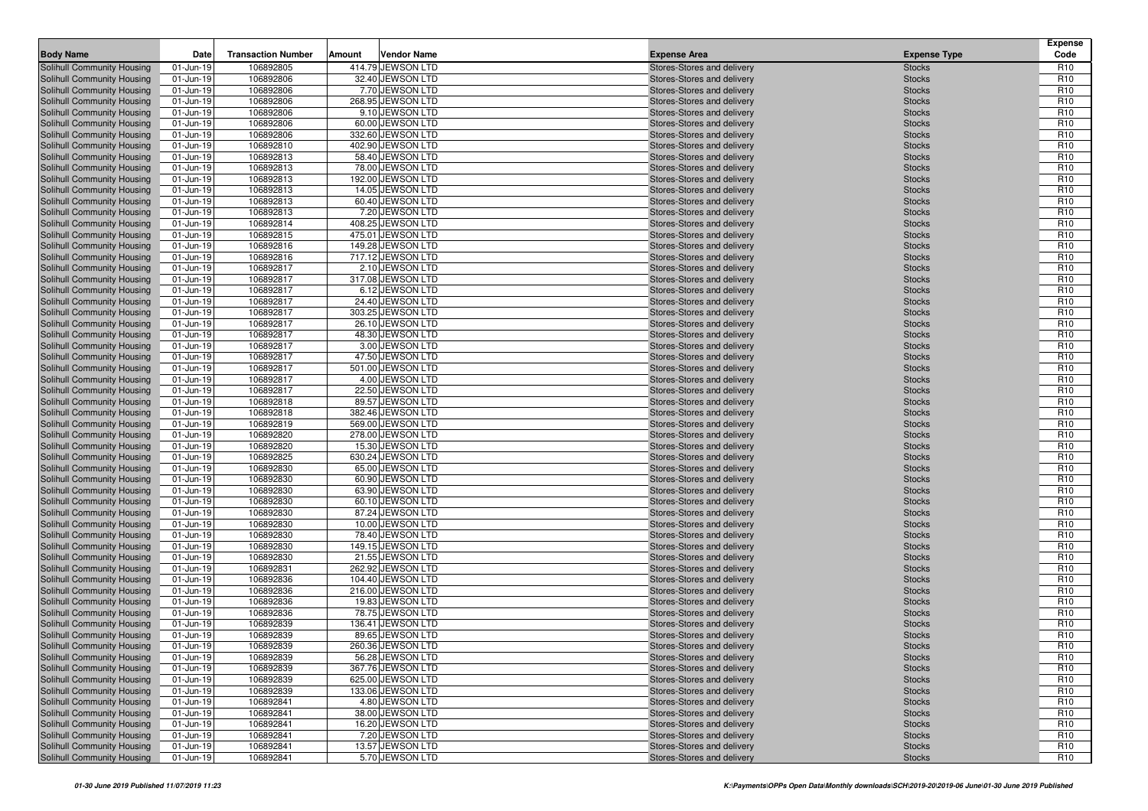| <b>Body Name</b>                                         | Date                   | <b>Transaction Number</b> | Amount | <b>Vendor Name</b>                     | <b>Expense Area</b>                                      | <b>Expense Type</b>            | <b>Expense</b><br>Code             |
|----------------------------------------------------------|------------------------|---------------------------|--------|----------------------------------------|----------------------------------------------------------|--------------------------------|------------------------------------|
| Solihull Community Housing                               | 01-Jun-19              | 106892805                 |        | 414.79 JEWSON LTD                      | Stores-Stores and delivery                               | <b>Stocks</b>                  | R <sub>10</sub>                    |
| Solihull Community Housing                               | 01-Jun-19              | 106892806                 |        | 32.40 JEWSON LTD                       | Stores-Stores and delivery                               | <b>Stocks</b>                  | R <sub>10</sub>                    |
| Solihull Community Housing                               | 01-Jun-19              | 106892806                 |        | 7.70 JEWSON LTD                        | Stores-Stores and delivery                               | <b>Stocks</b>                  | R <sub>10</sub>                    |
| Solihull Community Housing                               | 01-Jun-19              | 106892806                 |        | 268.95 JEWSON LTD                      | Stores-Stores and delivery                               | <b>Stocks</b>                  | R <sub>10</sub>                    |
| Solihull Community Housing                               | 01-Jun-19              | 106892806                 |        | 9.10 JEWSON LTD                        | Stores-Stores and delivery                               | <b>Stocks</b>                  | R <sub>10</sub>                    |
| Solihull Community Housing                               | 01-Jun-19              | 106892806                 |        | 60.00 JEWSON LTD                       | Stores-Stores and delivery                               | <b>Stocks</b>                  | R <sub>10</sub>                    |
| Solihull Community Housing                               | 01-Jun-19              | 106892806                 |        | 332.60 JEWSON LTD                      | Stores-Stores and delivery                               | <b>Stocks</b>                  | R <sub>10</sub>                    |
| Solihull Community Housing                               | 01-Jun-19              | 106892810                 |        | 402.90 JEWSON LTD                      | Stores-Stores and delivery                               | <b>Stocks</b>                  | R <sub>10</sub>                    |
| Solihull Community Housing                               | 01-Jun-19              | 106892813                 |        | 58.40 JEWSON LTD                       | Stores-Stores and delivery                               | <b>Stocks</b>                  | R <sub>10</sub>                    |
| <b>Solihull Community Housing</b>                        | 01-Jun-19              | 106892813                 |        | 78.00 JEWSON LTD                       | Stores-Stores and delivery                               | <b>Stocks</b>                  | R <sub>10</sub>                    |
| Solihull Community Housing                               | 01-Jun-19              | 106892813                 |        | 192.00 JEWSON LTD                      | Stores-Stores and delivery                               | <b>Stocks</b>                  | R <sub>10</sub>                    |
| Solihull Community Housing                               | 01-Jun-19              | 106892813                 |        | 14.05 JEWSON LTD                       | Stores-Stores and delivery                               | <b>Stocks</b>                  | R <sub>10</sub>                    |
| Solihull Community Housing                               | 01-Jun-19              | 106892813                 |        | 60.40 JEWSON LTD                       | Stores-Stores and delivery                               | <b>Stocks</b>                  | R <sub>10</sub>                    |
| Solihull Community Housing                               | 01-Jun-19              | 106892813                 |        | 7.20 JEWSON LTD                        | Stores-Stores and delivery                               | <b>Stocks</b>                  | R <sub>10</sub>                    |
| Solihull Community Housing                               | 01-Jun-19              | 106892814                 |        | 408.25 JEWSON LTD                      | Stores-Stores and delivery                               | <b>Stocks</b>                  | R <sub>10</sub>                    |
| Solihull Community Housing                               | 01-Jun-19              | 106892815                 |        | 475.01 JEWSON LTD                      | Stores-Stores and delivery                               | <b>Stocks</b>                  | R <sub>10</sub>                    |
| Solihull Community Housing                               | 01-Jun-19              | 106892816                 |        | 149.28 JEWSON LTD                      | Stores-Stores and delivery                               | <b>Stocks</b>                  | R <sub>10</sub>                    |
| Solihull Community Housing                               | 01-Jun-19              | 106892816                 |        | 717.12 JEWSON LTD                      | Stores-Stores and delivery                               | <b>Stocks</b>                  | R <sub>10</sub>                    |
| Solihull Community Housing                               | 01-Jun-19              | 106892817                 |        | 2.10 JEWSON LTD                        | Stores-Stores and delivery                               | <b>Stocks</b>                  | R <sub>10</sub>                    |
| Solihull Community Housing                               | 01-Jun-19              | 106892817                 |        | 317.08 JEWSON LTD                      | Stores-Stores and delivery                               | <b>Stocks</b>                  | R <sub>10</sub>                    |
| Solihull Community Housing                               | 01-Jun-19              | 106892817                 |        | 6.12 JEWSON LTD                        | Stores-Stores and delivery                               | <b>Stocks</b>                  | R <sub>10</sub>                    |
| Solihull Community Housing                               | 01-Jun-19              | 106892817                 |        | 24.40 JEWSON LTD                       | Stores-Stores and delivery                               | <b>Stocks</b>                  | R <sub>10</sub>                    |
| Solihull Community Housing                               | 01-Jun-19              | 106892817                 |        | 303.25 JEWSON LTD                      | Stores-Stores and delivery                               | <b>Stocks</b>                  | R <sub>10</sub>                    |
| Solihull Community Housing                               | 01-Jun-19              | 106892817                 |        | 26.10 JEWSON LTD                       | Stores-Stores and delivery                               | <b>Stocks</b>                  | R <sub>10</sub>                    |
| Solihull Community Housing                               | 01-Jun-19              | 106892817                 |        | 48.30 JEWSON LTD                       | Stores-Stores and delivery                               | <b>Stocks</b>                  | R <sub>10</sub>                    |
| Solihull Community Housing                               | 01-Jun-19              | 106892817                 |        | 3.00 JEWSON LTD                        | Stores-Stores and delivery                               | <b>Stocks</b>                  | R <sub>10</sub>                    |
| Solihull Community Housing                               | 01-Jun-19              | 106892817                 |        | 47.50 JEWSON LTD                       | Stores-Stores and delivery                               | <b>Stocks</b>                  | R <sub>10</sub>                    |
| Solihull Community Housing                               | 01-Jun-19              | 106892817                 |        | 501.00 JEWSON LTD                      | Stores-Stores and delivery                               | <b>Stocks</b>                  | R <sub>10</sub>                    |
| Solihull Community Housing                               | 01-Jun-19              | 106892817                 |        | 4.00 JEWSON LTD                        | Stores-Stores and delivery                               | <b>Stocks</b>                  | R <sub>10</sub>                    |
| Solihull Community Housing                               | 01-Jun-19              | 106892817                 |        | 22.50 JEWSON LTD                       | Stores-Stores and delivery                               | <b>Stocks</b>                  | R <sub>10</sub>                    |
| Solihull Community Housing                               | 01-Jun-19              | 106892818                 |        | 89.57 JEWSON LTD                       | Stores-Stores and delivery<br>Stores-Stores and delivery | <b>Stocks</b>                  | R <sub>10</sub>                    |
| Solihull Community Housing<br>Solihull Community Housing | 01-Jun-19<br>01-Jun-19 | 106892818<br>106892819    |        | 382.46 JEWSON LTD<br>569.00 JEWSON LTD | Stores-Stores and delivery                               | <b>Stocks</b><br><b>Stocks</b> | R <sub>10</sub><br>R <sub>10</sub> |
| Solihull Community Housing                               | 01-Jun-19              | 106892820                 |        | 278.00 JEWSON LTD                      | Stores-Stores and delivery                               | <b>Stocks</b>                  | R <sub>10</sub>                    |
| <b>Solihull Community Housing</b>                        | 01-Jun-19              | 106892820                 |        | 15.30 JEWSON LTD                       | Stores-Stores and delivery                               | <b>Stocks</b>                  | R <sub>10</sub>                    |
| Solihull Community Housing                               | 01-Jun-19              | 106892825                 |        | 630.24 JEWSON LTD                      | Stores-Stores and delivery                               | <b>Stocks</b>                  | R <sub>10</sub>                    |
| Solihull Community Housing                               | 01-Jun-19              | 106892830                 |        | 65.00 JEWSON LTD                       | Stores-Stores and delivery                               | <b>Stocks</b>                  | R <sub>10</sub>                    |
| Solihull Community Housing                               | $01 - Jun-19$          | 106892830                 |        | 60.90 JEWSON LTD                       | Stores-Stores and delivery                               | <b>Stocks</b>                  | R <sub>10</sub>                    |
| <b>Solihull Community Housing</b>                        | 01-Jun-19              | 106892830                 |        | 63.90 JEWSON LTD                       | Stores-Stores and delivery                               | <b>Stocks</b>                  | R <sub>10</sub>                    |
| Solihull Community Housing                               | 01-Jun-19              | 106892830                 |        | 60.10 JEWSON LTD                       | Stores-Stores and delivery                               | <b>Stocks</b>                  | R <sub>10</sub>                    |
| Solihull Community Housing                               | 01-Jun-19              | 106892830                 |        | 87.24 JEWSON LTD                       | Stores-Stores and delivery                               | <b>Stocks</b>                  | R <sub>10</sub>                    |
| Solihull Community Housing                               | 01-Jun-19              | 106892830                 |        | 10.00 JEWSON LTD                       | Stores-Stores and delivery                               | <b>Stocks</b>                  | R <sub>10</sub>                    |
| Solihull Community Housing                               | 01-Jun-19              | 106892830                 |        | 78.40 JEWSON LTD                       | Stores-Stores and delivery                               | <b>Stocks</b>                  | R <sub>10</sub>                    |
| Solihull Community Housing                               | 01-Jun-19              | 106892830                 |        | 149.15 JEWSON LTD                      | Stores-Stores and delivery                               | <b>Stocks</b>                  | R <sub>10</sub>                    |
| Solihull Community Housing                               | 01-Jun-19              | 106892830                 |        | 21.55 JEWSON LTD                       | Stores-Stores and delivery                               | <b>Stocks</b>                  | R <sub>10</sub>                    |
| Solihull Community Housing                               | 01-Jun-19              | 106892831                 |        | 262.92 JEWSON LTD                      | Stores-Stores and delivery                               | <b>Stocks</b>                  | R <sub>10</sub>                    |
| Solihull Community Housing                               | 01-Jun-19              | 106892836                 |        | 104.40 JEWSON LTD                      | Stores-Stores and delivery                               | <b>Stocks</b>                  | R <sub>10</sub>                    |
| Solihull Community Housing                               | 01-Jun-19              | 106892836                 |        | 216.00 JEWSON LTD                      | Stores-Stores and delivery                               | <b>Stocks</b>                  | R <sub>10</sub>                    |
| Solihull Community Housing                               | 01-Jun-19              | 106892836                 |        | 19.83 JEWSON LTD                       | Stores-Stores and delivery                               | <b>Stocks</b>                  | R <sub>10</sub>                    |
| Solihull Community Housing                               | 01-Jun-19              | 106892836                 |        | 78.75 JEWSON LTD                       | Stores-Stores and delivery                               | <b>Stocks</b>                  | R <sub>10</sub>                    |
| Solihull Community Housing                               | 01-Jun-19              | 106892839                 |        | 136.41 JEWSON LTD                      | Stores-Stores and delivery                               | <b>Stocks</b>                  | R <sub>10</sub>                    |
| Solihull Community Housing                               | 01-Jun-19              | 106892839                 |        | 89.65 JEWSON LTD                       | Stores-Stores and delivery                               | <b>Stocks</b>                  | R <sub>10</sub>                    |
| Solihull Community Housing                               | 01-Jun-19              | 106892839                 |        | 260.36 JEWSON LTD                      | Stores-Stores and delivery                               | <b>Stocks</b>                  | R <sub>10</sub>                    |
| Solihull Community Housing                               | 01-Jun-19              | 106892839                 |        | 56.28 JEWSON LTD                       | Stores-Stores and delivery                               | <b>Stocks</b>                  | R <sub>10</sub>                    |
| Solihull Community Housing                               | 01-Jun-19              | 106892839                 |        | 367.76 JEWSON LTD                      | Stores-Stores and delivery                               | <b>Stocks</b>                  | R <sub>10</sub>                    |
| Solihull Community Housing                               | 01-Jun-19              | 106892839                 |        | 625.00 JEWSON LTD                      | Stores-Stores and delivery                               | <b>Stocks</b>                  | R <sub>10</sub>                    |
| Solihull Community Housing                               | 01-Jun-19              | 106892839                 |        | 133.06 JEWSON LTD                      | Stores-Stores and delivery                               | <b>Stocks</b>                  | R <sub>10</sub>                    |
| Solihull Community Housing                               | 01-Jun-19              | 106892841                 |        | 4.80 JEWSON LTD                        | Stores-Stores and delivery                               | <b>Stocks</b>                  | R <sub>10</sub>                    |
| Solihull Community Housing                               | 01-Jun-19              | 106892841                 |        | 38.00 JEWSON LTD                       | Stores-Stores and delivery                               | <b>Stocks</b>                  | R <sub>10</sub>                    |
| <b>Solihull Community Housing</b>                        | 01-Jun-19              | 106892841                 |        | 16.20 JEWSON LTD                       | Stores-Stores and delivery                               | <b>Stocks</b>                  | R <sub>10</sub>                    |
| Solihull Community Housing                               | 01-Jun-19              | 106892841                 |        | 7.20 JEWSON LTD                        | Stores-Stores and delivery                               | <b>Stocks</b>                  | R <sub>10</sub>                    |
| Solihull Community Housing                               | 01-Jun-19              | 106892841                 |        | 13.57 JEWSON LTD                       | Stores-Stores and delivery                               | <b>Stocks</b>                  | R <sub>10</sub>                    |
| Solihull Community Housing                               | 01-Jun-19              | 106892841                 |        | 5.70 JEWSON LTD                        | Stores-Stores and delivery                               | <b>Stocks</b>                  | R <sub>10</sub>                    |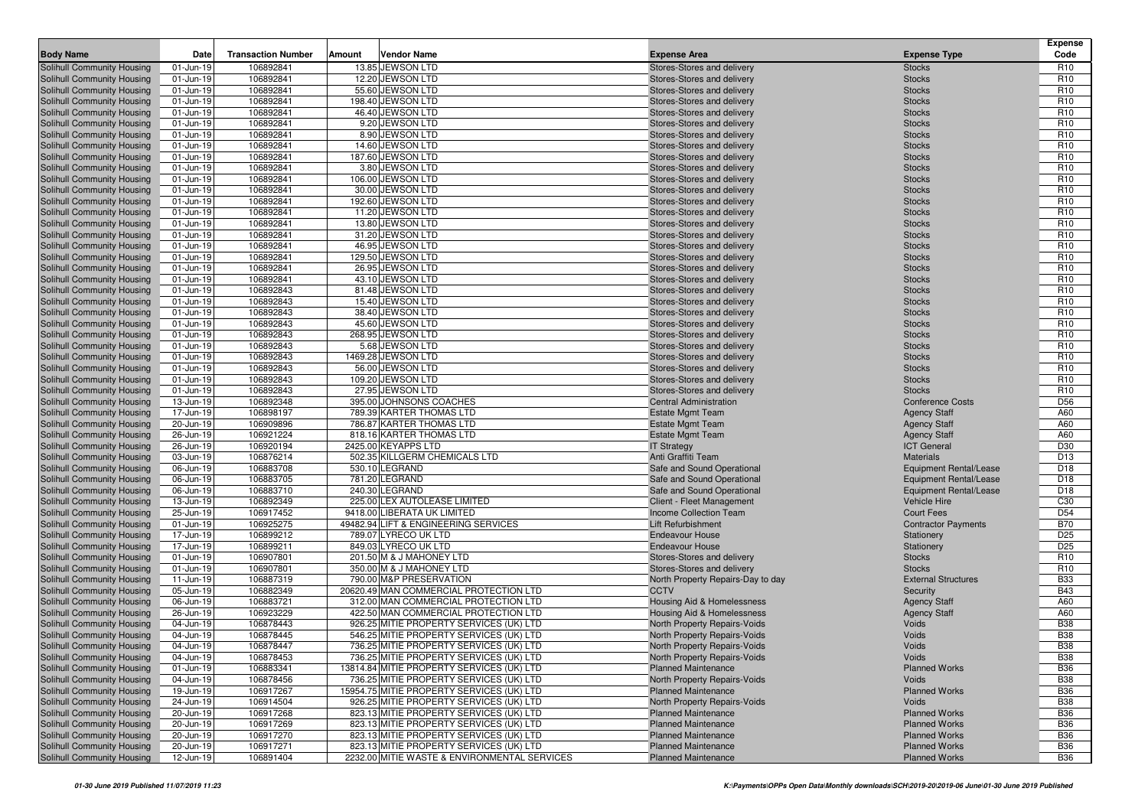| <b>Body Name</b>                                         | Date                   | <b>Transaction Number</b> | Amount | <b>Vendor Name</b>                           | <b>Expense Area</b>                                      | <b>Expense Type</b>                                            | <b>Expense</b><br>Code             |
|----------------------------------------------------------|------------------------|---------------------------|--------|----------------------------------------------|----------------------------------------------------------|----------------------------------------------------------------|------------------------------------|
| Solihull Community Housing                               | 01-Jun-19              | 106892841                 |        | 13.85 JEWSON LTD                             | Stores-Stores and delivery                               | <b>Stocks</b>                                                  | R <sub>10</sub>                    |
| Solihull Community Housing                               | 01-Jun-19              | 106892841                 |        | 12.20 JEWSON LTD                             | Stores-Stores and delivery                               | <b>Stocks</b>                                                  | R <sub>10</sub>                    |
| Solihull Community Housing                               | 01-Jun-19              | 106892841                 |        | 55.60 JEWSON LTD                             | Stores-Stores and delivery                               | <b>Stocks</b>                                                  | R <sub>10</sub>                    |
| Solihull Community Housing                               | 01-Jun-19              | 106892841                 |        | 198.40 JEWSON LTD                            | Stores-Stores and delivery                               | <b>Stocks</b>                                                  | R <sub>10</sub>                    |
| Solihull Community Housing                               | 01-Jun-19              | 106892841                 |        | 46.40 JEWSON LTD                             | Stores-Stores and delivery                               | <b>Stocks</b>                                                  | R <sub>10</sub>                    |
| Solihull Community Housing                               | 01-Jun-19              | 106892841                 |        | 9.20 JEWSON LTD                              | Stores-Stores and delivery                               | <b>Stocks</b>                                                  | R <sub>10</sub>                    |
| Solihull Community Housing                               | 01-Jun-19              | 106892841                 |        | 8.90 JEWSON LTD                              | Stores-Stores and delivery                               | <b>Stocks</b>                                                  | R <sub>10</sub>                    |
| Solihull Community Housing                               | 01-Jun-19              | 106892841                 |        | 14.60 JEWSON LTD                             | Stores-Stores and delivery                               | <b>Stocks</b>                                                  | R <sub>10</sub>                    |
| Solihull Community Housing                               | 01-Jun-19              | 106892841                 |        | 187.60 JEWSON LTD                            | Stores-Stores and delivery                               | <b>Stocks</b>                                                  | R <sub>10</sub>                    |
| Solihull Community Housing                               | 01-Jun-19              | 106892841                 |        | 3.80 JEWSON LTD                              | Stores-Stores and delivery                               | <b>Stocks</b>                                                  | R <sub>10</sub>                    |
| Solihull Community Housing                               | 01-Jun-19              | 106892841                 |        | 106.00 JEWSON LTD                            | Stores-Stores and delivery                               | <b>Stocks</b>                                                  | R <sub>10</sub>                    |
| Solihull Community Housing                               | 01-Jun-19              | 106892841                 |        | 30.00 JEWSON LTD                             | Stores-Stores and delivery                               | <b>Stocks</b>                                                  | R <sub>10</sub>                    |
| Solihull Community Housing                               | 01-Jun-19              | 106892841                 |        | 192.60 JEWSON LTD                            | Stores-Stores and delivery                               | <b>Stocks</b>                                                  | R <sub>10</sub>                    |
| Solihull Community Housing                               | 01-Jun-19              | 106892841                 |        | 11.20 JEWSON LTD                             | Stores-Stores and delivery                               | <b>Stocks</b>                                                  | R <sub>10</sub>                    |
| Solihull Community Housing                               | 01-Jun-19              | 106892841                 |        | 13.80 JEWSON LTD                             | Stores-Stores and delivery                               | <b>Stocks</b>                                                  | R <sub>10</sub>                    |
| Solihull Community Housing                               | 01-Jun-19              | 106892841                 |        | 31.20 JEWSON LTD                             | Stores-Stores and delivery                               | <b>Stocks</b>                                                  | R <sub>10</sub>                    |
| Solihull Community Housing                               | 01-Jun-19              | 106892841                 |        | 46.95 JEWSON LTD                             | Stores-Stores and delivery                               | <b>Stocks</b>                                                  | R <sub>10</sub>                    |
| Solihull Community Housing                               | 01-Jun-19              | 106892841                 |        | 129.50 JEWSON LTD                            | Stores-Stores and delivery                               | <b>Stocks</b>                                                  | R <sub>10</sub>                    |
| Solihull Community Housing                               | 01-Jun-19              | 106892841                 |        | 26.95 JEWSON LTD                             | Stores-Stores and delivery                               | <b>Stocks</b>                                                  | R <sub>10</sub>                    |
| Solihull Community Housing                               | 01-Jun-19              | 106892841                 |        | 43.10 JEWSON LTD                             | Stores-Stores and delivery                               | <b>Stocks</b>                                                  | R <sub>10</sub>                    |
| Solihull Community Housing                               | 01-Jun-19              | 106892843                 |        | 81.48 JEWSON LTD                             | Stores-Stores and delivery                               | <b>Stocks</b>                                                  | R <sub>10</sub>                    |
| Solihull Community Housing                               | 01-Jun-19              | 106892843                 |        | 15.40 JEWSON LTD                             | Stores-Stores and delivery                               | <b>Stocks</b>                                                  | R <sub>10</sub>                    |
| Solihull Community Housing                               | 01-Jun-19              | 106892843                 |        | 38.40 JEWSON LTD                             | Stores-Stores and delivery                               | <b>Stocks</b>                                                  | R <sub>10</sub>                    |
| Solihull Community Housing                               | 01-Jun-19              | 106892843                 |        | 45.60 JEWSON LTD                             | Stores-Stores and delivery                               | <b>Stocks</b>                                                  | R <sub>10</sub>                    |
| Solihull Community Housing                               | 01-Jun-19              | 106892843                 |        | 268.95 JEWSON LTD                            | Stores-Stores and delivery                               | <b>Stocks</b>                                                  | R <sub>10</sub>                    |
| Solihull Community Housing                               | 01-Jun-19              | 106892843                 |        | 5.68 JEWSON LTD                              | Stores-Stores and delivery                               | <b>Stocks</b>                                                  | R <sub>10</sub>                    |
| Solihull Community Housing                               | 01-Jun-19              | 106892843                 |        | 1469.28 JEWSON LTD                           | Stores-Stores and delivery                               | <b>Stocks</b>                                                  | R <sub>10</sub>                    |
| Solihull Community Housing                               | 01-Jun-19              | 106892843                 |        | 56.00 JEWSON LTD                             | Stores-Stores and delivery                               | <b>Stocks</b>                                                  | R <sub>10</sub>                    |
| Solihull Community Housing                               | 01-Jun-19              | 106892843                 |        | 109.20 JEWSON LTD                            | Stores-Stores and delivery                               | <b>Stocks</b>                                                  | R <sub>10</sub>                    |
| Solihull Community Housing                               | 01-Jun-19              | 106892843                 |        | 27.95 JEWSON LTD                             | Stores-Stores and delivery                               | <b>Stocks</b>                                                  | R <sub>10</sub>                    |
| Solihull Community Housing                               | 13-Jun-19              | 106892348                 |        | 395.00 JOHNSONS COACHES                      | Central Administration                                   | <b>Conference Costs</b>                                        | D <sub>56</sub>                    |
| Solihull Community Housing                               | 17-Jun-19              | 106898197                 |        | 789.39 KARTER THOMAS LTD                     | <b>Estate Mgmt Team</b>                                  | <b>Agency Staff</b>                                            | A60                                |
| Solihull Community Housing                               | 20-Jun-19              | 106909896                 |        | 786.87 KARTER THOMAS LTD                     | <b>Estate Mgmt Team</b>                                  | <b>Agency Staff</b>                                            | A60                                |
| Solihull Community Housing                               | 26-Jun-19              | 106921224                 |        | 818.16 KARTER THOMAS LTD                     | <b>Estate Mgmt Team</b>                                  | <b>Agency Staff</b>                                            | A60                                |
| Solihull Community Housing                               | 26-Jun-19              | 106920194                 |        | 2425.00 KEYAPPS LTD                          | <b>IT Strategy</b>                                       | <b>ICT General</b>                                             | D30                                |
| Solihull Community Housing                               | 03-Jun-19              | 106876214                 |        | 502.35 KILLGERM CHEMICALS LTD                | Anti Graffiti Team                                       | <b>Materials</b>                                               | D <sub>13</sub>                    |
| Solihull Community Housing                               | 06-Jun-19              | 106883708<br>106883705    |        | 530.10 LEGRAND<br>781.20 LEGRAND             | Safe and Sound Operational                               | <b>Equipment Rental/Lease</b>                                  | D <sub>18</sub><br>D <sub>18</sub> |
| Solihull Community Housing<br>Solihull Community Housing | 06-Jun-19<br>06-Jun-19 | 106883710                 |        | 240.30 LEGRAND                               | Safe and Sound Operational<br>Safe and Sound Operational | <b>Equipment Rental/Lease</b><br><b>Equipment Rental/Lease</b> | D <sub>18</sub>                    |
| Solihull Community Housing                               | 13-Jun-19              | 106892349                 |        | 225.00 LEX AUTOLEASE LIMITED                 | Client - Fleet Management                                | Vehicle Hire                                                   | C <sub>30</sub>                    |
| Solihull Community Housing                               | 25-Jun-19              | 106917452                 |        | 9418.00 LIBERATA UK LIMITED                  | <b>Income Collection Team</b>                            | <b>Court Fees</b>                                              | D <sub>54</sub>                    |
| Solihull Community Housing                               | 01-Jun-19              | 106925275                 |        | 49482.94 LIFT & ENGINEERING SERVICES         | Lift Refurbishment                                       | <b>Contractor Payments</b>                                     | <b>B70</b>                         |
| Solihull Community Housing                               | 17-Jun-19              | 106899212                 |        | 789.07 LYRECO UK LTD                         | <b>Endeavour House</b>                                   | Stationery                                                     | D <sub>25</sub>                    |
| Solihull Community Housing                               | 17-Jun-19              | 106899211                 |        | 849.03 LYRECO UK LTD                         | <b>Endeavour House</b>                                   | Stationery                                                     | D <sub>25</sub>                    |
| Solihull Community Housing                               | 01-Jun-19              | 106907801                 |        | 201.50 M & J MAHONEY LTD                     | Stores-Stores and delivery                               | <b>Stocks</b>                                                  | R <sub>10</sub>                    |
| Solihull Community Housing                               | 01-Jun-19              | 106907801                 |        | 350.00 M & J MAHONEY LTD                     | Stores-Stores and delivery                               | <b>Stocks</b>                                                  | R <sub>10</sub>                    |
| Solihull Community Housing                               | 11-Jun-19              | 106887319                 |        | 790.00 M&P PRESERVATION                      | North Property Repairs-Day to day                        | <b>External Structures</b>                                     | <b>B33</b>                         |
| Solihull Community Housing                               | 05-Jun-19              | 106882349                 |        | 20620.49 MAN COMMERCIAL PROTECTION LTD       | <b>CCTV</b>                                              | Security                                                       | <b>B43</b>                         |
| Solihull Community Housing                               | 06-Jun-19              | 106883721                 |        | 312.00 MAN COMMERCIAL PROTECTION LTD         | Housing Aid & Homelessness                               | <b>Agency Staff</b>                                            | A60                                |
| Solihull Community Housing                               | 26-Jun-19              | 106923229                 |        | 422.50 MAN COMMERCIAL PROTECTION LTD         | Housing Aid & Homelessness                               | <b>Agency Staff</b>                                            | A60                                |
| Solihull Community Housing                               | 04-Jun-19              | 106878443                 |        | 926.25 MITIE PROPERTY SERVICES (UK) LTD      | North Property Repairs-Voids                             | Voids                                                          | <b>B38</b>                         |
| <b>Solihull Community Housing</b>                        | 04-Jun-19              | 106878445                 |        | 546.25 MITIE PROPERTY SERVICES (UK) LTD      | North Property Repairs-Voids                             | Voids                                                          | <b>B38</b>                         |
| Solihull Community Housing                               | 04-Jun-19              | 106878447                 |        | 736.25 MITIE PROPERTY SERVICES (UK) LTD      | North Property Repairs-Voids                             | Voids                                                          | <b>B38</b>                         |
| Solihull Community Housing                               | 04-Jun-19              | 106878453                 |        | 736.25 MITIE PROPERTY SERVICES (UK) LTD      | North Property Repairs-Voids                             | Voids                                                          | <b>B38</b>                         |
| Solihull Community Housing                               | 01-Jun-19              | 106883341                 |        | 13814.84 MITIE PROPERTY SERVICES (UK) LTD    | <b>Planned Maintenance</b>                               | <b>Planned Works</b>                                           | <b>B36</b>                         |
| Solihull Community Housing                               | 04-Jun-19              | 106878456                 |        | 736.25 MITIE PROPERTY SERVICES (UK) LTD      | North Property Repairs-Voids                             | Voids                                                          | <b>B38</b>                         |
| Solihull Community Housing                               | 19-Jun-19              | 106917267                 |        | 15954.75 MITIE PROPERTY SERVICES (UK) LTD    | <b>Planned Maintenance</b>                               | <b>Planned Works</b>                                           | <b>B36</b>                         |
| Solihull Community Housing                               | 24-Jun-19              | 106914504                 |        | 926.25 MITIE PROPERTY SERVICES (UK) LTD      | North Property Repairs-Voids                             | Voids                                                          | <b>B38</b>                         |
| Solihull Community Housing                               | 20-Jun-19              | 106917268                 |        | 823.13 MITIE PROPERTY SERVICES (UK) LTD      | <b>Planned Maintenance</b>                               | <b>Planned Works</b>                                           | <b>B36</b>                         |
| Solihull Community Housing                               | 20-Jun-19              | 106917269                 |        | 823.13 MITIE PROPERTY SERVICES (UK) LTD      | <b>Planned Maintenance</b>                               | <b>Planned Works</b>                                           | <b>B36</b>                         |
| Solihull Community Housing                               | 20-Jun-19              | 106917270                 |        | 823.13 MITIE PROPERTY SERVICES (UK) LTD      | <b>Planned Maintenance</b>                               | <b>Planned Works</b>                                           | <b>B36</b>                         |
| Solihull Community Housing                               | 20-Jun-19              | 106917271                 |        | 823.13 MITIE PROPERTY SERVICES (UK) LTD      | <b>Planned Maintenance</b>                               | <b>Planned Works</b>                                           | <b>B36</b>                         |
| Solihull Community Housing                               | 12-Jun-19              | 106891404                 |        | 2232.00 MITIE WASTE & ENVIRONMENTAL SERVICES | <b>Planned Maintenance</b>                               | <b>Planned Works</b>                                           | <b>B36</b>                         |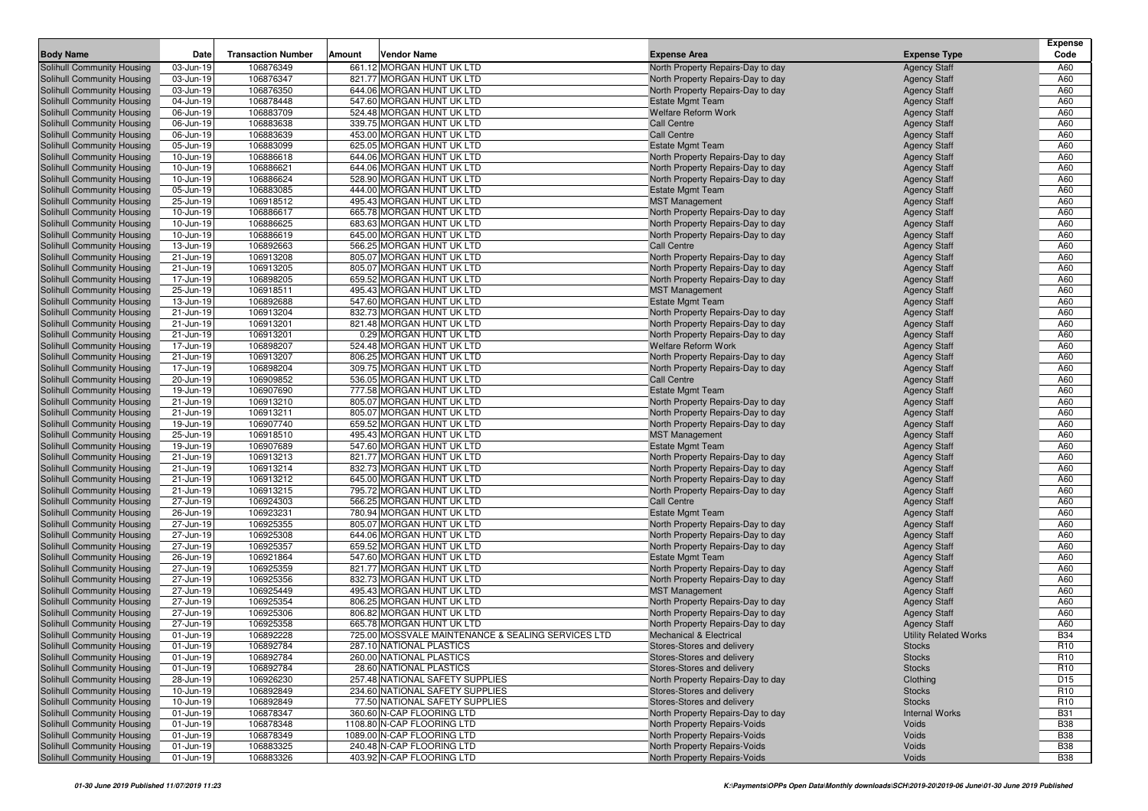|                                                          |                        |                           |        |                                                         |                                                                   |                                            | <b>Expense</b>           |
|----------------------------------------------------------|------------------------|---------------------------|--------|---------------------------------------------------------|-------------------------------------------------------------------|--------------------------------------------|--------------------------|
| <b>Body Name</b>                                         | Date                   | <b>Transaction Number</b> | Amount | Vendor Name                                             | <b>Expense Area</b>                                               | <b>Expense Type</b>                        | Code                     |
| Solihull Community Housing                               | 03-Jun-19              | 106876349                 |        | 661.12 MORGAN HUNT UK LTD                               | North Property Repairs-Day to day                                 | <b>Agency Staff</b>                        | A60                      |
| Solihull Community Housing                               | 03-Jun-19              | 106876347                 |        | 821.77 MORGAN HUNT UK LTD                               | North Property Repairs-Day to day                                 | <b>Agency Staff</b>                        | A60                      |
| Solihull Community Housing                               | 03-Jun-19              | 106876350                 |        | 644.06 MORGAN HUNT UK LTD                               | North Property Repairs-Day to day                                 | <b>Agency Staff</b>                        | A60                      |
| Solihull Community Housing                               | 04-Jun-19              | 106878448                 |        | 547.60 MORGAN HUNT UK LTD                               | Estate Mgmt Team                                                  | <b>Agency Staff</b>                        | A60                      |
| Solihull Community Housing                               | 06-Jun-19              | 106883709                 |        | 524.48 MORGAN HUNT UK LTD                               | Welfare Reform Work                                               | <b>Agency Staff</b>                        | A60                      |
| Solihull Community Housing                               | 06-Jun-19              | 106883638                 |        | 339.75 MORGAN HUNT UK LTD                               | <b>Call Centre</b>                                                | <b>Agency Staff</b>                        | A60                      |
| Solihull Community Housing                               | 06-Jun-19              | 106883639                 |        | 453.00 MORGAN HUNT UK LTD                               | <b>Call Centre</b>                                                | <b>Agency Staff</b>                        | A60                      |
| Solihull Community Housing                               | 05-Jun-19              | 106883099                 |        | 625.05 MORGAN HUNT UK LTD                               | <b>Estate Mgmt Team</b>                                           | <b>Agency Staff</b>                        | A60                      |
| Solihull Community Housing                               | 10-Jun-19              | 106886618                 |        | 644.06 MORGAN HUNT UK LTD                               | North Property Repairs-Day to day                                 | <b>Agency Staff</b>                        | A60                      |
| Solihull Community Housing                               | 10-Jun-19              | 106886621                 |        | 644.06 MORGAN HUNT UK LTD                               | North Property Repairs-Day to day                                 | <b>Agency Staff</b>                        | A60                      |
| Solihull Community Housing                               | 10-Jun-19              | 106886624                 |        | 528.90 MORGAN HUNT UK LTD                               | North Property Repairs-Day to day                                 | <b>Agency Staff</b>                        | A60                      |
| Solihull Community Housing                               | 05-Jun-19              | 106883085                 |        | 444.00 MORGAN HUNT UK LTD                               | <b>Estate Mgmt Team</b>                                           | <b>Agency Staff</b>                        | A60                      |
| Solihull Community Housing                               | 25-Jun-19              | 106918512                 |        | 495.43 MORGAN HUNT UK LTD<br>665.78 MORGAN HUNT UK LTD  | <b>MST Management</b>                                             | <b>Agency Staff</b>                        | A60                      |
| Solihull Community Housing                               | 10-Jun-19              | 106886617                 |        | 683.63 MORGAN HUNT UK LTD                               | North Property Repairs-Day to day                                 | <b>Agency Staff</b>                        | A60                      |
| Solihull Community Housing<br>Solihull Community Housing | 10-Jun-19<br>10-Jun-19 | 106886625                 |        | 645.00 MORGAN HUNT UK LTD                               | North Property Repairs-Day to day                                 | <b>Agency Staff</b>                        | A60<br>A60               |
| Solihull Community Housing                               | 13-Jun-19              | 106886619<br>106892663    |        | 566.25 MORGAN HUNT UK LTD                               | North Property Repairs-Day to day<br><b>Call Centre</b>           | <b>Agency Staff</b>                        | A60                      |
| Solihull Community Housing                               | 21-Jun-19              | 106913208                 |        | 805.07 MORGAN HUNT UK LTD                               |                                                                   | <b>Agency Staff</b><br><b>Agency Staff</b> | A60                      |
| Solihull Community Housing                               | 21-Jun-19              | 106913205                 |        | 805.07 MORGAN HUNT UK LTD                               | North Property Repairs-Day to day                                 |                                            | A60                      |
| Solihull Community Housing                               | 17-Jun-19              | 106898205                 |        | 659.52 MORGAN HUNT UK LTD                               | North Property Repairs-Day to day                                 | <b>Agency Staff</b><br><b>Agency Staff</b> | A60                      |
| Solihull Community Housing                               | 25-Jun-19              | 106918511                 |        | 495.43 MORGAN HUNT UK LTD                               | North Property Repairs-Day to day<br><b>MST Management</b>        | <b>Agency Staff</b>                        | A60                      |
| Solihull Community Housing                               | 13-Jun-19              | 106892688                 |        | 547.60 MORGAN HUNT UK LTD                               | <b>Estate Mgmt Team</b>                                           | <b>Agency Staff</b>                        | A60                      |
| Solihull Community Housing                               | 21-Jun-19              | 106913204                 |        | 832.73 MORGAN HUNT UK LTD                               | North Property Repairs-Day to day                                 | <b>Agency Staff</b>                        | A60                      |
| Solihull Community Housing                               | 21-Jun-19              | 106913201                 |        | 821.48 MORGAN HUNT UK LTD                               | North Property Repairs-Day to day                                 | <b>Agency Staff</b>                        | A60                      |
| Solihull Community Housing                               | 21-Jun-19              | 106913201                 |        | 0.29 MORGAN HUNT UK LTD                                 | North Property Repairs-Day to day                                 | <b>Agency Staff</b>                        | A60                      |
| Solihull Community Housing                               | 17-Jun-19              | 106898207                 |        | 524.48 MORGAN HUNT UK LTD                               | <b>Welfare Reform Work</b>                                        | <b>Agency Staff</b>                        | A60                      |
| Solihull Community Housing                               | 21-Jun-19              | 106913207                 |        | 806.25 MORGAN HUNT UK LTD                               | North Property Repairs-Day to day                                 | <b>Agency Staff</b>                        | A60                      |
| Solihull Community Housing                               | 17-Jun-19              | 106898204                 |        | 309.75 MORGAN HUNT UK LTD                               | North Property Repairs-Day to day                                 | <b>Agency Staff</b>                        | A60                      |
| Solihull Community Housing                               | 20-Jun-19              | 106909852                 |        | 536.05 MORGAN HUNT UK LTD                               | <b>Call Centre</b>                                                | <b>Agency Staff</b>                        | A60                      |
| Solihull Community Housing                               | 19-Jun-19              | 106907690                 |        | 777.58 MORGAN HUNT UK LTD                               | <b>Estate Mgmt Team</b>                                           | <b>Agency Staff</b>                        | A60                      |
| Solihull Community Housing                               | 21-Jun-19              | 106913210                 |        | 805.07 MORGAN HUNT UK LTD                               | North Property Repairs-Day to day                                 | <b>Agency Staff</b>                        | A60                      |
| Solihull Community Housing                               | 21-Jun-19              | 106913211                 |        | 805.07 MORGAN HUNT UK LTD                               | North Property Repairs-Day to day                                 | <b>Agency Staff</b>                        | A60                      |
| Solihull Community Housing                               | 19-Jun-19              | 106907740                 |        | 659.52 MORGAN HUNT UK LTD                               | North Property Repairs-Day to day                                 | <b>Agency Staff</b>                        | A60                      |
| Solihull Community Housing                               | 25-Jun-19              | 106918510                 |        | 495.43 MORGAN HUNT UK LTD                               | <b>MST Management</b>                                             | <b>Agency Staff</b>                        | A60                      |
| Solihull Community Housing                               | 19-Jun-19              | 106907689                 |        | 547.60 MORGAN HUNT UK LTD                               | <b>Estate Mgmt Team</b>                                           | <b>Agency Staff</b>                        | A60                      |
| Solihull Community Housing                               | 21-Jun-19              | 106913213                 |        | 821.77 MORGAN HUNT UK LTD                               | North Property Repairs-Day to day                                 | <b>Agency Staff</b>                        | A60                      |
| Solihull Community Housing                               | 21-Jun-19              | 106913214                 |        | 832.73 MORGAN HUNT UK LTD                               | North Property Repairs-Day to day                                 | <b>Agency Staff</b>                        | A60                      |
| Solihull Community Housing                               | 21-Jun-19              | 106913212                 |        | 645.00 MORGAN HUNT UK LTD                               | North Property Repairs-Day to day                                 | <b>Agency Staff</b>                        | A60                      |
| Solihull Community Housing                               | 21-Jun-19              | 106913215                 |        | 795.72 MORGAN HUNT UK LTD                               | North Property Repairs-Day to day                                 | <b>Agency Staff</b>                        | A60                      |
| Solihull Community Housing                               | 27-Jun-19              | 106924303                 |        | 566.25 MORGAN HUNT UK LTD                               | <b>Call Centre</b>                                                | <b>Agency Staff</b>                        | A60                      |
| Solihull Community Housing                               | 26-Jun-19              | 106923231                 |        | 780.94 MORGAN HUNT UK LTD                               | <b>Estate Mgmt Team</b>                                           | <b>Agency Staff</b>                        | A60                      |
| Solihull Community Housing                               | 27-Jun-19              | 106925355                 |        | 805.07 MORGAN HUNT UK LTD                               | North Property Repairs-Day to day                                 | <b>Agency Staff</b>                        | A60                      |
| Solihull Community Housing                               | 27-Jun-19              | 106925308                 |        | 644.06 MORGAN HUNT UK LTD                               | North Property Repairs-Day to day                                 | <b>Agency Staff</b>                        | A60                      |
| Solihull Community Housing                               | 27-Jun-19              | 106925357                 |        | 659.52 MORGAN HUNT UK LTD                               | North Property Repairs-Day to day                                 | <b>Agency Staff</b>                        | A60                      |
| Solihull Community Housing                               | 26-Jun-19              | 106921864                 |        | 547.60 MORGAN HUNT UK LTD                               | <b>Estate Mgmt Team</b>                                           | <b>Agency Staff</b>                        | A60                      |
| Solihull Community Housing                               | 27-Jun-19              | 106925359                 |        | 821.77 MORGAN HUNT UK LTD                               | North Property Repairs-Day to day                                 | <b>Agency Staff</b>                        | A60                      |
| Solihull Community Housing                               | 27-Jun-19              | 106925356                 |        | 832.73 MORGAN HUNT UK LTD                               | North Property Repairs-Day to day                                 | <b>Agency Staff</b>                        | A60                      |
| Solihull Community Housing                               | 27-Jun-19              | 106925449                 |        | 495.43 MORGAN HUNT UK LTD                               | <b>MST Management</b>                                             | <b>Agency Staff</b>                        | A60                      |
| Solihull Community Housing                               | 27-Jun-19              | 106925354                 |        | 806.25 MORGAN HUNT UK LTD                               | North Property Repairs-Day to day                                 | <b>Agency Staff</b>                        | A60                      |
| Solihull Community Housing                               | 27-Jun-19              | 106925306                 |        | 806.82 MORGAN HUNT UK LTD                               | North Property Repairs-Day to day                                 | <b>Agency Staff</b>                        | A60                      |
| Solihull Community Housing                               | 27-Jun-19              | 106925358                 |        | 665.78 MORGAN HUNT UK LTD                               | North Property Repairs-Day to day                                 | <b>Agency Staff</b>                        | A60                      |
| Solihull Community Housing                               | 01-Jun-19              | 106892228                 |        | 725.00 MOSSVALE MAINTENANCE & SEALING SERVICES LTD      | Mechanical & Electrical                                           | <b>Utility Related Works</b>               | <b>B34</b>               |
| Solihull Community Housing                               | 01-Jun-19              | 106892784                 |        | 287.10 NATIONAL PLASTICS                                | Stores-Stores and delivery                                        | Stocks                                     | R <sub>10</sub>          |
| Solihull Community Housing                               | 01-Jun-19              | 106892784                 |        | 260.00 NATIONAL PLASTICS                                | Stores-Stores and delivery                                        | <b>Stocks</b>                              | R <sub>10</sub>          |
| Solihull Community Housing                               | 01-Jun-19              | 106892784                 |        | 28.60 NATIONAL PLASTICS                                 | Stores-Stores and delivery                                        | <b>Stocks</b>                              | R <sub>10</sub>          |
| Solihull Community Housing                               | 28-Jun-19              | 106926230                 |        | 257.48 NATIONAL SAFETY SUPPLIES                         | North Property Repairs-Day to day                                 | Clothing                                   | D <sub>15</sub>          |
| Solihull Community Housing                               | 10-Jun-19              | 106892849                 |        | 234.60 NATIONAL SAFETY SUPPLIES                         | Stores-Stores and delivery                                        | <b>Stocks</b>                              | R <sub>10</sub>          |
| Solihull Community Housing                               | 10-Jun-19              | 106892849                 |        | 77.50 NATIONAL SAFETY SUPPLIES                          | Stores-Stores and delivery                                        | <b>Stocks</b>                              | R <sub>10</sub>          |
| Solihull Community Housing<br>Solihull Community Housing | 01-Jun-19<br>01-Jun-19 | 106878347<br>106878348    |        | 360.60 N-CAP FLOORING LTD<br>1108.80 N-CAP FLOORING LTD | North Property Repairs-Day to day<br>North Property Repairs-Voids | <b>Internal Works</b><br>Voids             | <b>B31</b><br><b>B38</b> |
| Solihull Community Housing                               | 01-Jun-19              | 106878349                 |        | 1089.00 N-CAP FLOORING LTD                              | North Property Repairs-Voids                                      | Voids                                      | <b>B38</b>               |
| Solihull Community Housing                               | 01-Jun-19              | 106883325                 |        | 240.48 N-CAP FLOORING LTD                               | North Property Repairs-Voids                                      | Voids                                      | <b>B38</b>               |
| Solihull Community Housing                               | 01-Jun-19              | 106883326                 |        | 403.92 N-CAP FLOORING LTD                               | North Property Repairs-Voids                                      | Voids                                      | <b>B38</b>               |
|                                                          |                        |                           |        |                                                         |                                                                   |                                            |                          |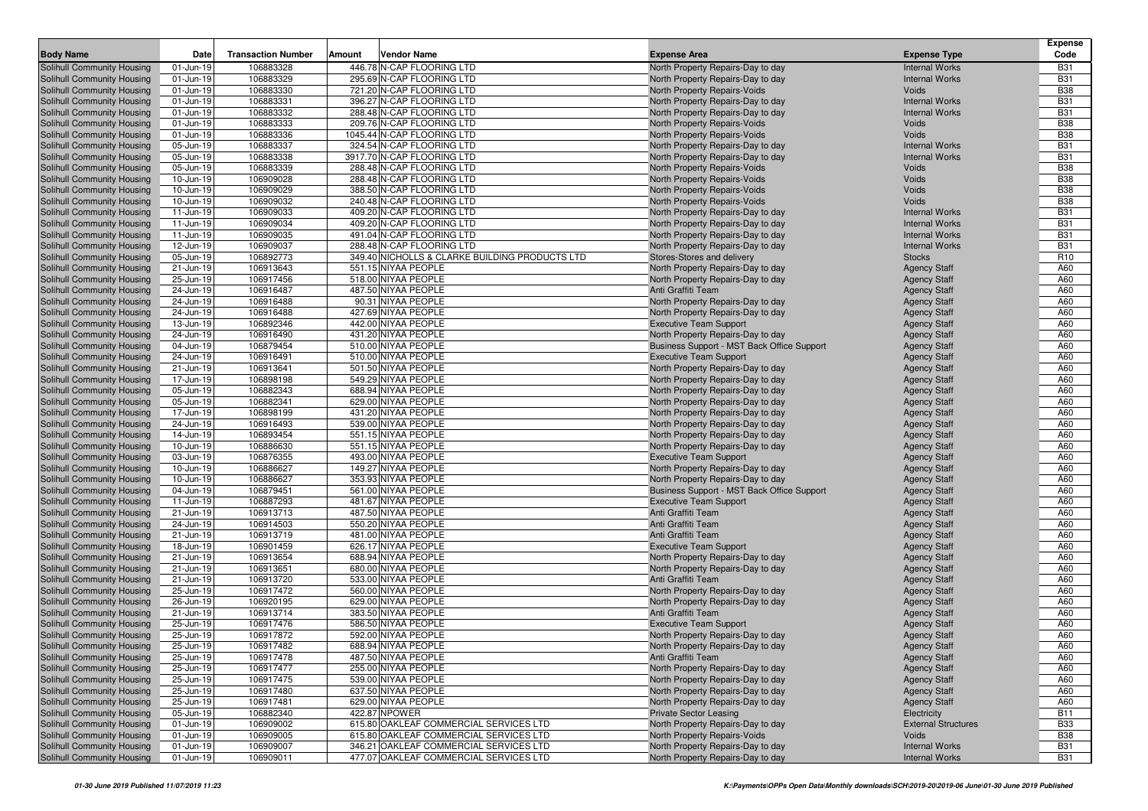| <b>Body Name</b>                                         | Date                   | <b>Transaction Number</b> | Vendor Name<br>Amount                          | <b>Expense Area</b>                                                | <b>Expense Type</b>                        | <b>Expense</b><br>Code |
|----------------------------------------------------------|------------------------|---------------------------|------------------------------------------------|--------------------------------------------------------------------|--------------------------------------------|------------------------|
| Solihull Community Housing                               | 01-Jun-19              | 106883328                 | 446.78 N-CAP FLOORING LTD                      | North Property Repairs-Day to day                                  | <b>Internal Works</b>                      | <b>B31</b>             |
| Solihull Community Housing                               | 01-Jun-19              | 106883329                 | 295.69 N-CAP FLOORING LTD                      | North Property Repairs-Day to day                                  | <b>Internal Works</b>                      | <b>B31</b>             |
| Solihull Community Housing                               | 01-Jun-19              | 106883330                 | 721.20 N-CAP FLOORING LTD                      | <b>North Property Repairs-Voids</b>                                | Voids                                      | <b>B38</b>             |
| Solihull Community Housing                               | 01-Jun-19              | 106883331                 | 396.27 N-CAP FLOORING LTD                      | North Property Repairs-Day to day                                  | <b>Internal Works</b>                      | <b>B31</b>             |
| Solihull Community Housing                               | 01-Jun-19              | 106883332                 | 288.48 N-CAP FLOORING LTD                      | North Property Repairs-Day to day                                  | <b>Internal Works</b>                      | <b>B31</b>             |
| Solihull Community Housing                               | 01-Jun-19              | 106883333                 | 209.76 N-CAP FLOORING LTD                      | <b>North Property Repairs-Voids</b>                                | Voids                                      | <b>B38</b>             |
| Solihull Community Housing                               | 01-Jun-19              | 106883336                 | 1045.44 N-CAP FLOORING LTD                     | North Property Repairs-Voids                                       | Voids                                      | <b>B38</b>             |
| Solihull Community Housing                               | 05-Jun-19              | 106883337                 | 324.54 N-CAP FLOORING LTD                      | North Property Repairs-Day to day                                  | <b>Internal Works</b>                      | <b>B31</b>             |
| Solihull Community Housing                               | 05-Jun-19              | 106883338                 | 3917.70 N-CAP FLOORING LTD                     | North Property Repairs-Day to day                                  | <b>Internal Works</b>                      | <b>B31</b>             |
| Solihull Community Housing                               | 05-Jun-19              | 106883339                 | 288.48 N-CAP FLOORING LTD                      | <b>North Property Repairs-Voids</b>                                | Voids                                      | <b>B38</b>             |
| Solihull Community Housing                               | 10-Jun-19              | 106909028                 | 288.48 N-CAP FLOORING LTD                      | <b>North Property Repairs-Voids</b>                                | Voids                                      | <b>B38</b>             |
| Solihull Community Housing                               | 10-Jun-19              | 106909029                 | 388.50 N-CAP FLOORING LTD                      | North Property Repairs-Voids                                       | Voids                                      | <b>B38</b>             |
| Solihull Community Housing                               | 10-Jun-19              | 106909032                 | 240.48 N-CAP FLOORING LTD                      | <b>North Property Repairs-Voids</b>                                | Voids                                      | <b>B38</b>             |
| Solihull Community Housing                               | 11-Jun-19              | 106909033                 | 409.20 N-CAP FLOORING LTD                      | North Property Repairs-Day to day                                  | <b>Internal Works</b>                      | <b>B31</b>             |
| Solihull Community Housing                               | 11-Jun-19              | 106909034                 | 409.20 N-CAP FLOORING LTD                      | North Property Repairs-Day to day                                  | <b>Internal Works</b>                      | <b>B31</b>             |
| Solihull Community Housing                               | 11-Jun-19              | 106909035                 | 491.04 N-CAP FLOORING LTD                      | North Property Repairs-Day to day                                  | <b>Internal Works</b>                      | <b>B31</b>             |
| Solihull Community Housing                               | 12-Jun-19              | 106909037                 | 288.48 N-CAP FLOORING LTD                      | North Property Repairs-Day to day                                  | <b>Internal Works</b>                      | <b>B31</b>             |
| Solihull Community Housing                               | 05-Jun-19              | 106892773                 | 349.40 NICHOLLS & CLARKE BUILDING PRODUCTS LTD | Stores-Stores and delivery                                         | <b>Stocks</b>                              | R <sub>10</sub>        |
| Solihull Community Housing                               | 21-Jun-19              | 106913643                 | 551.15 NIYAA PEOPLE                            | North Property Repairs-Day to day                                  | <b>Agency Staff</b>                        | A60                    |
| Solihull Community Housing                               | 25-Jun-19              | 106917456                 | 518.00 NIYAA PEOPLE                            | North Property Repairs-Day to day                                  | <b>Agency Staff</b>                        | A60                    |
| Solihull Community Housing                               | 24-Jun-19              | 106916487                 | 487.50 NIYAA PEOPLE                            | Anti Graffiti Team                                                 | <b>Agency Staff</b>                        | A60                    |
| Solihull Community Housing                               | 24-Jun-19              | 106916488                 | 90.31 NIYAA PEOPLE                             | North Property Repairs-Day to day                                  | <b>Agency Staff</b>                        | A60                    |
| Solihull Community Housing                               | 24-Jun-19              | 106916488                 | 427.69 NIYAA PEOPLE                            | North Property Repairs-Day to day                                  | <b>Agency Staff</b>                        | A60                    |
| Solihull Community Housing                               | 13-Jun-19              | 106892346                 | 442.00 NIYAA PEOPLE                            | <b>Executive Team Support</b>                                      | <b>Agency Staff</b>                        | A60                    |
| Solihull Community Housing                               | 24-Jun-19              | 106916490                 | 431.20 NIYAA PEOPLE                            | North Property Repairs-Day to day                                  | <b>Agency Staff</b>                        | A60                    |
| Solihull Community Housing                               | 04-Jun-19              | 106879454                 | 510.00 NIYAA PEOPLE                            | Business Support - MST Back Office Support                         | <b>Agency Staff</b>                        | A60                    |
| Solihull Community Housing                               | 24-Jun-19              | 106916491                 | 510.00 NIYAA PEOPLE                            | <b>Executive Team Support</b>                                      | <b>Agency Staff</b>                        | A60                    |
| Solihull Community Housing                               | 21-Jun-19              | 106913641                 | 501.50 NIYAA PEOPLE                            | North Property Repairs-Day to day                                  | <b>Agency Staff</b>                        | A60                    |
| Solihull Community Housing                               | 17-Jun-19              | 106898198                 | 549.29 NIYAA PEOPLE                            | North Property Repairs-Day to day                                  | <b>Agency Staff</b>                        | A60                    |
| Solihull Community Housing                               | 05-Jun-19              | 106882343                 | 688.94 NIYAA PEOPLE                            | North Property Repairs-Day to day                                  | <b>Agency Staff</b>                        | A60                    |
| Solihull Community Housing                               | 05-Jun-19              | 106882341                 | 629.00 NIYAA PEOPLE                            | North Property Repairs-Day to day                                  | <b>Agency Staff</b>                        | A60                    |
| Solihull Community Housing                               | 17-Jun-19              | 106898199                 | 431.20 NIYAA PEOPLE                            | North Property Repairs-Day to day                                  | <b>Agency Staff</b>                        | A60                    |
| Solihull Community Housing                               | 24-Jun-19              | 106916493                 | 539.00 NIYAA PEOPLE                            | North Property Repairs-Day to day                                  | <b>Agency Staff</b>                        | A60                    |
| Solihull Community Housing                               | 14-Jun-19              | 106893454                 | 551.15 NIYAA PEOPLE                            | North Property Repairs-Day to day                                  | <b>Agency Staff</b>                        | A60                    |
| Solihull Community Housing                               | 10-Jun-19              | 106886630                 | 551.15 NIYAA PEOPLE                            | North Property Repairs-Day to day                                  | <b>Agency Staff</b>                        | A60                    |
| Solihull Community Housing                               | 03-Jun-19              | 106876355                 | 493.00 NIYAA PEOPLE                            | <b>Executive Team Support</b>                                      | <b>Agency Staff</b>                        | A60                    |
| Solihull Community Housing                               | 10-Jun-19              | 106886627                 | 149.27 NIYAA PEOPLE                            | North Property Repairs-Day to day                                  | <b>Agency Staff</b>                        | A60                    |
| Solihull Community Housing                               | 10-Jun-19              | 106886627                 | 353.93 NIYAA PEOPLE                            | North Property Repairs-Day to day                                  | <b>Agency Staff</b>                        | A60                    |
| Solihull Community Housing                               | 04-Jun-19              | 106879451                 | 561.00 NIYAA PEOPLE                            | Business Support - MST Back Office Support                         | <b>Agency Staff</b>                        | A60                    |
| Solihull Community Housing                               | 11-Jun-19              | 106887293                 | 481.67 NIYAA PEOPLE                            | <b>Executive Team Support</b>                                      | <b>Agency Staff</b>                        | A60                    |
| Solihull Community Housing                               | 21-Jun-19              | 106913713                 | 487.50 NIYAA PEOPLE                            | Anti Graffiti Team                                                 | <b>Agency Staff</b>                        | A60                    |
| Solihull Community Housing                               | 24-Jun-19              | 106914503                 | 550.20 NIYAA PEOPLE                            | Anti Graffiti Team                                                 | <b>Agency Staff</b>                        | A60<br>A60             |
| Solihull Community Housing                               | 21-Jun-19              | 106913719<br>106901459    | 481.00 NIYAA PEOPLE<br>626.17 NIYAA PEOPLE     | Anti Graffiti Team                                                 | <b>Agency Staff</b>                        | A60                    |
| Solihull Community Housing                               | 18-Jun-19              | 106913654                 | 688.94 NIYAA PEOPLE                            | <b>Executive Team Support</b><br>North Property Repairs-Day to day | <b>Agency Staff</b>                        | A60                    |
| Solihull Community Housing<br>Solihull Community Housing | 21-Jun-19<br>21-Jun-19 | 106913651                 | 680.00 NIYAA PEOPLE                            | North Property Repairs-Day to day                                  | <b>Agency Staff</b>                        | A60                    |
| Solihull Community Housing                               | 21-Jun-19              | 106913720                 | 533.00 NIYAA PEOPLE                            | Anti Graffiti Team                                                 | <b>Agency Staff</b><br><b>Agency Staff</b> | A60                    |
| Solihull Community Housing                               | 25-Jun-19              | 106917472                 | 560.00 NIYAA PEOPLE                            | North Property Repairs-Day to day                                  | <b>Agency Staff</b>                        | A60                    |
| Solihull Community Housing                               | 26-Jun-19              | 106920195                 | 629.00 NIYAA PEOPLE                            | North Property Repairs-Day to day                                  | <b>Agency Staff</b>                        | A60                    |
| Solihull Community Housing                               | 21-Jun-19              | 106913714                 | 383.50 NIYAA PEOPLE                            | Anti Graffiti Team                                                 | <b>Agency Staff</b>                        | A60                    |
| Solihull Community Housing                               | 25-Jun-19              | 106917476                 | 586.50 NIYAA PEOPLE                            | <b>Executive Team Support</b>                                      | <b>Agency Staff</b>                        | A60                    |
| Solihull Community Housing                               | 25-Jun-19              | 106917872                 | 592.00 NIYAA PEOPLE                            | North Property Repairs-Day to day                                  | <b>Agency Staff</b>                        | A60                    |
| Solihull Community Housing                               | 25-Jun-19              | 106917482                 | 688.94 NIYAA PEOPLE                            | North Property Repairs-Day to day                                  | <b>Agency Staff</b>                        | A60                    |
| Solihull Community Housing                               | 25-Jun-19              | 106917478                 | 487.50 NIYAA PEOPLE                            | Anti Graffiti Team                                                 | <b>Agency Staff</b>                        | A60                    |
| Solihull Community Housing                               | 25-Jun-19              | 106917477                 | 255.00 NIYAA PEOPLE                            | North Property Repairs-Day to day                                  | <b>Agency Staff</b>                        | A60                    |
| Solihull Community Housing                               | 25-Jun-19              | 106917475                 | 539.00 NIYAA PEOPLE                            | North Property Repairs-Day to day                                  | <b>Agency Staff</b>                        | A60                    |
| Solihull Community Housing                               | 25-Jun-19              | 106917480                 | 637.50 NIYAA PEOPLE                            | North Property Repairs-Day to day                                  | <b>Agency Staff</b>                        | A60                    |
| Solihull Community Housing                               | 25-Jun-19              | 106917481                 | 629.00 NIYAA PEOPLE                            | North Property Repairs-Day to day                                  | <b>Agency Staff</b>                        | A60                    |
| Solihull Community Housing                               | 05-Jun-19              | 106882340                 | 422.87 NPOWER                                  | <b>Private Sector Leasing</b>                                      | Electricity                                | <b>B11</b>             |
| Solihull Community Housing                               | 01-Jun-19              | 106909002                 | 615.80 OAKLEAF COMMERCIAL SERVICES LTD         | North Property Repairs-Day to day                                  | <b>External Structures</b>                 | <b>B33</b>             |
| Solihull Community Housing                               | 01-Jun-19              | 106909005                 | 615.80 OAKLEAF COMMERCIAL SERVICES LTD         | North Property Repairs-Voids                                       | Voids                                      | <b>B38</b>             |
| Solihull Community Housing                               | 01-Jun-19              | 106909007                 | 346.21 OAKLEAF COMMERCIAL SERVICES LTD         | North Property Repairs-Day to day                                  | <b>Internal Works</b>                      | <b>B31</b>             |
| Solihull Community Housing                               | 01-Jun-19              | 106909011                 | 477.07 OAKLEAF COMMERCIAL SERVICES LTD         | North Property Repairs-Day to day                                  | <b>Internal Works</b>                      | <b>B31</b>             |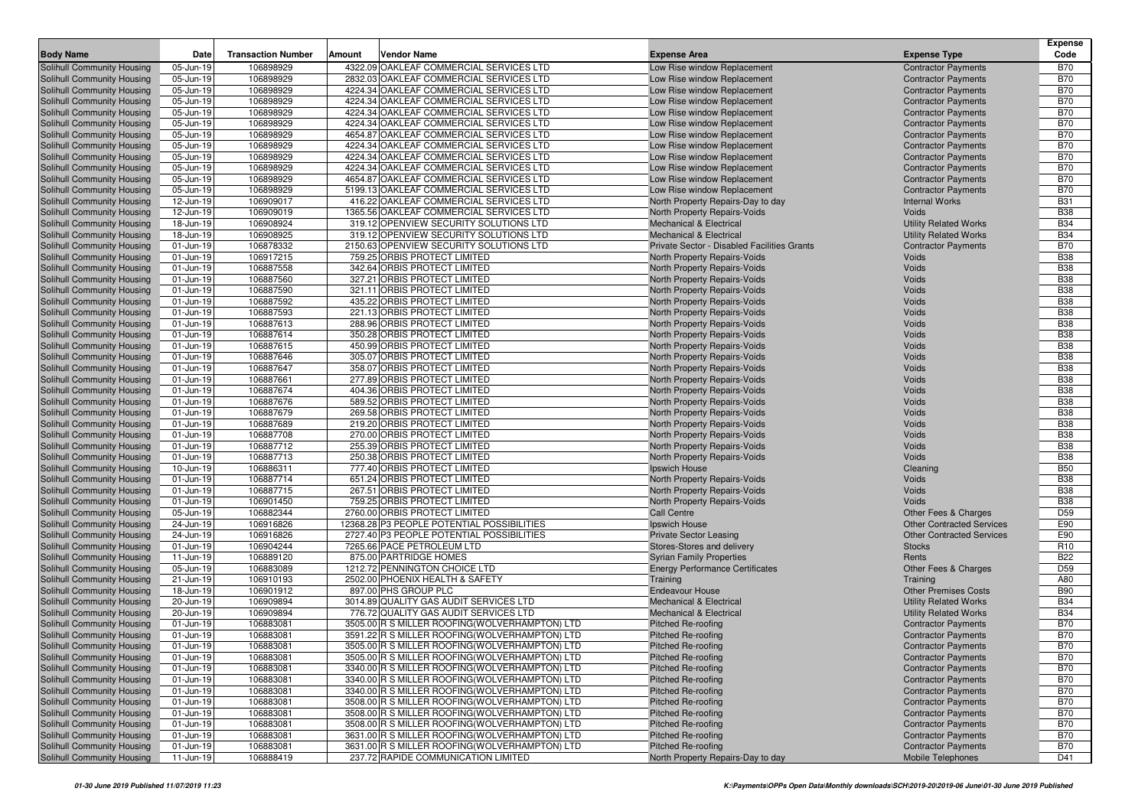|                                                          |                        | <b>Transaction Number</b> | Amount<br>Vendor Name                                        | <b>Expense Area</b>                                          |                                  | <b>Expense</b><br>Code   |
|----------------------------------------------------------|------------------------|---------------------------|--------------------------------------------------------------|--------------------------------------------------------------|----------------------------------|--------------------------|
| <b>Body Name</b>                                         | Date                   |                           |                                                              |                                                              | <b>Expense Type</b>              |                          |
| Solihull Community Housing                               | 05-Jun-19              | 106898929                 | 4322.09 OAKLEAF COMMERCIAL SERVICES LTD                      | Low Rise window Replacement                                  | <b>Contractor Payments</b>       | <b>B70</b>               |
| Solihull Community Housing                               | 05-Jun-19              | 106898929                 | 2832.03 OAKLEAF COMMERCIAL SERVICES LTD                      | Low Rise window Replacement                                  | <b>Contractor Payments</b>       | <b>B70</b>               |
| Solihull Community Housing                               | 05-Jun-19              | 106898929                 | 4224.34 OAKLEAF COMMERCIAL SERVICES LTD                      | Low Rise window Replacement                                  | <b>Contractor Payments</b>       | <b>B70</b>               |
| Solihull Community Housing                               | 05-Jun-19              | 106898929                 | 4224.34 OAKLEAF COMMERCIAL SERVICES LTD                      | Low Rise window Replacement                                  | <b>Contractor Payments</b>       | <b>B70</b>               |
| Solihull Community Housing                               | 05-Jun-19              | 106898929                 | 4224.34 OAKLEAF COMMERCIAL SERVICES LTD                      | Low Rise window Replacement                                  | <b>Contractor Payments</b>       | <b>B70</b>               |
| Solihull Community Housing                               | 05-Jun-19              | 106898929                 | 4224.34 OAKLEAF COMMERCIAL SERVICES LTD                      | Low Rise window Replacement                                  | <b>Contractor Payments</b>       | <b>B70</b>               |
| Solihull Community Housing                               | 05-Jun-19              | 106898929                 | 4654.87 OAKLEAF COMMERCIAL SERVICES LTD                      | Low Rise window Replacement                                  | <b>Contractor Payments</b>       | <b>B70</b>               |
| Solihull Community Housing                               | 05-Jun-19              | 106898929                 | 4224.34 OAKLEAF COMMERCIAL SERVICES LTD                      | Low Rise window Replacement                                  | <b>Contractor Payments</b>       | <b>B70</b>               |
| Solihull Community Housing                               | 05-Jun-19              | 106898929                 | 4224.34 OAKLEAF COMMERCIAL SERVICES LTD                      | Low Rise window Replacement                                  | <b>Contractor Payments</b>       | <b>B70</b>               |
| Solihull Community Housing                               | 05-Jun-19              | 106898929                 | 4224.34 OAKLEAF COMMERCIAL SERVICES LTD                      | Low Rise window Replacement                                  | <b>Contractor Payments</b>       | <b>B70</b>               |
| Solihull Community Housing                               | 05-Jun-19              | 106898929                 | 4654.87 OAKLEAF COMMERCIAL SERVICES LTD                      | Low Rise window Replacement                                  | <b>Contractor Payments</b>       | <b>B70</b>               |
| Solihull Community Housing                               | 05-Jun-19              | 106898929                 | 5199.13 OAKLEAF COMMERCIAL SERVICES LTD                      | Low Rise window Replacement                                  | <b>Contractor Payments</b>       | <b>B70</b>               |
| Solihull Community Housing                               | 12-Jun-19              | 106909017                 | 416.22 OAKLEAF COMMERCIAL SERVICES LTD                       | North Property Repairs-Day to day                            | <b>Internal Works</b>            | <b>B31</b>               |
| Solihull Community Housing                               | 12-Jun-19              | 106909019                 | 1365.56 OAKLEAF COMMERCIAL SERVICES LTD                      | North Property Repairs-Voids                                 | Voids                            | <b>B38</b>               |
| Solihull Community Housing                               | 18-Jun-19              | 106908924                 | 319.12 OPENVIEW SECURITY SOLUTIONS LTD                       | Mechanical & Electrical                                      | <b>Utility Related Works</b>     | <b>B34</b>               |
| Solihull Community Housing                               | 18-Jun-19              | 106908925                 | 319.12 OPENVIEW SECURITY SOLUTIONS LTD                       | <b>Mechanical &amp; Electrical</b>                           | <b>Utility Related Works</b>     | <b>B34</b>               |
| Solihull Community Housing                               | 01-Jun-19              | 106878332                 | 2150.63 OPENVIEW SECURITY SOLUTIONS LTD                      | Private Sector - Disabled Facilities Grants                  | <b>Contractor Payments</b>       | <b>B70</b>               |
| Solihull Community Housing                               | 01-Jun-19              | 106917215                 | 759.25 ORBIS PROTECT LIMITED                                 | North Property Repairs-Voids                                 | Voids                            | <b>B38</b>               |
| Solihull Community Housing                               | 01-Jun-19              | 106887558                 | 342.64 ORBIS PROTECT LIMITED                                 | North Property Repairs-Voids                                 | Voids                            | <b>B38</b>               |
| Solihull Community Housing                               | 01-Jun-19              | 106887560                 | 327.21 ORBIS PROTECT LIMITED                                 | North Property Repairs-Voids                                 | Voids                            | <b>B38</b>               |
| Solihull Community Housing                               | 01-Jun-19              | 106887590                 | 321.11 ORBIS PROTECT LIMITED                                 | North Property Repairs-Voids                                 | Voids                            | <b>B38</b>               |
| Solihull Community Housing                               | 01-Jun-19              | 106887592                 | 435.22 ORBIS PROTECT LIMITED                                 | North Property Repairs-Voids                                 | Voids                            | <b>B38</b>               |
| Solihull Community Housing                               | 01-Jun-19              | 106887593                 | 221.13 ORBIS PROTECT LIMITED                                 | North Property Repairs-Voids                                 | Voids                            | <b>B38</b>               |
| Solihull Community Housing                               | 01-Jun-19              | 106887613                 | 288.96 ORBIS PROTECT LIMITED                                 | North Property Repairs-Voids                                 | Voids                            | <b>B38</b>               |
| Solihull Community Housing                               | 01-Jun-19              | 106887614                 | 350.28 ORBIS PROTECT LIMITED                                 | North Property Repairs-Voids                                 | Voids                            | <b>B38</b>               |
| Solihull Community Housing                               | 01-Jun-19              | 106887615                 | 450.99 ORBIS PROTECT LIMITED                                 | North Property Repairs-Voids                                 | Voids                            | <b>B38</b>               |
| Solihull Community Housing                               | 01-Jun-19              | 106887646                 | 305.07 ORBIS PROTECT LIMITED                                 | North Property Repairs-Voids                                 | Voids                            | <b>B38</b>               |
| Solihull Community Housing                               | 01-Jun-19              | 106887647                 | 358.07 ORBIS PROTECT LIMITED                                 | North Property Repairs-Voids                                 | Voids                            | <b>B38</b>               |
| Solihull Community Housing                               | 01-Jun-19              | 106887661                 | 277.89 ORBIS PROTECT LIMITED                                 | North Property Repairs-Voids                                 | Voids                            | <b>B38</b>               |
| Solihull Community Housing                               | 01-Jun-19              | 106887674                 | 404.36 ORBIS PROTECT LIMITED                                 | North Property Repairs-Voids                                 | Voids                            | <b>B38</b>               |
| Solihull Community Housing                               | 01-Jun-19              | 106887676                 | 589.52 ORBIS PROTECT LIMITED                                 | North Property Repairs-Voids                                 | Voids                            | <b>B38</b>               |
| Solihull Community Housing                               | 01-Jun-19              | 106887679                 | 269.58 ORBIS PROTECT LIMITED                                 | North Property Repairs-Voids                                 | Voids                            | <b>B38</b>               |
| Solihull Community Housing                               | 01-Jun-19              | 106887689<br>106887708    | 219.20 ORBIS PROTECT LIMITED                                 | North Property Repairs-Voids                                 | Voids                            | <b>B38</b><br><b>B38</b> |
| Solihull Community Housing                               | 01-Jun-19              | 106887712                 | 270.00 ORBIS PROTECT LIMITED                                 | North Property Repairs-Voids                                 | Voids<br>Voids                   | <b>B38</b>               |
| Solihull Community Housing                               | 01-Jun-19              | 106887713                 | 255.39 ORBIS PROTECT LIMITED<br>250.38 ORBIS PROTECT LIMITED | North Property Repairs-Voids                                 | Voids                            | <b>B38</b>               |
| Solihull Community Housing                               | 01-Jun-19              | 106886311                 | 777.40 ORBIS PROTECT LIMITED                                 | North Property Repairs-Voids                                 |                                  | <b>B50</b>               |
| Solihull Community Housing<br>Solihull Community Housing | 10-Jun-19<br>01-Jun-19 | 106887714                 | 651.24 ORBIS PROTECT LIMITED                                 | Ipswich House                                                | Cleaning<br>Voids                | <b>B38</b>               |
| Solihull Community Housing                               | 01-Jun-19              | 106887715                 | 267.51 ORBIS PROTECT LIMITED                                 | North Property Repairs-Voids<br>North Property Repairs-Voids | Voids                            | <b>B38</b>               |
| Solihull Community Housing                               | 01-Jun-19              | 106901450                 | 759.25 ORBIS PROTECT LIMITED                                 | North Property Repairs-Voids                                 | Voids                            | <b>B38</b>               |
| Solihull Community Housing                               | 05-Jun-19              | 106882344                 | 2760.00 ORBIS PROTECT LIMITED                                | <b>Call Centre</b>                                           | Other Fees & Charges             | D <sub>59</sub>          |
| Solihull Community Housing                               | 24-Jun-19              | 106916826                 | 12368.28 P3 PEOPLE POTENTIAL POSSIBILITIES                   | Ipswich House                                                | <b>Other Contracted Services</b> | E90                      |
| Solihull Community Housing                               | 24-Jun-19              | 106916826                 | 2727.40 P3 PEOPLE POTENTIAL POSSIBILITIES                    | <b>Private Sector Leasing</b>                                | <b>Other Contracted Services</b> | E90                      |
| Solihull Community Housing                               | 01-Jun-19              | 106904244                 | 7265.66 PACE PETROLEUM LTD                                   | Stores-Stores and delivery                                   | <b>Stocks</b>                    | R <sub>10</sub>          |
| Solihull Community Housing                               | 11-Jun-19              | 106889120                 | 875.00 PARTRIDGE HOMES                                       | <b>Syrian Family Properties</b>                              | Rents                            | <b>B22</b>               |
| Solihull Community Housing                               | 05-Jun-19              | 106883089                 | 1212.72 PENNINGTON CHOICE LTD                                | <b>Energy Performance Certificates</b>                       | Other Fees & Charges             | D <sub>59</sub>          |
| Solihull Community Housing                               | 21-Jun-19              | 106910193                 | 2502.00 PHOENIX HEALTH & SAFETY                              | Training                                                     | Training                         | A80                      |
| Solihull Community Housing                               | 18-Jun-19              | 106901912                 | 897.00 PHS GROUP PLC                                         | <b>Endeavour House</b>                                       | <b>Other Premises Costs</b>      | <b>B90</b>               |
| Solihull Community Housing                               | 20-Jun-19              | 106909894                 | 3014.89 QUALITY GAS AUDIT SERVICES LTD                       | Mechanical & Electrical                                      | <b>Utility Related Works</b>     | <b>B34</b>               |
| Solihull Community Housing                               | 20-Jun-19              | 106909894                 | 776.72 QUALITY GAS AUDIT SERVICES LTD                        | <b>Mechanical &amp; Electrical</b>                           | <b>Utility Related Works</b>     | <b>B34</b>               |
| Solihull Community Housing                               | 01-Jun-19              | 106883081                 | 3505.00 R S MILLER ROOFING (WOLVERHAMPTON) LTD               | Pitched Re-roofing                                           | <b>Contractor Payments</b>       | <b>B70</b>               |
| Solihull Community Housing                               | 01-Jun-19              | 106883081                 | 3591.22 R S MILLER ROOFING (WOLVERHAMPTON) LTD               | Pitched Re-roofing                                           | <b>Contractor Payments</b>       | <b>B70</b>               |
| Solihull Community Housing                               | 01-Jun-19              | 106883081                 | 3505.00 R S MILLER ROOFING(WOLVERHAMPTON) LTD                | Pitched Re-roofing                                           | <b>Contractor Payments</b>       | <b>B70</b>               |
| Solihull Community Housing                               | 01-Jun-19              | 106883081                 | 3505.00 R S MILLER ROOFING (WOLVERHAMPTON) LTD               | <b>Pitched Re-roofing</b>                                    | <b>Contractor Payments</b>       | <b>B70</b>               |
| Solihull Community Housing                               | 01-Jun-19              | 106883081                 | 3340.00 R S MILLER ROOFING (WOLVERHAMPTON) LTD               | <b>Pitched Re-roofing</b>                                    | <b>Contractor Payments</b>       | <b>B70</b>               |
| Solihull Community Housing                               | 01-Jun-19              | 106883081                 | 3340.00 R S MILLER ROOFING (WOLVERHAMPTON) LTD               | Pitched Re-roofing                                           | <b>Contractor Payments</b>       | <b>B70</b>               |
| Solihull Community Housing                               | 01-Jun-19              | 106883081                 | 3340.00 R S MILLER ROOFING (WOLVERHAMPTON) LTD               | Pitched Re-roofing                                           | <b>Contractor Payments</b>       | <b>B70</b>               |
| Solihull Community Housing                               | 01-Jun-19              | 106883081                 | 3508.00 R S MILLER ROOFING(WOLVERHAMPTON) LTD                | Pitched Re-roofing                                           | <b>Contractor Payments</b>       | <b>B70</b>               |
| Solihull Community Housing                               | 01-Jun-19              | 106883081                 | 3508.00 R S MILLER ROOFING(WOLVERHAMPTON) LTD                | Pitched Re-roofing                                           | <b>Contractor Payments</b>       | <b>B70</b>               |
| Solihull Community Housing                               | 01-Jun-19              | 106883081                 | 3508.00 R S MILLER ROOFING (WOLVERHAMPTON) LTD               | Pitched Re-roofing                                           | <b>Contractor Payments</b>       | <b>B70</b>               |
| Solihull Community Housing                               | 01-Jun-19              | 106883081                 | 3631.00 R S MILLER ROOFING (WOLVERHAMPTON) LTD               | Pitched Re-roofing                                           | <b>Contractor Payments</b>       | <b>B70</b>               |
| Solihull Community Housing                               | 01-Jun-19              | 106883081                 | 3631.00 R S MILLER ROOFING(WOLVERHAMPTON) LTD                | Pitched Re-roofing                                           | <b>Contractor Payments</b>       | <b>B70</b>               |
| Solihull Community Housing                               | 11-Jun-19              | 106888419                 | 237.72 RAPIDE COMMUNICATION LIMITED                          | North Property Repairs-Day to day                            | Mobile Telephones                | D41                      |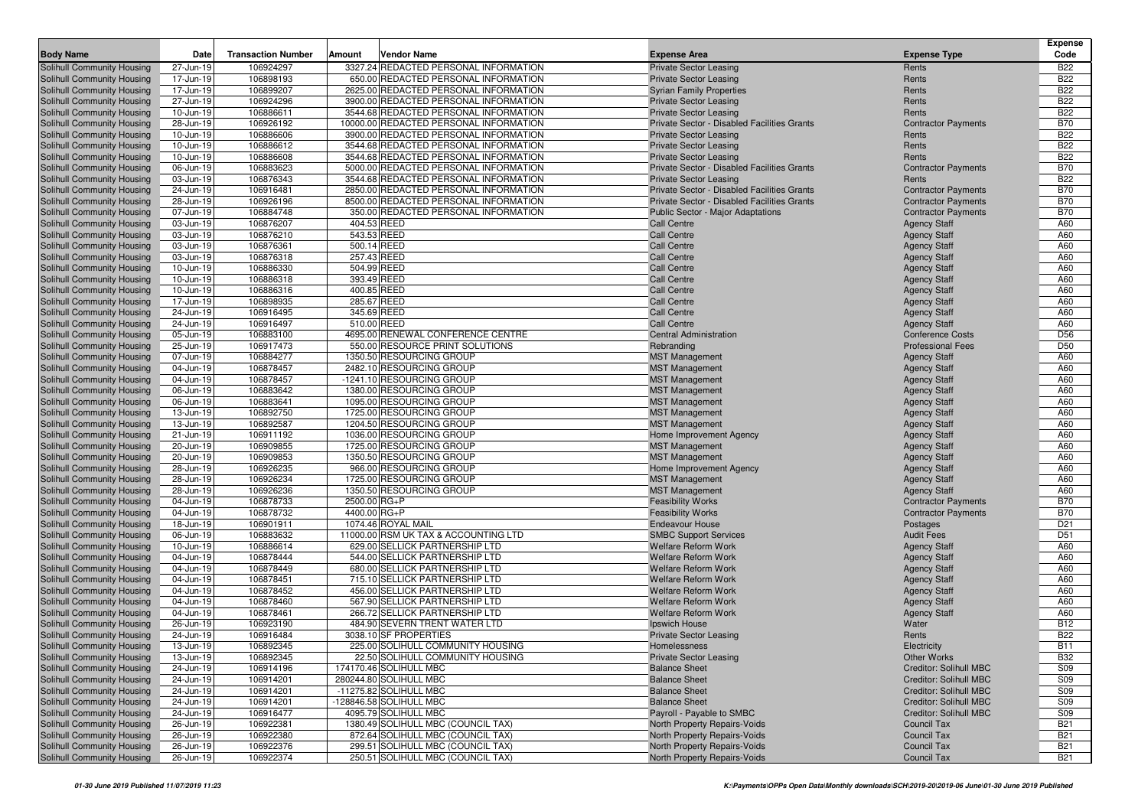|                                                          |                        |                           |              |                                                                                |                                                                              |                                            | <b>Expense</b>           |
|----------------------------------------------------------|------------------------|---------------------------|--------------|--------------------------------------------------------------------------------|------------------------------------------------------------------------------|--------------------------------------------|--------------------------|
| <b>Body Name</b>                                         | Date                   | <b>Transaction Number</b> | Amount       | Vendor Name                                                                    | <b>Expense Area</b>                                                          | <b>Expense Type</b>                        | Code                     |
| Solihull Community Housing                               | 27-Jun-19              | 106924297                 |              | 3327.24 REDACTED PERSONAL INFORMATION                                          | <b>Private Sector Leasing</b>                                                | Rents                                      | <b>B22</b>               |
| Solihull Community Housing                               | 17-Jun-19              | 106898193                 |              | 650.00 REDACTED PERSONAL INFORMATION                                           | <b>Private Sector Leasing</b>                                                | Rents                                      | <b>B22</b>               |
| Solihull Community Housing                               | 17-Jun-19              | 106899207                 |              | 2625.00 REDACTED PERSONAL INFORMATION                                          | <b>Syrian Family Properties</b>                                              | Rents                                      | <b>B22</b>               |
| Solihull Community Housing                               | 27-Jun-19              | 106924296<br>106886611    |              | 3900.00 REDACTED PERSONAL INFORMATION<br>3544.68 REDACTED PERSONAL INFORMATION | <b>Private Sector Leasing</b>                                                | Rents<br>Rents                             | <b>B22</b><br><b>B22</b> |
| Solihull Community Housing<br>Solihull Community Housing | 10-Jun-19<br>28-Jun-19 | 106926192                 |              | 10000.00 REDACTED PERSONAL INFORMATION                                         | <b>Private Sector Leasing</b><br>Private Sector - Disabled Facilities Grants | <b>Contractor Payments</b>                 | <b>B70</b>               |
| Solihull Community Housing                               | 10-Jun-19              | 106886606                 |              | 3900.00 REDACTED PERSONAL INFORMATION                                          | <b>Private Sector Leasing</b>                                                | Rents                                      | <b>B22</b>               |
| Solihull Community Housing                               | 10-Jun-19              | 106886612                 |              | 3544.68 REDACTED PERSONAL INFORMATION                                          | <b>Private Sector Leasing</b>                                                | Rents                                      | <b>B22</b>               |
| Solihull Community Housing                               | 10-Jun-19              | 106886608                 |              | 3544.68 REDACTED PERSONAL INFORMATION                                          | <b>Private Sector Leasing</b>                                                | Rents                                      | <b>B22</b>               |
| Solihull Community Housing                               | 06-Jun-19              | 106883623                 |              | 5000.00 REDACTED PERSONAL INFORMATION                                          | Private Sector - Disabled Facilities Grants                                  | <b>Contractor Payments</b>                 | <b>B70</b>               |
| Solihull Community Housing                               | 03-Jun-19              | 106876343                 |              | 3544.68 REDACTED PERSONAL INFORMATION                                          | <b>Private Sector Leasing</b>                                                | Rents                                      | <b>B22</b>               |
| Solihull Community Housing                               | 24-Jun-19              | 106916481                 |              | 2850.00 REDACTED PERSONAL INFORMATION                                          | Private Sector - Disabled Facilities Grants                                  | <b>Contractor Payments</b>                 | <b>B70</b>               |
| Solihull Community Housing                               | 28-Jun-19              | 106926196                 |              | 8500.00 REDACTED PERSONAL INFORMATION                                          | Private Sector - Disabled Facilities Grants                                  | <b>Contractor Payments</b>                 | <b>B70</b>               |
| Solihull Community Housing                               | 07-Jun-19              | 106884748                 |              | 350.00 REDACTED PERSONAL INFORMATION                                           | <b>Public Sector - Major Adaptations</b>                                     | <b>Contractor Payments</b>                 | <b>B70</b>               |
| Solihull Community Housing                               | 03-Jun-19              | 106876207                 |              | 404.53 REED                                                                    | <b>Call Centre</b>                                                           | <b>Agency Staff</b>                        | A60                      |
| Solihull Community Housing                               | 03-Jun-19              | 106876210                 |              | 543.53 REED                                                                    | <b>Call Centre</b>                                                           | <b>Agency Staff</b>                        | A60                      |
| Solihull Community Housing                               | 03-Jun-19              | 106876361                 |              | 500.14 REED                                                                    | <b>Call Centre</b>                                                           | <b>Agency Staff</b>                        | A60                      |
| Solihull Community Housing                               | 03-Jun-19              | 106876318                 |              | 257.43 REED                                                                    | <b>Call Centre</b>                                                           | <b>Agency Staff</b>                        | A60                      |
| Solihull Community Housing                               | 10-Jun-19              | 106886330                 |              | 504.99 REED                                                                    | <b>Call Centre</b>                                                           | <b>Agency Staff</b>                        | A60                      |
| Solihull Community Housing                               | 10-Jun-19              | 106886318                 |              | 393.49 REED                                                                    | <b>Call Centre</b>                                                           | <b>Agency Staff</b>                        | A60                      |
| Solihull Community Housing                               | 10-Jun-19              | 106886316                 |              | 400.85 REED                                                                    | <b>Call Centre</b>                                                           | <b>Agency Staff</b>                        | A60                      |
| Solihull Community Housing                               | 17-Jun-19              | 106898935                 |              | 285.67 REED                                                                    | <b>Call Centre</b>                                                           | <b>Agency Staff</b>                        | A60                      |
| Solihull Community Housing                               | 24-Jun-19              | 106916495                 |              | 345.69 REED                                                                    | Call Centre                                                                  | <b>Agency Staff</b>                        | A60                      |
| Solihull Community Housing                               | 24-Jun-19              | 106916497                 |              | 510.00 REED                                                                    | Call Centre                                                                  | <b>Agency Staff</b>                        | A60                      |
| Solihull Community Housing                               | 05-Jun-19              | 106883100                 |              | 4695.00 RENEWAL CONFERENCE CENTRE                                              | <b>Central Administration</b>                                                | <b>Conference Costs</b>                    | D <sub>56</sub>          |
| Solihull Community Housing                               | 25-Jun-19              | 106917473                 |              | 550.00 RESOURCE PRINT SOLUTIONS                                                | Rebranding                                                                   | <b>Professional Fees</b>                   | D <sub>50</sub>          |
| Solihull Community Housing                               | 07-Jun-19              | 106884277                 |              | 1350.50 RESOURCING GROUP                                                       | <b>MST Management</b>                                                        | <b>Agency Staff</b>                        | A60                      |
| Solihull Community Housing                               | 04-Jun-19              | 106878457                 |              | 2482.10 RESOURCING GROUP                                                       | <b>MST Management</b>                                                        | <b>Agency Staff</b>                        | A60                      |
| Solihull Community Housing                               | 04-Jun-19              | 106878457                 |              | -1241.10 RESOURCING GROUP                                                      | <b>MST Management</b>                                                        | <b>Agency Staff</b>                        | A60                      |
| Solihull Community Housing                               | 06-Jun-19              | 106883642                 |              | 1380.00 RESOURCING GROUP                                                       | <b>MST Management</b>                                                        | <b>Agency Staff</b>                        | A60                      |
| Solihull Community Housing                               | 06-Jun-19              | 106883641                 |              | 1095.00 RESOURCING GROUP                                                       | <b>MST Management</b>                                                        | <b>Agency Staff</b>                        | A60                      |
| Solihull Community Housing                               | 13-Jun-19              | 106892750                 |              | 1725.00 RESOURCING GROUP                                                       | <b>MST Management</b>                                                        | <b>Agency Staff</b>                        | A60                      |
| Solihull Community Housing                               | 13-Jun-19              | 106892587                 |              | 1204.50 RESOURCING GROUP                                                       | <b>MST Management</b>                                                        | <b>Agency Staff</b>                        | A60                      |
| Solihull Community Housing                               | 21-Jun-19              | 106911192                 |              | 1036.00 RESOURCING GROUP                                                       | Home Improvement Agency                                                      | <b>Agency Staff</b>                        | A60                      |
| Solihull Community Housing                               | 20-Jun-19              | 106909855                 |              | 1725.00 RESOURCING GROUP                                                       | <b>MST Management</b>                                                        | <b>Agency Staff</b>                        | A60                      |
| Solihull Community Housing                               | 20-Jun-19              | 106909853                 |              | 1350.50 RESOURCING GROUP                                                       | <b>MST Management</b>                                                        | <b>Agency Staff</b>                        | A60                      |
| Solihull Community Housing                               | 28-Jun-19              | 106926235                 |              | 966.00 RESOURCING GROUP                                                        | Home Improvement Agency                                                      | <b>Agency Staff</b>                        | A60                      |
| Solihull Community Housing                               | 28-Jun-19              | 106926234                 |              | 1725.00 RESOURCING GROUP                                                       | <b>MST Management</b>                                                        | <b>Agency Staff</b>                        | A60                      |
| Solihull Community Housing                               | 28-Jun-19              | 106926236                 |              | 1350.50 RESOURCING GROUP                                                       | <b>MST Management</b>                                                        | <b>Agency Staff</b>                        | A60                      |
| Solihull Community Housing                               | 04-Jun-19              | 106878733                 | 2500.00 RG+P |                                                                                | <b>Feasibility Works</b>                                                     | <b>Contractor Payments</b>                 | <b>B70</b>               |
| Solihull Community Housing                               | 04-Jun-19              | 106878732                 | 4400.00 RG+P |                                                                                | <b>Feasibility Works</b>                                                     | <b>Contractor Payments</b>                 | <b>B70</b>               |
| Solihull Community Housing                               | 18-Jun-19              | 106901911                 |              | 1074.46 ROYAL MAIL                                                             | <b>Endeavour House</b>                                                       | Postages                                   | D <sub>21</sub>          |
| Solihull Community Housing                               | 06-Jun-19              | 106883632                 |              | 11000.00 RSM UK TAX & ACCOUNTING LTD                                           | <b>SMBC Support Services</b>                                                 | <b>Audit Fees</b>                          | D <sub>51</sub>          |
| Solihull Community Housing                               | 10-Jun-19              | 106886614<br>106878444    |              | 629.00 SELLICK PARTNERSHIP LTD<br>544.00 SELLICK PARTNERSHIP LTD               | <b>Welfare Reform Work</b><br><b>Welfare Reform Work</b>                     | <b>Agency Staff</b>                        | A60<br>A60               |
| Solihull Community Housing<br>Solihull Community Housing | 04-Jun-19<br>04-Jun-19 | 106878449                 |              | 680.00 SELLICK PARTNERSHIP LTD                                                 | <b>Welfare Reform Work</b>                                                   | <b>Agency Staff</b>                        | A60                      |
| Solihull Community Housing                               | 04-Jun-19              | 106878451                 |              | 715.10 SELLICK PARTNERSHIP LTD                                                 | <b>Welfare Reform Work</b>                                                   | <b>Agency Staff</b><br><b>Agency Staff</b> | A60                      |
| Solihull Community Housing                               | 04-Jun-19              | 106878452                 |              | 456.00 SELLICK PARTNERSHIP LTD                                                 | <b>Welfare Reform Work</b>                                                   | <b>Agency Staff</b>                        | A60                      |
| Solihull Community Housing                               | 04-Jun-19              | 106878460                 |              | 567.90 SELLICK PARTNERSHIP LTD                                                 | <b>Welfare Reform Work</b>                                                   | <b>Agency Staff</b>                        | A60                      |
| Solihull Community Housing                               | 04-Jun-19              | 106878461                 |              | 266.72 SELLICK PARTNERSHIP LTD                                                 | <b>Welfare Reform Work</b>                                                   | <b>Agency Staff</b>                        | A60                      |
| Solihull Community Housing                               | 26-Jun-19              | 106923190                 |              | 484.90 SEVERN TRENT WATER LTD                                                  | Ipswich House                                                                | Water                                      | <b>B12</b>               |
| Solihull Community Housing                               | 24-Jun-19              | 106916484                 |              | 3038.10 SF PROPERTIES                                                          | <b>Private Sector Leasing</b>                                                | Rents                                      | <b>B22</b>               |
| Solihull Community Housing                               | 13-Jun-19              | 106892345                 |              | 225.00 SOLIHULL COMMUNITY HOUSING                                              | Homelessness                                                                 | Electricity                                | <b>B11</b>               |
| Solihull Community Housing                               | 13-Jun-19              | 106892345                 |              | 22.50 SOLIHULL COMMUNITY HOUSING                                               | <b>Private Sector Leasing</b>                                                | <b>Other Works</b>                         | <b>B32</b>               |
| Solihull Community Housing                               | 24-Jun-19              | 106914196                 |              | 174170.46 SOLIHULL MBC                                                         | <b>Balance Sheet</b>                                                         | Creditor: Solihull MBC                     | S09                      |
| Solihull Community Housing                               | 24-Jun-19              | 106914201                 |              | 280244.80 SOLIHULL MBC                                                         | <b>Balance Sheet</b>                                                         | Creditor: Solihull MBC                     | S09                      |
| Solihull Community Housing                               | 24-Jun-19              | 106914201                 |              | -11275.82 SOLIHULL MBC                                                         | <b>Balance Sheet</b>                                                         | Creditor: Solihull MBC                     | S09                      |
| Solihull Community Housing                               | 24-Jun-19              | 106914201                 |              | -128846.58 SOLIHULL MBC                                                        | <b>Balance Sheet</b>                                                         | <b>Creditor: Solihull MBC</b>              | S09                      |
| Solihull Community Housing                               | 24-Jun-19              | 106916477                 |              | 4095.79 SOLIHULL MBC                                                           | Payroll - Payable to SMBC                                                    | Creditor: Solihull MBC                     | S09                      |
| Solihull Community Housing                               | 26-Jun-19              | 106922381                 |              | 1380.49 SOLIHULL MBC (COUNCIL TAX)                                             | North Property Repairs-Voids                                                 | Council Tax                                | <b>B21</b>               |
| Solihull Community Housing                               | 26-Jun-19              | 106922380                 |              | 872.64 SOLIHULL MBC (COUNCIL TAX)                                              | North Property Repairs-Voids                                                 | <b>Council Tax</b>                         | <b>B21</b>               |
| Solihull Community Housing                               | 26-Jun-19              | 106922376                 |              | 299.51 SOLIHULL MBC (COUNCIL TAX)                                              | North Property Repairs-Voids                                                 | <b>Council Tax</b>                         | <b>B21</b>               |
| <b>Solihull Community Housing</b>                        | 26-Jun-19              | 106922374                 |              | 250.51 SOLIHULL MBC (COUNCIL TAX)                                              | North Property Repairs-Voids                                                 | <b>Council Tax</b>                         | <b>B21</b>               |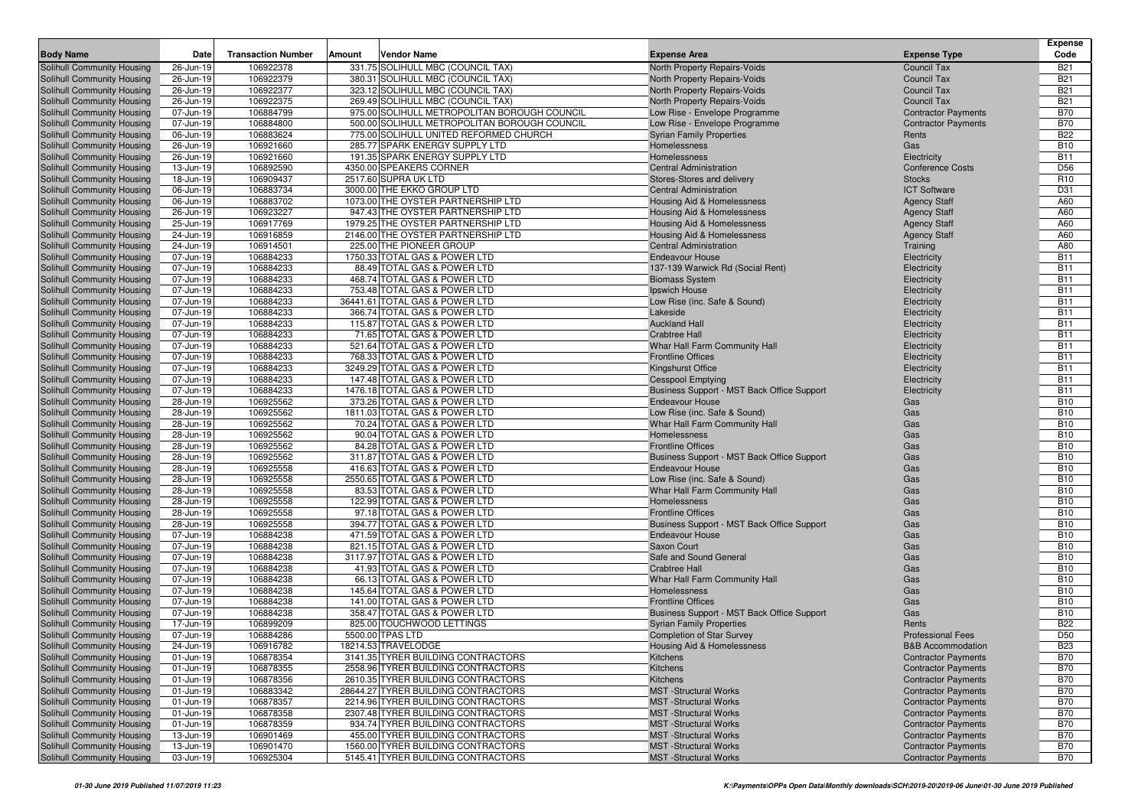| <b>Body Name</b>                                         | Date                   | <b>Transaction Number</b> | Amount | Vendor Name                                                    | <b>Expense Area</b>                        | <b>Expense Type</b>          | <b>Expense</b><br>Code   |
|----------------------------------------------------------|------------------------|---------------------------|--------|----------------------------------------------------------------|--------------------------------------------|------------------------------|--------------------------|
| Solihull Community Housing                               | 26-Jun-19              | 106922378                 |        | 331.75 SOLIHULL MBC (COUNCIL TAX)                              | North Property Repairs-Voids               | Council Tax                  | <b>B21</b>               |
| Solihull Community Housing                               | 26-Jun-19              | 106922379                 |        | 380.31 SOLIHULL MBC (COUNCIL TAX)                              | North Property Repairs-Voids               | Council Tax                  | <b>B21</b>               |
| Solihull Community Housing                               | 26-Jun-19              | 106922377                 |        | 323.12 SOLIHULL MBC (COUNCIL TAX)                              | North Property Repairs-Voids               | <b>Council Tax</b>           | <b>B21</b>               |
| Solihull Community Housing                               | 26-Jun-19              | 106922375                 |        | 269.49 SOLIHULL MBC (COUNCIL TAX)                              | North Property Repairs-Voids               | <b>Council Tax</b>           | <b>B21</b>               |
| Solihull Community Housing                               | 07-Jun-19              | 106884799                 |        | 975.00 SOLIHULL METROPOLITAN BOROUGH COUNCIL                   | Low Rise - Envelope Programme              | <b>Contractor Payments</b>   | <b>B70</b>               |
| Solihull Community Housing                               | 07-Jun-19              | 106884800                 |        | 500.00 SOLIHULL METROPOLITAN BOROUGH COUNCIL                   | Low Rise - Envelope Programme              | <b>Contractor Payments</b>   | <b>B70</b>               |
| Solihull Community Housing                               | 06-Jun-19              | 106883624                 |        | 775.00 SOLIHULL UNITED REFORMED CHURCH                         | <b>Syrian Family Properties</b>            | Rents                        | <b>B22</b>               |
| Solihull Community Housing                               | 26-Jun-19              | 106921660                 |        | 285.77 SPARK ENERGY SUPPLY LTD                                 | Homelessness                               | Gas                          | <b>B10</b>               |
| Solihull Community Housing                               | 26-Jun-19              | 106921660                 |        | 191.35 SPARK ENERGY SUPPLY LTD                                 | Homelessness                               | Electricity                  | <b>B11</b>               |
| Solihull Community Housing                               | 13-Jun-19              | 106892590                 |        | 4350.00 SPEAKERS CORNER                                        | <b>Central Administration</b>              | <b>Conference Costs</b>      | D <sub>56</sub>          |
| Solihull Community Housing                               | 18-Jun-19              | 106909437                 |        | 2517.60 SUPRA UK LTD                                           | Stores-Stores and delivery                 | <b>Stocks</b>                | R <sub>10</sub>          |
| Solihull Community Housing                               | 06-Jun-19              | 106883734                 |        | 3000.00 THE EKKO GROUP LTD                                     | <b>Central Administration</b>              | <b>ICT Software</b>          | D31                      |
| Solihull Community Housing                               | 06-Jun-19              | 106883702                 |        | 1073.00 THE OYSTER PARTNERSHIP LTD                             | Housing Aid & Homelessness                 | <b>Agency Staff</b>          | A60                      |
| Solihull Community Housing                               | 26-Jun-19              | 106923227                 |        | 947.43 THE OYSTER PARTNERSHIP LTD                              | Housing Aid & Homelessness                 | <b>Agency Staff</b>          | A60                      |
| Solihull Community Housing                               | 25-Jun-19              | 106917769                 |        | 1979.25 THE OYSTER PARTNERSHIP LTD                             | <b>Housing Aid &amp; Homelessness</b>      | <b>Agency Staff</b>          | A60                      |
| Solihull Community Housing                               | 24-Jun-19              | 106916859                 |        | 2146.00 THE OYSTER PARTNERSHIP LTD                             | Housing Aid & Homelessness                 | <b>Agency Staff</b>          | A60                      |
| Solihull Community Housing                               | 24-Jun-19              | 106914501                 |        | 225.00 THE PIONEER GROUP                                       | <b>Central Administration</b>              | Training                     | A80                      |
| Solihull Community Housing                               | 07-Jun-19              | 106884233                 |        | 1750.33 TOTAL GAS & POWER LTD                                  | <b>Endeavour House</b>                     | Electricity                  | <b>B11</b>               |
| Solihull Community Housing                               | 07-Jun-19              | 106884233                 |        | 88.49 TOTAL GAS & POWER LTD                                    | 137-139 Warwick Rd (Social Rent)           | Electricity                  | <b>B11</b>               |
| Solihull Community Housing                               | 07-Jun-19              | 106884233                 |        | 468.74 TOTAL GAS & POWER LTD                                   | <b>Biomass System</b>                      | Electricity                  | <b>B11</b>               |
| Solihull Community Housing                               | 07-Jun-19              | 106884233                 |        | 753.48 TOTAL GAS & POWER LTD                                   | Ipswich House                              | Electricity                  | <b>B11</b><br><b>B11</b> |
| Solihull Community Housing<br>Solihull Community Housing | 07-Jun-19<br>07-Jun-19 | 106884233<br>106884233    |        | 36441.61 TOTAL GAS & POWER LTD<br>366.74 TOTAL GAS & POWER LTD | Low Rise (inc. Safe & Sound)<br>Lakeside   | Electricity                  | <b>B11</b>               |
| Solihull Community Housing                               | 07-Jun-19              | 106884233                 |        | 115.87 TOTAL GAS & POWER LTD                                   | <b>Auckland Hall</b>                       | Electricity<br>Electricity   | <b>B11</b>               |
| Solihull Community Housing                               | 07-Jun-19              | 106884233                 |        | 71.65 TOTAL GAS & POWER LTD                                    | <b>Crabtree Hall</b>                       | Electricity                  | <b>B11</b>               |
| Solihull Community Housing                               | 07-Jun-19              | 106884233                 |        | 521.64 TOTAL GAS & POWER LTD                                   | Whar Hall Farm Community Hall              | Electricity                  | <b>B11</b>               |
| Solihull Community Housing                               | 07-Jun-19              | 106884233                 |        | 768.33 TOTAL GAS & POWER LTD                                   | <b>Frontline Offices</b>                   | Electricity                  | <b>B11</b>               |
| Solihull Community Housing                               | 07-Jun-19              | 106884233                 |        | 3249.29 TOTAL GAS & POWER LTD                                  | <b>Kingshurst Office</b>                   | Electricity                  | <b>B11</b>               |
| Solihull Community Housing                               | 07-Jun-19              | 106884233                 |        | 147.48 TOTAL GAS & POWER LTD                                   | <b>Cesspool Emptying</b>                   | Electricity                  | <b>B11</b>               |
| Solihull Community Housing                               | 07-Jun-19              | 106884233                 |        | 1476.18 TOTAL GAS & POWER LTD                                  | Business Support - MST Back Office Support | Electricity                  | <b>B11</b>               |
| Solihull Community Housing                               | 28-Jun-19              | 106925562                 |        | 373.26 TOTAL GAS & POWER LTD                                   | <b>Endeavour House</b>                     | Gas                          | <b>B10</b>               |
| Solihull Community Housing                               | 28-Jun-19              | 106925562                 |        | 1811.03 TOTAL GAS & POWER LTD                                  | Low Rise (inc. Safe & Sound)               | Gas                          | <b>B10</b>               |
| Solihull Community Housing                               | 28-Jun-19              | 106925562                 |        | 70.24 TOTAL GAS & POWER LTD                                    | Whar Hall Farm Community Hall              | Gas                          | <b>B10</b>               |
| Solihull Community Housing                               | 28-Jun-19              | 106925562                 |        | 90.04 TOTAL GAS & POWER LTD                                    | Homelessness                               | Gas                          | <b>B10</b>               |
| Solihull Community Housing                               | 28-Jun-19              | 106925562                 |        | 84.28 TOTAL GAS & POWER LTD                                    | <b>Frontline Offices</b>                   | Gas                          | <b>B10</b>               |
| Solihull Community Housing                               | 28-Jun-19              | 106925562                 |        | 311.87 TOTAL GAS & POWER LTD                                   | Business Support - MST Back Office Support | Gas                          | <b>B10</b>               |
| Solihull Community Housing                               | 28-Jun-19              | 106925558                 |        | 416.63 TOTAL GAS & POWER LTD                                   | <b>Endeavour House</b>                     | Gas                          | <b>B10</b>               |
| <b>Solihull Community Housing</b>                        | 28-Jun-19              | 106925558                 |        | 2550.65 TOTAL GAS & POWER LTD                                  | Low Rise (inc. Safe & Sound)               | Gas                          | <b>B10</b>               |
| Solihull Community Housing                               | 28-Jun-19              | 106925558                 |        | 83.53 TOTAL GAS & POWER LTD                                    | Whar Hall Farm Community Hall              | Gas                          | <b>B10</b>               |
| Solihull Community Housing                               | 28-Jun-19              | 106925558                 |        | 122.99 TOTAL GAS & POWER LTD                                   | Homelessness                               | Gas                          | <b>B10</b>               |
| Solihull Community Housing                               | 28-Jun-19              | 106925558                 |        | 97.18 TOTAL GAS & POWER LTD                                    | <b>Frontline Offices</b>                   | Gas                          | <b>B10</b>               |
| Solihull Community Housing                               | 28-Jun-19              | 106925558                 |        | 394.77 TOTAL GAS & POWER LTD                                   | Business Support - MST Back Office Support | Gas                          | <b>B10</b>               |
| Solihull Community Housing                               | 07-Jun-19              | 106884238<br>106884238    |        | 471.59 TOTAL GAS & POWER LTD<br>821.15 TOTAL GAS & POWER LTD   | <b>Endeavour House</b><br>Saxon Court      | Gas<br>Gas                   | <b>B10</b><br><b>B10</b> |
| Solihull Community Housing<br>Solihull Community Housing | 07-Jun-19<br>07-Jun-19 | 106884238                 |        | 3117.97 TOTAL GAS & POWER LTD                                  | Safe and Sound General                     | Gas                          | <b>B10</b>               |
| Solihull Community Housing                               | 07-Jun-19              | 106884238                 |        | 41.93 TOTAL GAS & POWER LTD                                    | <b>Crabtree Hall</b>                       | Gas                          | <b>B10</b>               |
| Solihull Community Housing                               | 07-Jun-19              | 106884238                 |        | 66.13 TOTAL GAS & POWER LTD                                    | Whar Hall Farm Community Hall              | Gas                          | <b>B10</b>               |
| <b>Solihull Community Housing</b>                        | 07-Jun-19              | 106884238                 |        | 145.64 TOTAL GAS & POWER LTD                                   | Homelessness                               | Gas                          | <b>B10</b>               |
| Solihull Community Housing                               | 07-Jun-19              | 106884238                 |        | 141.00 TOTAL GAS & POWER LTD                                   | <b>Frontline Offices</b>                   | Gas                          | <b>B10</b>               |
| Solihull Community Housing                               | 07-Jun-19              | 106884238                 |        | 358.47 TOTAL GAS & POWER LTD                                   | Business Support - MST Back Office Support | Gas                          | <b>B10</b>               |
| Solihull Community Housing                               | 17-Jun-19              | 106899209                 |        | 825.00 TOUCHWOOD LETTINGS                                      | <b>Syrian Family Properties</b>            | Rents                        | <b>B22</b>               |
| Solihull Community Housing                               | 07-Jun-19              | 106884286                 |        | 5500.00 TPAS LTD                                               | <b>Completion of Star Survey</b>           | <b>Professional Fees</b>     | D <sub>50</sub>          |
| Solihull Community Housing                               | 24-Jun-19              | 106916782                 |        | 18214.53 TRAVELODGE                                            | Housing Aid & Homelessness                 | <b>B&amp;B Accommodation</b> | <b>B23</b>               |
| Solihull Community Housing                               | 01-Jun-19              | 106878354                 |        | 3141.35 TYRER BUILDING CONTRACTORS                             | Kitchens                                   | <b>Contractor Payments</b>   | <b>B70</b>               |
| Solihull Community Housing                               | 01-Jun-19              | 106878355                 |        | 2558.96 TYRER BUILDING CONTRACTORS                             | Kitchens                                   | <b>Contractor Payments</b>   | <b>B70</b>               |
| Solihull Community Housing                               | 01-Jun-19              | 106878356                 |        | 2610.35 TYRER BUILDING CONTRACTORS                             | Kitchens                                   | <b>Contractor Payments</b>   | <b>B70</b>               |
| Solihull Community Housing                               | 01-Jun-19              | 106883342                 |        | 28644.27 TYRER BUILDING CONTRACTORS                            | <b>MST</b> -Structural Works               | <b>Contractor Payments</b>   | <b>B70</b>               |
| Solihull Community Housing                               | 01-Jun-19              | 106878357                 |        | 2214.96 TYRER BUILDING CONTRACTORS                             | <b>MST</b> -Structural Works               | <b>Contractor Payments</b>   | <b>B70</b>               |
| Solihull Community Housing                               | 01-Jun-19              | 106878358                 |        | 2307.48 TYRER BUILDING CONTRACTORS                             | <b>MST</b> -Structural Works               | <b>Contractor Payments</b>   | <b>B70</b>               |
| Solihull Community Housing                               | 01-Jun-19              | 106878359                 |        | 934.74 TYRER BUILDING CONTRACTORS                              | <b>MST</b> -Structural Works               | <b>Contractor Payments</b>   | <b>B70</b>               |
| Solihull Community Housing                               | 13-Jun-19              | 106901469                 |        | 455.00 TYRER BUILDING CONTRACTORS                              | <b>MST</b> -Structural Works               | <b>Contractor Payments</b>   | <b>B70</b>               |
| Solihull Community Housing                               | 13-Jun-19              | 106901470                 |        | 1560.00 TYRER BUILDING CONTRACTORS                             | <b>MST</b> -Structural Works               | <b>Contractor Payments</b>   | <b>B70</b>               |
| Solihull Community Housing                               | 03-Jun-19              | 106925304                 |        | 5145.41 TYRER BUILDING CONTRACTORS                             | <b>MST</b> -Structural Works               | <b>Contractor Payments</b>   | <b>B70</b>               |